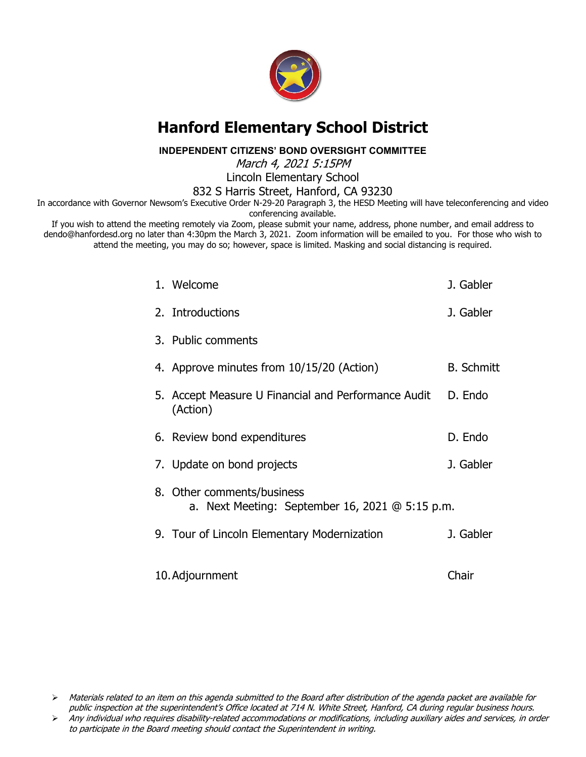

### **Hanford Elementary School District**

**INDEPENDENT CITIZENS' BOND OVERSIGHT COMMITTEE**

March 4, 2021 5:15PM

Lincoln Elementary School

832 S Harris Street, Hanford, CA 93230

In accordance with Governor Newsom's Executive Order N-29-20 Paragraph 3, the HESD Meeting will have teleconferencing and video conferencing available.

If you wish to attend the meeting remotely via Zoom, please submit your name, address, phone number, and email address to dendo@hanfordesd.org no later than 4:30pm the March 3, 2021. Zoom information will be emailed to you. For those who wish to attend the meeting, you may do so; however, space is limited. Masking and social distancing is required.

| 1. Welcome                                                                      | J. Gabler         |
|---------------------------------------------------------------------------------|-------------------|
| 2. Introductions                                                                | J. Gabler         |
| 3. Public comments                                                              |                   |
| 4. Approve minutes from 10/15/20 (Action)                                       | <b>B.</b> Schmitt |
| 5. Accept Measure U Financial and Performance Audit<br>(Action)                 | D. Endo           |
| 6. Review bond expenditures                                                     | D. Endo           |
| 7. Update on bond projects                                                      | J. Gabler         |
| 8. Other comments/business<br>a. Next Meeting: September 16, 2021 $@$ 5:15 p.m. |                   |
| 9. Tour of Lincoln Elementary Modernization                                     | J. Gabler         |
| 10. Adjournment                                                                 | Chair             |

 $\triangleright$  Materials related to an item on this agenda submitted to the Board after distribution of the agenda packet are available for public inspection at the superintendent's Office located at 714 N. White Street, Hanford, CA during regular business hours.

Any individual who requires disability-related accommodations or modifications, including auxiliary aides and services, in order to participate in the Board meeting should contact the Superintendent in writing.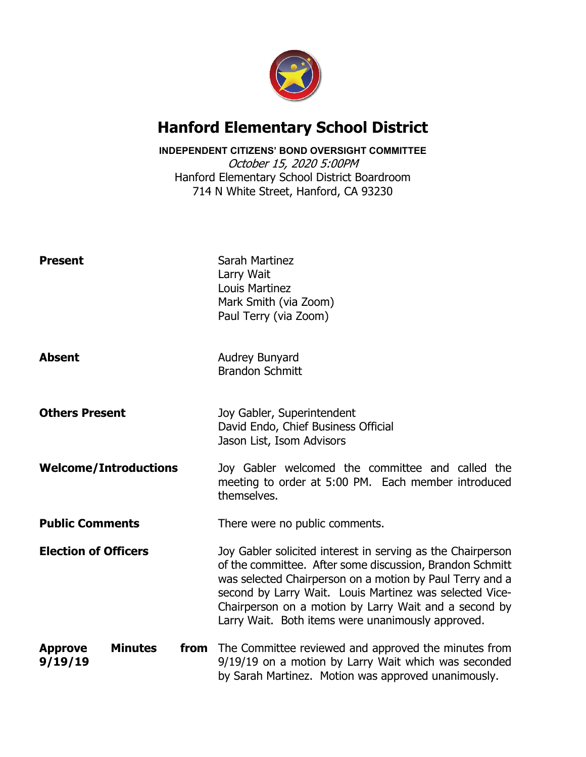

### **Hanford Elementary School District**

### **INDEPENDENT CITIZENS' BOND OVERSIGHT COMMITTEE**

October 15, 2020 5:00PM Hanford Elementary School District Boardroom 714 N White Street, Hanford, CA 93230

| <b>Present</b>                                      | Sarah Martinez<br>Larry Wait<br>Louis Martinez<br>Mark Smith (via Zoom)<br>Paul Terry (via Zoom)                                                                                                                                                                                                                                                             |  |  |
|-----------------------------------------------------|--------------------------------------------------------------------------------------------------------------------------------------------------------------------------------------------------------------------------------------------------------------------------------------------------------------------------------------------------------------|--|--|
| <b>Absent</b>                                       | <b>Audrey Bunyard</b><br><b>Brandon Schmitt</b>                                                                                                                                                                                                                                                                                                              |  |  |
| <b>Others Present</b>                               | Joy Gabler, Superintendent<br>David Endo, Chief Business Official<br>Jason List, Isom Advisors                                                                                                                                                                                                                                                               |  |  |
| <b>Welcome/Introductions</b>                        | Joy Gabler welcomed the committee and called the<br>meeting to order at 5:00 PM. Each member introduced<br>themselves.                                                                                                                                                                                                                                       |  |  |
| <b>Public Comments</b>                              | There were no public comments.                                                                                                                                                                                                                                                                                                                               |  |  |
| <b>Election of Officers</b>                         | Joy Gabler solicited interest in serving as the Chairperson<br>of the committee. After some discussion, Brandon Schmitt<br>was selected Chairperson on a motion by Paul Terry and a<br>second by Larry Wait. Louis Martinez was selected Vice-<br>Chairperson on a motion by Larry Wait and a second by<br>Larry Wait. Both items were unanimously approved. |  |  |
| <b>Minutes</b><br>from<br><b>Approve</b><br>9/19/19 | The Committee reviewed and approved the minutes from<br>9/19/19 on a motion by Larry Wait which was seconded<br>by Sarah Martinez. Motion was approved unanimously.                                                                                                                                                                                          |  |  |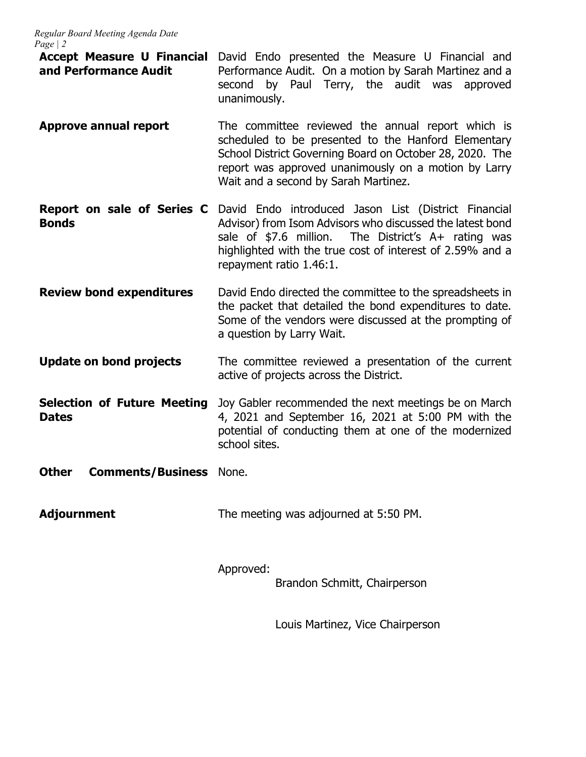- **Accept Measure U Financial**  David Endo presented the Measure U Financial and **and Performance Audit** Performance Audit. On a motion by Sarah Martinez and a second by Paul Terry, the audit was approved unanimously.
- **Approve annual report** The committee reviewed the annual report which is scheduled to be presented to the Hanford Elementary School District Governing Board on October 28, 2020. The report was approved unanimously on a motion by Larry Wait and a second by Sarah Martinez.
- **Report on sale of Series C** David Endo introduced Jason List (District Financial **Bonds** Advisor) from Isom Advisors who discussed the latest bond sale of \$7.6 million. The District's A+ rating was The District's  $A+$  rating was highlighted with the true cost of interest of 2.59% and a repayment ratio 1.46:1.
- **Review bond expenditures** David Endo directed the committee to the spreadsheets in the packet that detailed the bond expenditures to date. Some of the vendors were discussed at the prompting of a question by Larry Wait.
- **Update on bond projects** The committee reviewed a presentation of the current active of projects across the District.
- **Selection of Future Meeting Dates** Joy Gabler recommended the next meetings be on March 4, 2021 and September 16, 2021 at 5:00 PM with the potential of conducting them at one of the modernized school sites.
- **Other Comments/Business None.**
- **Adjournment** The meeting was adjourned at 5:50 PM.

Approved:

Brandon Schmitt, Chairperson

Louis Martinez, Vice Chairperson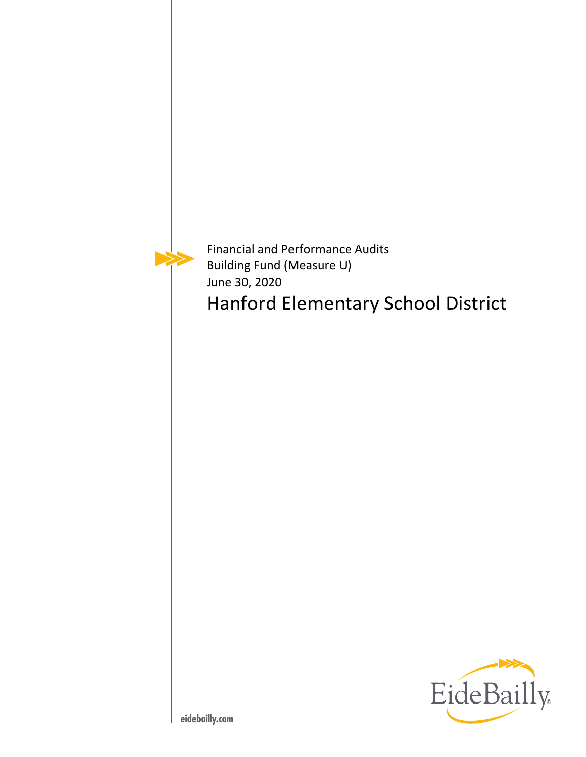

Financial and Performance Audits Building Fund (Measure U) June 30, 2020

Hanford Elementary School District

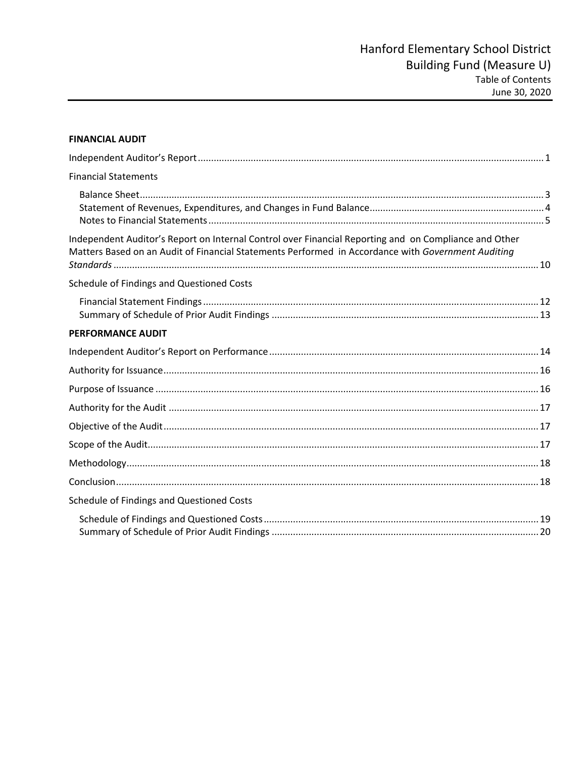| <b>FINANCIAL AUDIT</b>                                                                                                                                                                                      |  |
|-------------------------------------------------------------------------------------------------------------------------------------------------------------------------------------------------------------|--|
|                                                                                                                                                                                                             |  |
| <b>Financial Statements</b>                                                                                                                                                                                 |  |
|                                                                                                                                                                                                             |  |
| Independent Auditor's Report on Internal Control over Financial Reporting and on Compliance and Other<br>Matters Based on an Audit of Financial Statements Performed in Accordance with Government Auditing |  |
| Schedule of Findings and Questioned Costs                                                                                                                                                                   |  |
|                                                                                                                                                                                                             |  |
| <b>PERFORMANCE AUDIT</b>                                                                                                                                                                                    |  |
|                                                                                                                                                                                                             |  |
|                                                                                                                                                                                                             |  |
|                                                                                                                                                                                                             |  |
|                                                                                                                                                                                                             |  |
|                                                                                                                                                                                                             |  |
|                                                                                                                                                                                                             |  |
|                                                                                                                                                                                                             |  |
|                                                                                                                                                                                                             |  |
| Schedule of Findings and Questioned Costs                                                                                                                                                                   |  |
|                                                                                                                                                                                                             |  |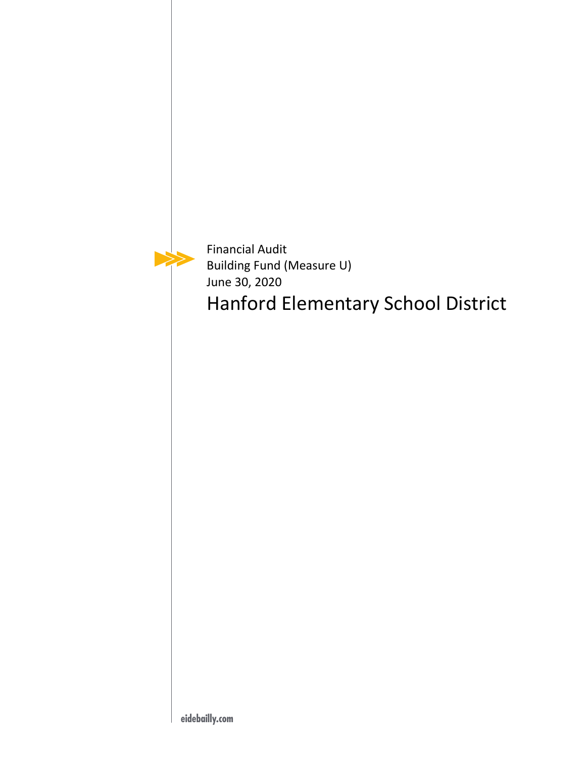Financial Audit Building Fund (Measure U) June 30, 2020 Hanford Elementary School District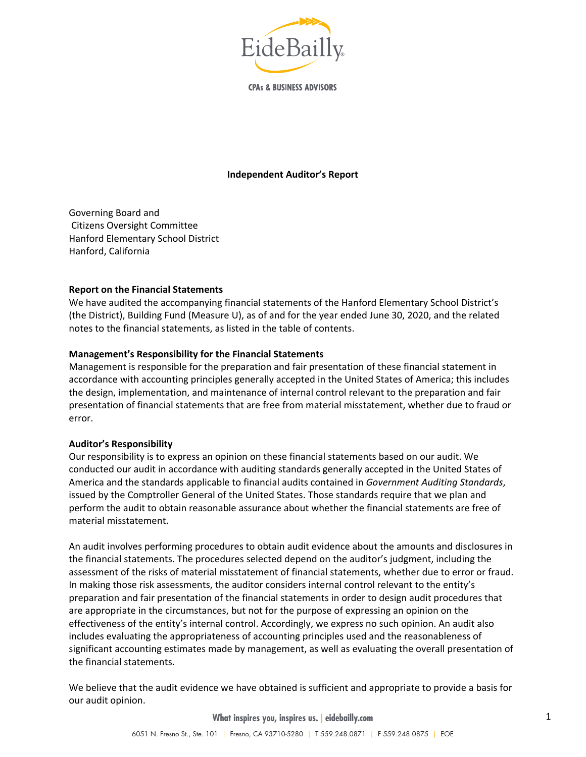

**CPAs & BUSINESS ADVISORS** 

#### **Independent Auditor's Report**

Governing Board and Citizens Oversight Committee Hanford Elementary School District Hanford, California

#### **Report on the Financial Statements**

We have audited the accompanying financial statements of the Hanford Elementary School District's (the District), Building Fund (Measure U), as of and for the year ended June 30, 2020, and the related notes to the financial statements, as listed in the table of contents.

#### **Management's Responsibility for the Financial Statements**

Management is responsible for the preparation and fair presentation of these financial statement in accordance with accounting principles generally accepted in the United States of America; this includes the design, implementation, and maintenance of internal control relevant to the preparation and fair presentation of financial statements that are free from material misstatement, whether due to fraud or error.

#### **Auditor's Responsibility**

Our responsibility is to express an opinion on these financial statements based on our audit. We conducted our audit in accordance with auditing standards generally accepted in the United States of America and the standards applicable to financial audits contained in *Government Auditing Standards*, issued by the Comptroller General of the United States. Those standards require that we plan and perform the audit to obtain reasonable assurance about whether the financial statements are free of material misstatement.

An audit involves performing procedures to obtain audit evidence about the amounts and disclosures in the financial statements. The procedures selected depend on the auditor's judgment, including the assessment of the risks of material misstatement of financial statements, whether due to error or fraud. In making those risk assessments, the auditor considers internal control relevant to the entity's preparation and fair presentation of the financial statements in order to design audit procedures that are appropriate in the circumstances, but not for the purpose of expressing an opinion on the effectiveness of the entity's internal control. Accordingly, we express no such opinion. An audit also includes evaluating the appropriateness of accounting principles used and the reasonableness of significant accounting estimates made by management, as well as evaluating the overall presentation of the financial statements.

We believe that the audit evidence we have obtained is sufficient and appropriate to provide a basis for our audit opinion.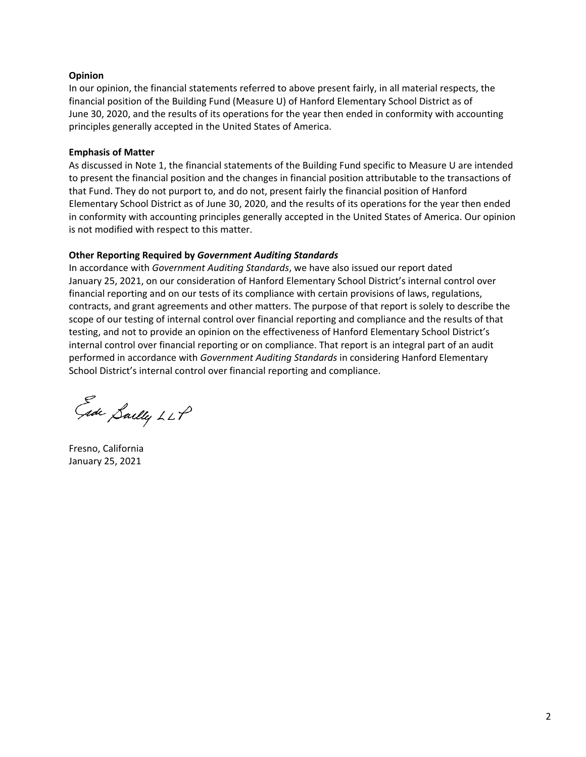#### **Opinion**

In our opinion, the financial statements referred to above present fairly, in all material respects, the financial position of the Building Fund (Measure U) of Hanford Elementary School District as of June 30, 2020, and the results of its operations for the year then ended in conformity with accounting principles generally accepted in the United States of America.

#### **Emphasis of Matter**

As discussed in Note 1, the financial statements of the Building Fund specific to Measure U are intended to present the financial position and the changes in financial position attributable to the transactions of that Fund. They do not purport to, and do not, present fairly the financial position of Hanford Elementary School District as of June 30, 2020, and the results of its operations for the year then ended in conformity with accounting principles generally accepted in the United States of America. Our opinion is not modified with respect to this matter.

#### **Other Reporting Required by** *Government Auditing Standards*

In accordance with *Government Auditing Standards*, we have also issued our report dated January 25, 2021, on our consideration of Hanford Elementary School District's internal control over financial reporting and on our tests of its compliance with certain provisions of laws, regulations, contracts, and grant agreements and other matters. The purpose of that report is solely to describe the scope of our testing of internal control over financial reporting and compliance and the results of that testing, and not to provide an opinion on the effectiveness of Hanford Elementary School District's internal control over financial reporting or on compliance. That report is an integral part of an audit performed in accordance with *Government Auditing Standards* in considering Hanford Elementary School District's internal control over financial reporting and compliance.

Eade Saelly LLP

Fresno, California January 25, 2021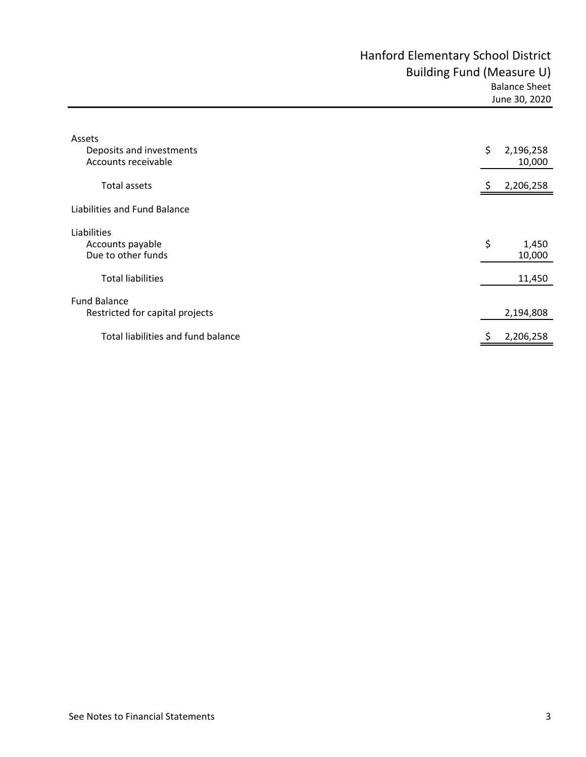|  | June 30, 2020 |
|--|---------------|

| Assets<br>Deposits and investments<br>Accounts receivable | \$<br>2,196,258<br>10,000 |
|-----------------------------------------------------------|---------------------------|
| <b>Total assets</b>                                       | 2,206,258                 |
| Liabilities and Fund Balance                              |                           |
| Liabilities<br>Accounts payable<br>Due to other funds     | \$<br>1,450<br>10,000     |
| <b>Total liabilities</b>                                  | 11,450                    |
| <b>Fund Balance</b><br>Restricted for capital projects    | 2,194,808                 |
| Total liabilities and fund balance                        | \$<br>2,206,258           |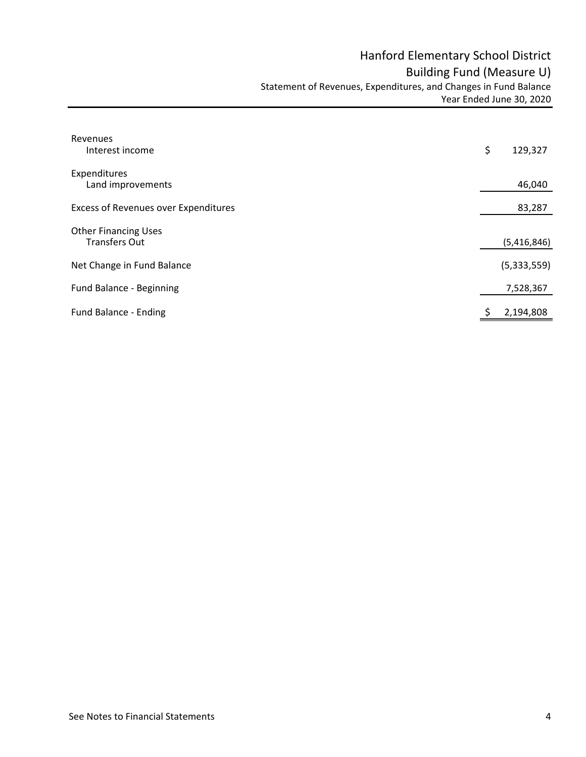| Revenues<br>Interest income                         | \$<br>129,327 |
|-----------------------------------------------------|---------------|
| Expenditures<br>Land improvements                   | 46,040        |
| <b>Excess of Revenues over Expenditures</b>         | 83,287        |
| <b>Other Financing Uses</b><br><b>Transfers Out</b> | (5,416,846)   |
| Net Change in Fund Balance                          | (5,333,559)   |
| Fund Balance - Beginning                            | 7,528,367     |
| Fund Balance - Ending                               | 2,194,808     |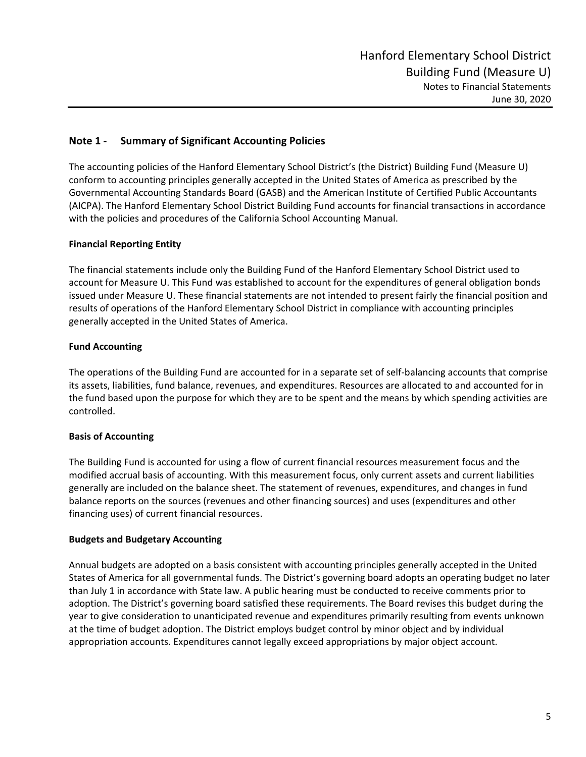#### **Note 1 ‐ Summary of Significant Accounting Policies**

The accounting policies of the Hanford Elementary School District's (the District) Building Fund (Measure U) conform to accounting principles generally accepted in the United States of America as prescribed by the Governmental Accounting Standards Board (GASB) and the American Institute of Certified Public Accountants (AICPA). The Hanford Elementary School District Building Fund accounts for financial transactions in accordance with the policies and procedures of the California School Accounting Manual.

#### **Financial Reporting Entity**

The financial statements include only the Building Fund of the Hanford Elementary School District used to account for Measure U. This Fund was established to account for the expenditures of general obligation bonds issued under Measure U. These financial statements are not intended to present fairly the financial position and results of operations of the Hanford Elementary School District in compliance with accounting principles generally accepted in the United States of America.

#### **Fund Accounting**

The operations of the Building Fund are accounted for in a separate set of self‐balancing accounts that comprise its assets, liabilities, fund balance, revenues, and expenditures. Resources are allocated to and accounted for in the fund based upon the purpose for which they are to be spent and the means by which spending activities are controlled.

#### **Basis of Accounting**

The Building Fund is accounted for using a flow of current financial resources measurement focus and the modified accrual basis of accounting. With this measurement focus, only current assets and current liabilities generally are included on the balance sheet. The statement of revenues, expenditures, and changes in fund balance reports on the sources (revenues and other financing sources) and uses (expenditures and other financing uses) of current financial resources.

#### **Budgets and Budgetary Accounting**

Annual budgets are adopted on a basis consistent with accounting principles generally accepted in the United States of America for all governmental funds. The District's governing board adopts an operating budget no later than July 1 in accordance with State law. A public hearing must be conducted to receive comments prior to adoption. The District's governing board satisfied these requirements. The Board revises this budget during the year to give consideration to unanticipated revenue and expenditures primarily resulting from events unknown at the time of budget adoption. The District employs budget control by minor object and by individual appropriation accounts. Expenditures cannot legally exceed appropriations by major object account.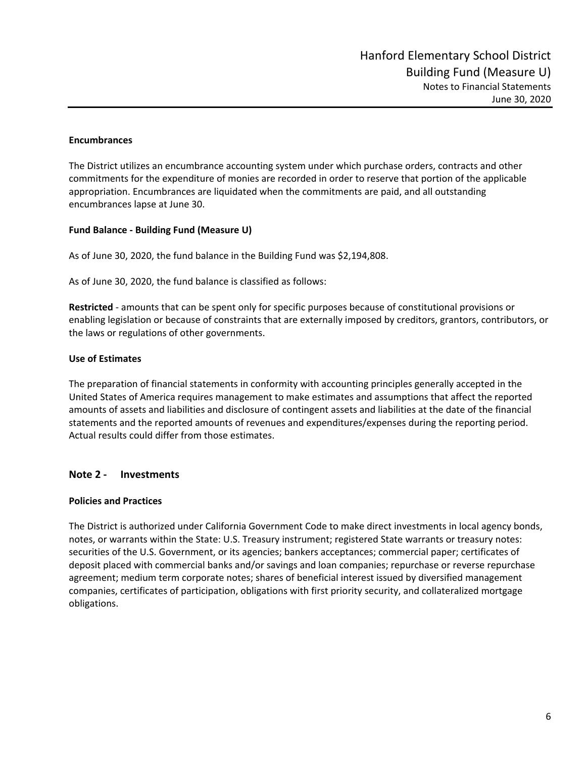#### **Encumbrances**

The District utilizes an encumbrance accounting system under which purchase orders, contracts and other commitments for the expenditure of monies are recorded in order to reserve that portion of the applicable appropriation. Encumbrances are liquidated when the commitments are paid, and all outstanding encumbrances lapse at June 30.

#### **Fund Balance ‐ Building Fund (Measure U)**

As of June 30, 2020, the fund balance in the Building Fund was \$2,194,808.

As of June 30, 2020, the fund balance is classified as follows:

**Restricted** ‐ amounts that can be spent only for specific purposes because of constitutional provisions or enabling legislation or because of constraints that are externally imposed by creditors, grantors, contributors, or the laws or regulations of other governments.

#### **Use of Estimates**

The preparation of financial statements in conformity with accounting principles generally accepted in the United States of America requires management to make estimates and assumptions that affect the reported amounts of assets and liabilities and disclosure of contingent assets and liabilities at the date of the financial statements and the reported amounts of revenues and expenditures/expenses during the reporting period. Actual results could differ from those estimates.

#### **Note 2 ‐ Investments**

#### **Policies and Practices**

The District is authorized under California Government Code to make direct investments in local agency bonds, notes, or warrants within the State: U.S. Treasury instrument; registered State warrants or treasury notes: securities of the U.S. Government, or its agencies; bankers acceptances; commercial paper; certificates of deposit placed with commercial banks and/or savings and loan companies; repurchase or reverse repurchase agreement; medium term corporate notes; shares of beneficial interest issued by diversified management companies, certificates of participation, obligations with first priority security, and collateralized mortgage obligations.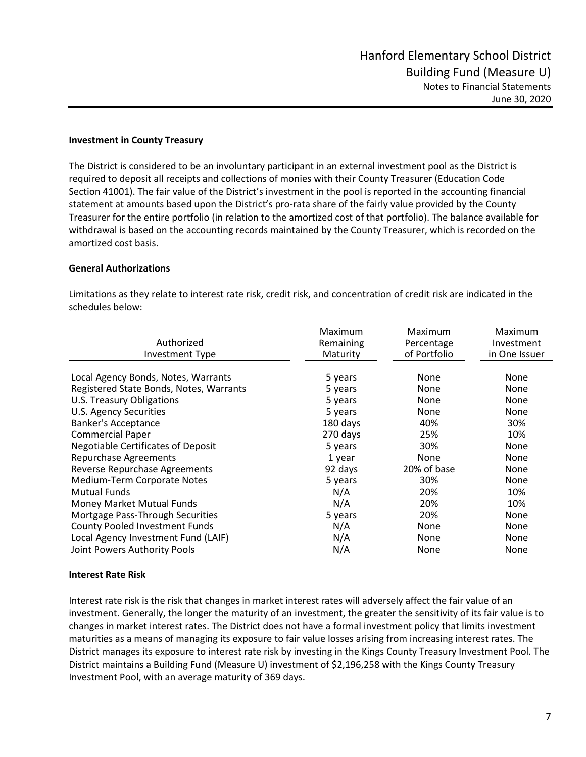#### **Investment in County Treasury**

The District is considered to be an involuntary participant in an external investment pool as the District is required to deposit all receipts and collections of monies with their County Treasurer (Education Code Section 41001). The fair value of the District's investment in the pool is reported in the accounting financial statement at amounts based upon the District's pro-rata share of the fairly value provided by the County Treasurer for the entire portfolio (in relation to the amortized cost of that portfolio). The balance available for withdrawal is based on the accounting records maintained by the County Treasurer, which is recorded on the amortized cost basis.

#### **General Authorizations**

Limitations as they relate to interest rate risk, credit risk, and concentration of credit risk are indicated in the schedules below:

| Authorized<br><b>Investment Type</b>      | Maximum<br>Remaining<br>Maturity | Maximum<br>Percentage<br>of Portfolio | Maximum<br>Investment<br>in One Issuer |
|-------------------------------------------|----------------------------------|---------------------------------------|----------------------------------------|
| Local Agency Bonds, Notes, Warrants       | 5 years                          | None                                  | None                                   |
| Registered State Bonds, Notes, Warrants   | 5 years                          | None                                  | None                                   |
| U.S. Treasury Obligations                 | 5 years                          | None                                  | None                                   |
| U.S. Agency Securities                    | 5 years                          | None                                  | None                                   |
| <b>Banker's Acceptance</b>                | 180 days                         | 40%                                   | 30%                                    |
| <b>Commercial Paper</b>                   | 270 days                         | 25%                                   | 10%                                    |
| <b>Negotiable Certificates of Deposit</b> | 5 years                          | 30%                                   | None                                   |
| <b>Repurchase Agreements</b>              | 1 year                           | None                                  | None                                   |
| Reverse Repurchase Agreements             | 92 days                          | 20% of base                           | None                                   |
| Medium-Term Corporate Notes               | 5 years                          | 30%                                   | None                                   |
| <b>Mutual Funds</b>                       | N/A                              | 20%                                   | 10%                                    |
| Money Market Mutual Funds                 | N/A                              | 20%                                   | 10%                                    |
| Mortgage Pass-Through Securities          | 5 years                          | 20%                                   | None                                   |
| <b>County Pooled Investment Funds</b>     | N/A                              | None                                  | None                                   |
| Local Agency Investment Fund (LAIF)       | N/A                              | None                                  | None                                   |
| Joint Powers Authority Pools              | N/A                              | None                                  | None                                   |

#### **Interest Rate Risk**

Interest rate risk is the risk that changes in market interest rates will adversely affect the fair value of an investment. Generally, the longer the maturity of an investment, the greater the sensitivity of its fair value is to changes in market interest rates. The District does not have a formal investment policy that limits investment maturities as a means of managing its exposure to fair value losses arising from increasing interest rates. The District manages its exposure to interest rate risk by investing in the Kings County Treasury Investment Pool. The District maintains a Building Fund (Measure U) investment of \$2,196,258 with the Kings County Treasury Investment Pool, with an average maturity of 369 days.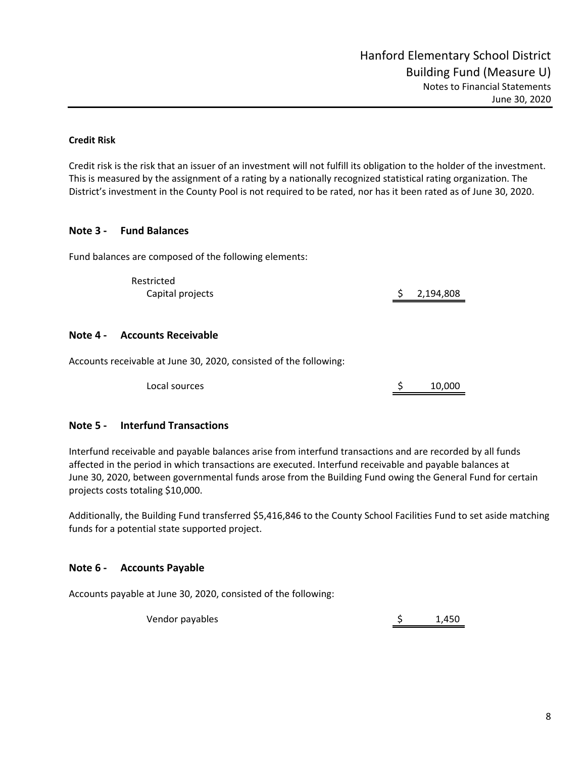#### **Credit Risk**

Credit risk is the risk that an issuer of an investment will not fulfill its obligation to the holder of the investment. This is measured by the assignment of a rating by a nationally recognized statistical rating organization. The District's investment in the County Pool is not required to be rated, nor has it been rated as of June 30, 2020.

#### **Note 3 ‐ Fund Balances**

Fund balances are composed of the following elements:

Restricted Capital projects  $\zeta$  2,194,808

#### **Note 4 ‐ Accounts Receivable**

Accounts receivable at June 30, 2020, consisted of the following:

Local sources and the sources the sources of the sources in the source of the source of the source of the source of the source of the source of the source of the source of the source of the source of the source of the sour

#### **Note 5 ‐ Interfund Transactions**

Interfund receivable and payable balances arise from interfund transactions and are recorded by all funds affected in the period in which transactions are executed. Interfund receivable and payable balances at June 30, 2020, between governmental funds arose from the Building Fund owing the General Fund for certain projects costs totaling \$10,000.

Additionally, the Building Fund transferred \$5,416,846 to the County School Facilities Fund to set aside matching funds for a potential state supported project.

#### **Note 6 ‐ Accounts Payable**

Accounts payable at June 30, 2020, consisted of the following:

Vendor payables 6 and 1,450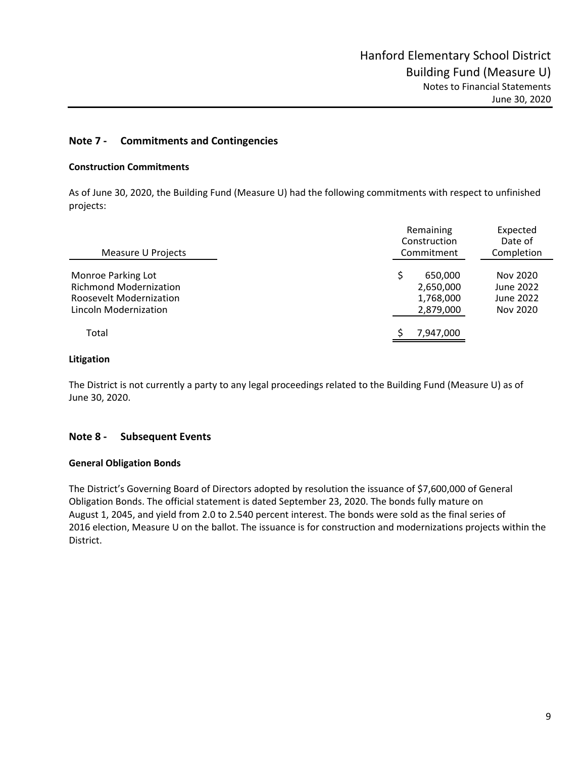#### **Note 7 ‐ Commitments and Contingencies**

#### **Construction Commitments**

As of June 30, 2020, the Building Fund (Measure U) had the following commitments with respect to unfinished projects:

| Measure U Projects                                                                                      | Remaining<br>Construction<br>Commitment        | Expected<br>Date of<br>Completion              |  |  |
|---------------------------------------------------------------------------------------------------------|------------------------------------------------|------------------------------------------------|--|--|
| Monroe Parking Lot<br><b>Richmond Modernization</b><br>Roosevelt Modernization<br>Lincoln Modernization | 650,000<br>2,650,000<br>1,768,000<br>2,879,000 | Nov 2020<br>June 2022<br>June 2022<br>Nov 2020 |  |  |
| Total                                                                                                   | 7,947,000                                      |                                                |  |  |

#### **Litigation**

The District is not currently a party to any legal proceedings related to the Building Fund (Measure U) as of June 30, 2020.

#### **Note 8 ‐ Subsequent Events**

#### **General Obligation Bonds**

The District's Governing Board of Directors adopted by resolution the issuance of \$7,600,000 of General Obligation Bonds. The official statement is dated September 23, 2020. The bonds fully mature on August 1, 2045, and yield from 2.0 to 2.540 percent interest. The bonds were sold as the final series of 2016 election, Measure U on the ballot. The issuance is for construction and modernizations projects within the District.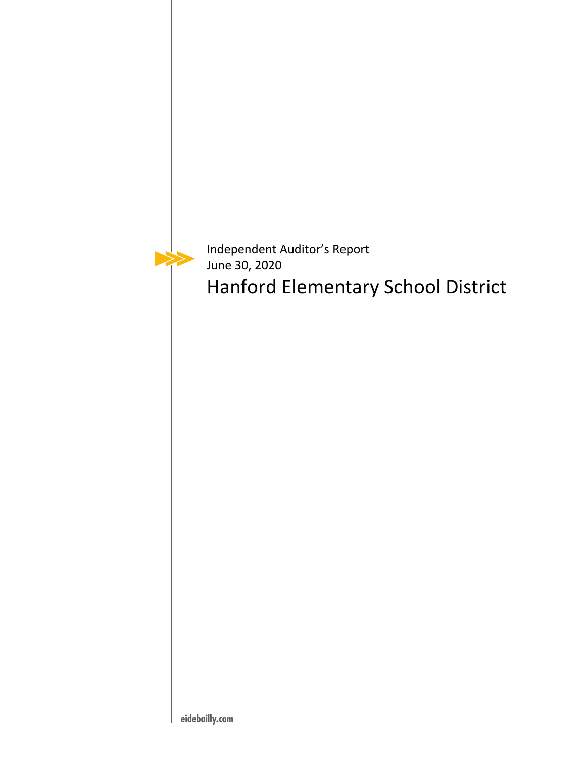

Independent Auditor's Report June 30, 2020 Hanford Elementary School District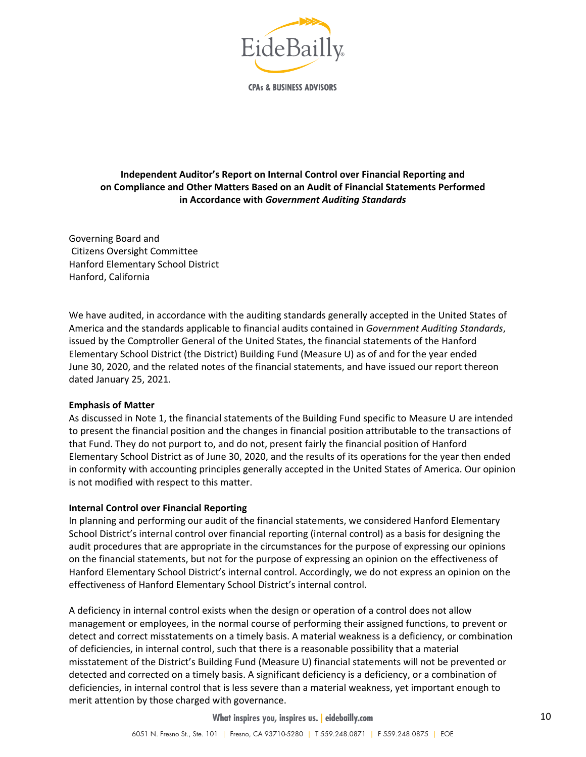

**CPAs & BUSINESS ADVISORS** 

#### **Independent Auditor's Report on Internal Control over Financial Reporting and on Compliance and Other Matters Based on an Audit of Financial Statements Performed in Accordance with** *Government Auditing Standards*

Governing Board and Citizens Oversight Committee Hanford Elementary School District Hanford, California

We have audited, in accordance with the auditing standards generally accepted in the United States of America and the standards applicable to financial audits contained in *Government Auditing Standards*, issued by the Comptroller General of the United States, the financial statements of the Hanford Elementary School District (the District) Building Fund (Measure U) as of and for the year ended June 30, 2020, and the related notes of the financial statements, and have issued our report thereon dated January 25, 2021.

#### **Emphasis of Matter**

As discussed in Note 1, the financial statements of the Building Fund specific to Measure U are intended to present the financial position and the changes in financial position attributable to the transactions of that Fund. They do not purport to, and do not, present fairly the financial position of Hanford Elementary School District as of June 30, 2020, and the results of its operations for the year then ended in conformity with accounting principles generally accepted in the United States of America. Our opinion is not modified with respect to this matter.

#### **Internal Control over Financial Reporting**

In planning and performing our audit of the financial statements, we considered Hanford Elementary School District's internal control over financial reporting (internal control) as a basis for designing the audit procedures that are appropriate in the circumstances for the purpose of expressing our opinions on the financial statements, but not for the purpose of expressing an opinion on the effectiveness of Hanford Elementary School District's internal control. Accordingly, we do not express an opinion on the effectiveness of Hanford Elementary School District's internal control.

A deficiency in internal control exists when the design or operation of a control does not allow management or employees, in the normal course of performing their assigned functions, to prevent or detect and correct misstatements on a timely basis. A material weakness is a deficiency, or combination of deficiencies, in internal control, such that there is a reasonable possibility that a material misstatement of the District's Building Fund (Measure U) financial statements will not be prevented or detected and corrected on a timely basis. A significant deficiency is a deficiency, or a combination of deficiencies, in internal control that is less severe than a material weakness, yet important enough to merit attention by those charged with governance.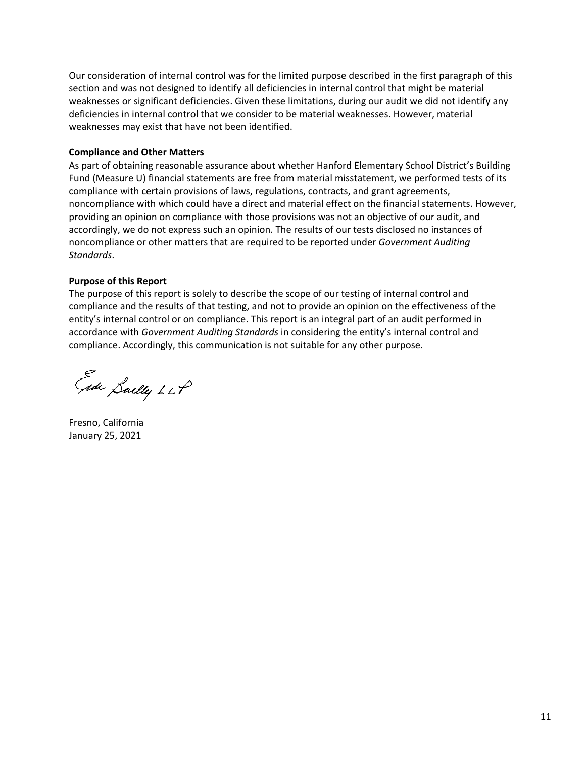Our consideration of internal control was for the limited purpose described in the first paragraph of this section and was not designed to identify all deficiencies in internal control that might be material weaknesses or significant deficiencies. Given these limitations, during our audit we did not identify any deficiencies in internal control that we consider to be material weaknesses. However, material weaknesses may exist that have not been identified.

#### **Compliance and Other Matters**

As part of obtaining reasonable assurance about whether Hanford Elementary School District's Building Fund (Measure U) financial statements are free from material misstatement, we performed tests of its compliance with certain provisions of laws, regulations, contracts, and grant agreements, noncompliance with which could have a direct and material effect on the financial statements. However, providing an opinion on compliance with those provisions was not an objective of our audit, and accordingly, we do not express such an opinion. The results of our tests disclosed no instances of noncompliance or other matters that are required to be reported under *Government Auditing Standards*.

#### **Purpose of this Report**

The purpose of this report is solely to describe the scope of our testing of internal control and compliance and the results of that testing, and not to provide an opinion on the effectiveness of the entity's internal control or on compliance. This report is an integral part of an audit performed in accordance with *Government Auditing Standards* in considering the entity's internal control and compliance. Accordingly, this communication is not suitable for any other purpose.

Ede Sailly LLP

Fresno, California January 25, 2021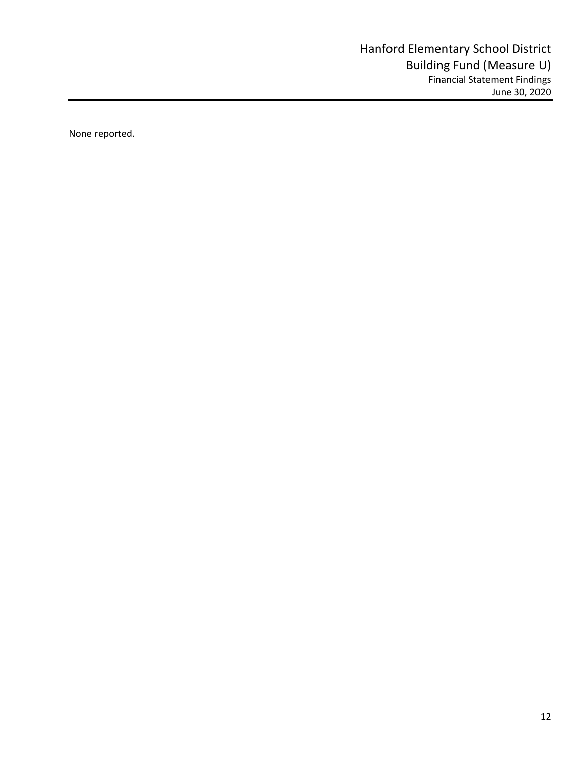None reported.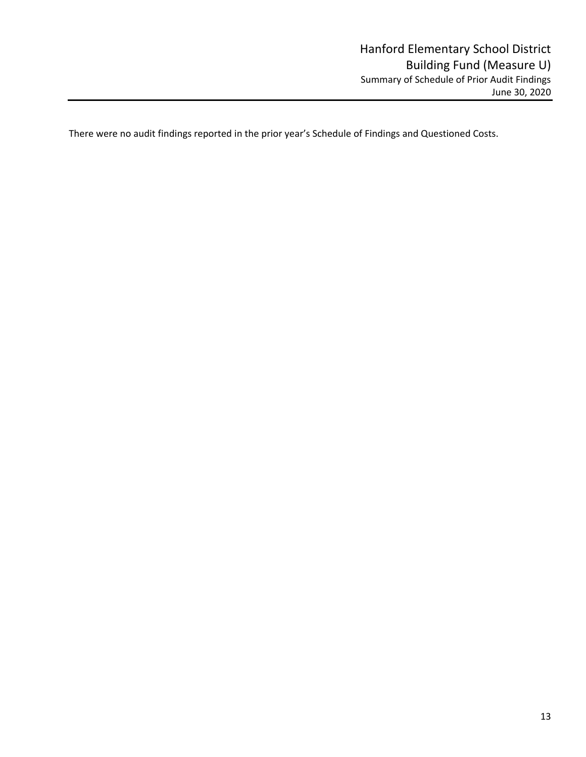There were no audit findings reported in the prior year's Schedule of Findings and Questioned Costs.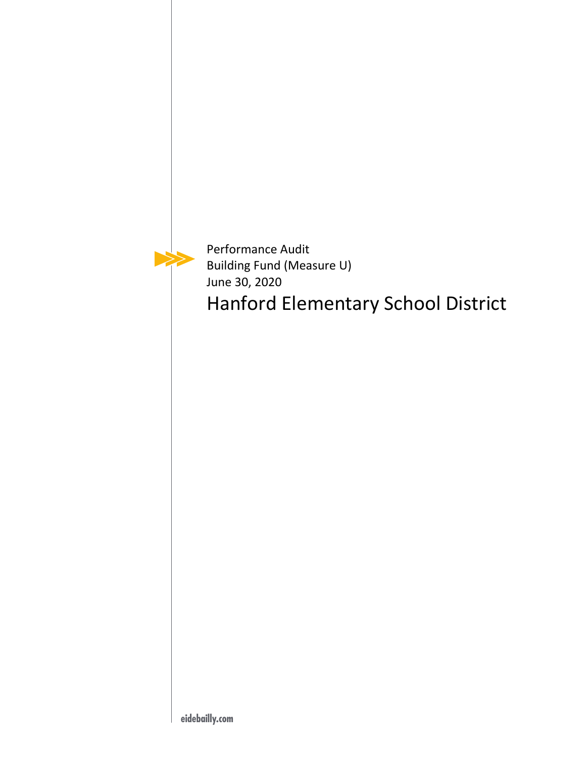Performance Audit Building Fund (Measure U) June 30, 2020

Hanford Elementary School District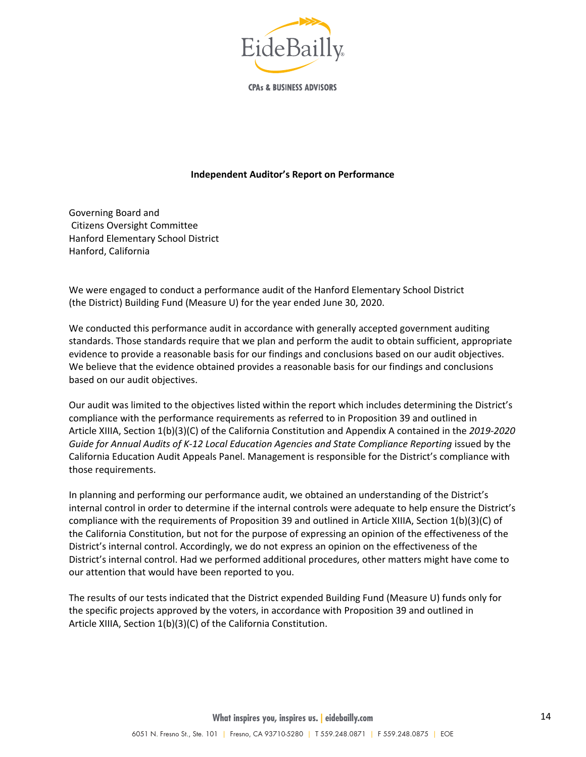

**CPAs & BUSINESS ADVISORS** 

#### **Independent Auditor's Report on Performance**

Governing Board and Citizens Oversight Committee Hanford Elementary School District Hanford, California

We were engaged to conduct a performance audit of the Hanford Elementary School District (the District) Building Fund (Measure U) for the year ended June 30, 2020.

We conducted this performance audit in accordance with generally accepted government auditing standards. Those standards require that we plan and perform the audit to obtain sufficient, appropriate evidence to provide a reasonable basis for our findings and conclusions based on our audit objectives. We believe that the evidence obtained provides a reasonable basis for our findings and conclusions based on our audit objectives.

Our audit was limited to the objectives listed within the report which includes determining the District's compliance with the performance requirements as referred to in Proposition 39 and outlined in Article XIIIA, Section 1(b)(3)(C) of the California Constitution and Appendix A contained in the *2019‐2020 Guide for Annual Audits of K‐12 Local Education Agencies and State Compliance Reporting* issued by the California Education Audit Appeals Panel. Management is responsible for the District's compliance with those requirements.

In planning and performing our performance audit, we obtained an understanding of the District's internal control in order to determine if the internal controls were adequate to help ensure the District's compliance with the requirements of Proposition 39 and outlined in Article XIIIA, Section 1(b)(3)(C) of the California Constitution, but not for the purpose of expressing an opinion of the effectiveness of the District's internal control. Accordingly, we do not express an opinion on the effectiveness of the District's internal control. Had we performed additional procedures, other matters might have come to our attention that would have been reported to you.

The results of our tests indicated that the District expended Building Fund (Measure U) funds only for the specific projects approved by the voters, in accordance with Proposition 39 and outlined in Article XIIIA, Section 1(b)(3)(C) of the California Constitution.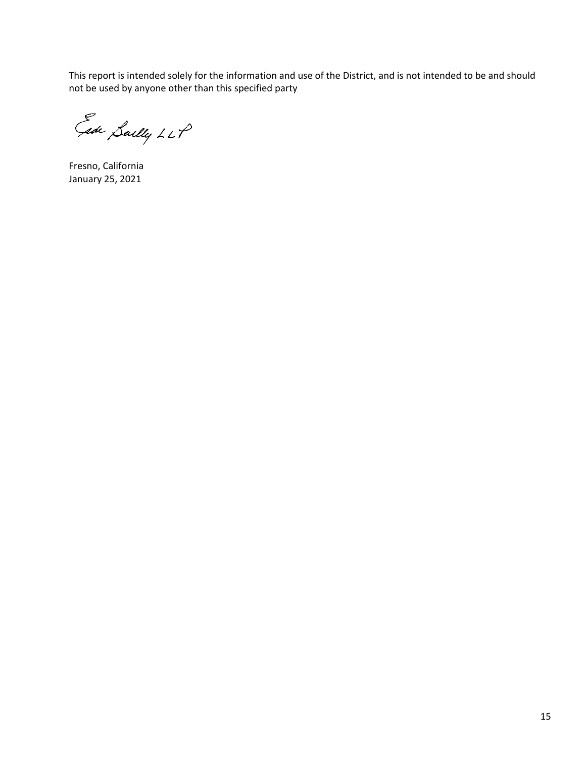This report is intended solely for the information and use of the District, and is not intended to be and should not be used by anyone other than this specified party

Ede Sailly LLP

Fresno, California January 25, 2021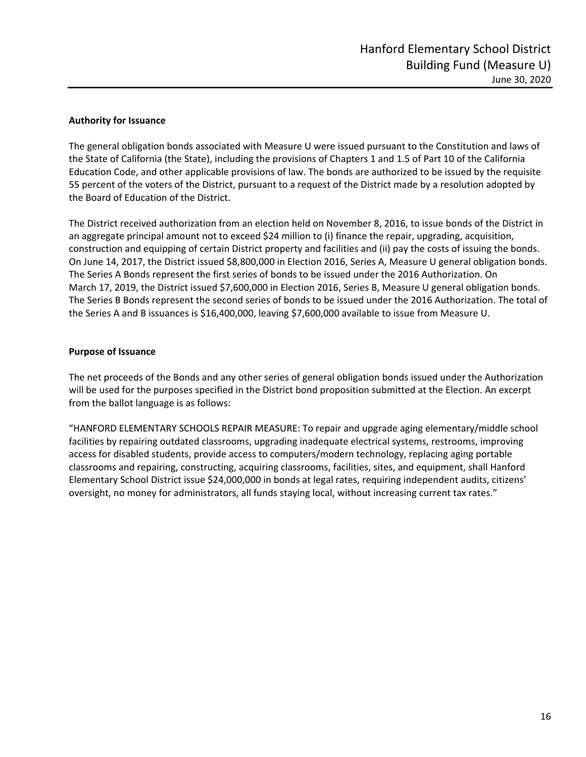#### **Authority for Issuance**

The general obligation bonds associated with Measure U were issued pursuant to the Constitution and laws of the State of California (the State), including the provisions of Chapters 1 and 1.5 of Part 10 of the California Education Code, and other applicable provisions of law. The bonds are authorized to be issued by the requisite 55 percent of the voters of the District, pursuant to a request of the District made by a resolution adopted by the Board of Education of the District.

The District received authorization from an election held on November 8, 2016, to issue bonds of the District in an aggregate principal amount not to exceed \$24 million to (i) finance the repair, upgrading, acquisition, construction and equipping of certain District property and facilities and (ii) pay the costs of issuing the bonds. On June 14, 2017, the District issued \$8,800,000 in Election 2016, Series A, Measure U general obligation bonds. The Series A Bonds represent the first series of bonds to be issued under the 2016 Authorization. On March 17, 2019, the District issued \$7,600,000 in Election 2016, Series B, Measure U general obligation bonds. The Series B Bonds represent the second series of bonds to be issued under the 2016 Authorization. The total of the Series A and B issuances is \$16,400,000, leaving \$7,600,000 available to issue from Measure U.

#### **Purpose of Issuance**

The net proceeds of the Bonds and any other series of general obligation bonds issued under the Authorization will be used for the purposes specified in the District bond proposition submitted at the Election. An excerpt from the ballot language is as follows:

"HANFORD ELEMENTARY SCHOOLS REPAIR MEASURE: To repair and upgrade aging elementary/middle school facilities by repairing outdated classrooms, upgrading inadequate electrical systems, restrooms, improving access for disabled students, provide access to computers/modern technology, replacing aging portable classrooms and repairing, constructing, acquiring classrooms, facilities, sites, and equipment, shall Hanford Elementary School District issue \$24,000,000 in bonds at legal rates, requiring independent audits, citizens' oversight, no money for administrators, all funds staying local, without increasing current tax rates."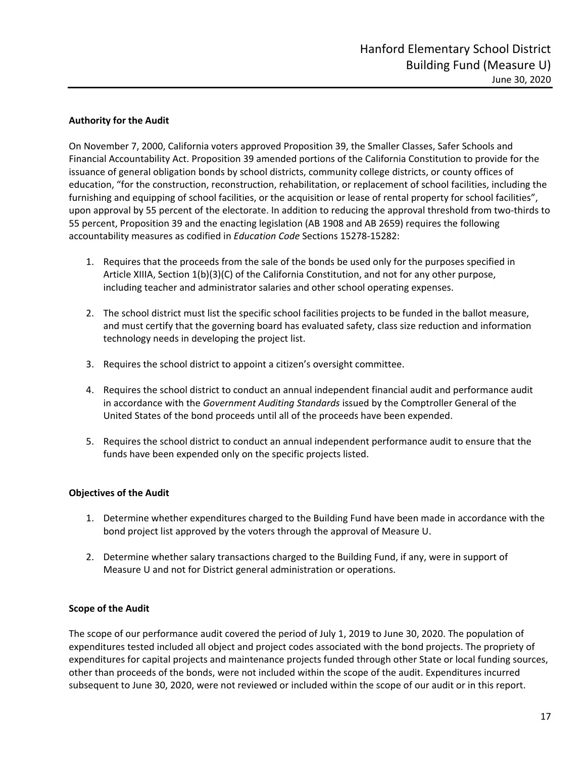#### **Authority for the Audit**

On November 7, 2000, California voters approved Proposition 39, the Smaller Classes, Safer Schools and Financial Accountability Act. Proposition 39 amended portions of the California Constitution to provide for the issuance of general obligation bonds by school districts, community college districts, or county offices of education, "for the construction, reconstruction, rehabilitation, or replacement of school facilities, including the furnishing and equipping of school facilities, or the acquisition or lease of rental property for school facilities", upon approval by 55 percent of the electorate. In addition to reducing the approval threshold from two‐thirds to 55 percent, Proposition 39 and the enacting legislation (AB 1908 and AB 2659) requires the following accountability measures as codified in *Education Code* Sections 15278‐15282:

- 1. Requires that the proceeds from the sale of the bonds be used only for the purposes specified in Article XIIIA, Section 1(b)(3)(C) of the California Constitution, and not for any other purpose, including teacher and administrator salaries and other school operating expenses.
- 2. The school district must list the specific school facilities projects to be funded in the ballot measure, and must certify that the governing board has evaluated safety, class size reduction and information technology needs in developing the project list.
- 3. Requires the school district to appoint a citizen's oversight committee.
- 4. Requires the school district to conduct an annual independent financial audit and performance audit in accordance with the *Government Auditing Standards* issued by the Comptroller General of the United States of the bond proceeds until all of the proceeds have been expended.
- 5. Requires the school district to conduct an annual independent performance audit to ensure that the funds have been expended only on the specific projects listed.

#### **Objectives of the Audit**

- 1. Determine whether expenditures charged to the Building Fund have been made in accordance with the bond project list approved by the voters through the approval of Measure U.
- 2. Determine whether salary transactions charged to the Building Fund, if any, were in support of Measure U and not for District general administration or operations.

#### **Scope of the Audit**

The scope of our performance audit covered the period of July 1, 2019 to June 30, 2020. The population of expenditures tested included all object and project codes associated with the bond projects. The propriety of expenditures for capital projects and maintenance projects funded through other State or local funding sources, other than proceeds of the bonds, were not included within the scope of the audit. Expenditures incurred subsequent to June 30, 2020, were not reviewed or included within the scope of our audit or in this report.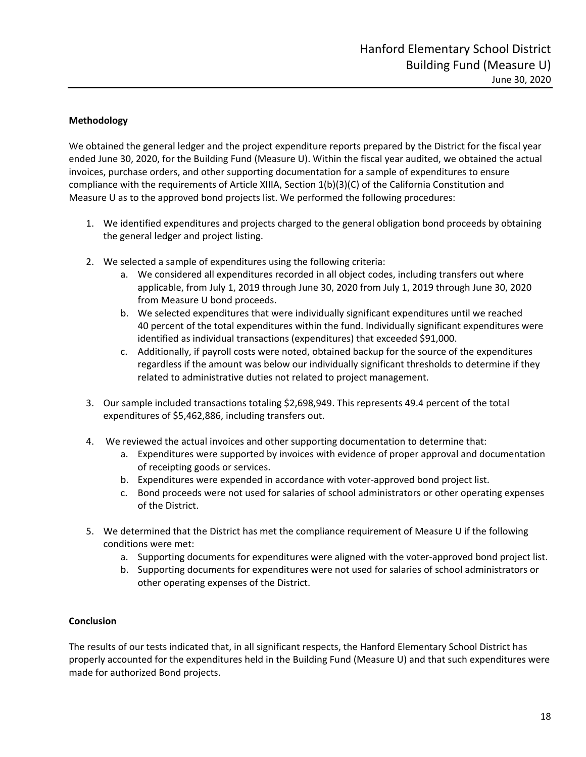#### **Methodology**

We obtained the general ledger and the project expenditure reports prepared by the District for the fiscal year ended June 30, 2020, for the Building Fund (Measure U). Within the fiscal year audited, we obtained the actual invoices, purchase orders, and other supporting documentation for a sample of expenditures to ensure compliance with the requirements of Article XIIIA, Section 1(b)(3)(C) of the California Constitution and Measure U as to the approved bond projects list. We performed the following procedures:

- 1. We identified expenditures and projects charged to the general obligation bond proceeds by obtaining the general ledger and project listing.
- 2. We selected a sample of expenditures using the following criteria:
	- a. We considered all expenditures recorded in all object codes, including transfers out where applicable, from July 1, 2019 through June 30, 2020 from July 1, 2019 through June 30, 2020 from Measure U bond proceeds.
	- b. We selected expenditures that were individually significant expenditures until we reached 40 percent of the total expenditures within the fund. Individually significant expenditures were identified as individual transactions (expenditures) that exceeded \$91,000.
	- c. Additionally, if payroll costs were noted, obtained backup for the source of the expenditures regardless if the amount was below our individually significant thresholds to determine if they related to administrative duties not related to project management.
- 3. Our sample included transactions totaling \$2,698,949. This represents 49.4 percent of the total expenditures of \$5,462,886, including transfers out.
- 4. We reviewed the actual invoices and other supporting documentation to determine that:
	- a. Expenditures were supported by invoices with evidence of proper approval and documentation of receipting goods or services.
	- b. Expenditures were expended in accordance with voter-approved bond project list.
	- c. Bond proceeds were not used for salaries of school administrators or other operating expenses of the District.
- 5. We determined that the District has met the compliance requirement of Measure U if the following conditions were met:
	- a. Supporting documents for expenditures were aligned with the voter-approved bond project list.
	- b. Supporting documents for expenditures were not used for salaries of school administrators or other operating expenses of the District.

#### **Conclusion**

The results of our tests indicated that, in all significant respects, the Hanford Elementary School District has properly accounted for the expenditures held in the Building Fund (Measure U) and that such expenditures were made for authorized Bond projects.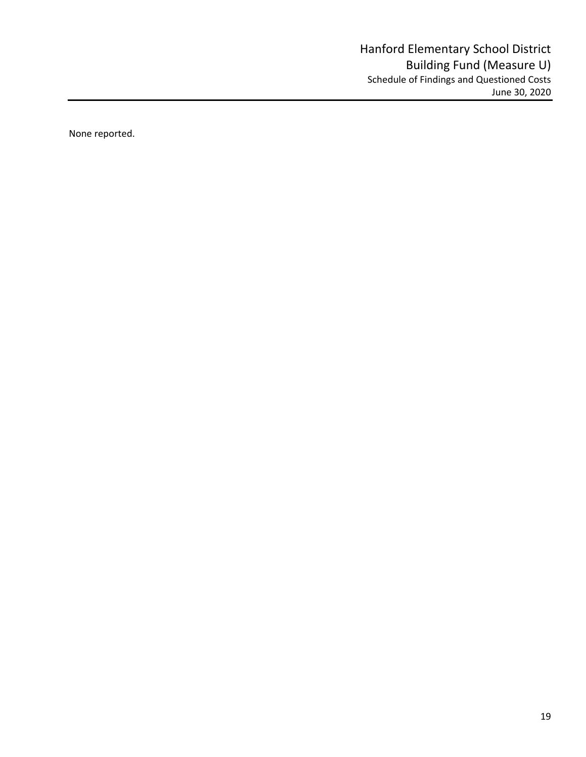None reported.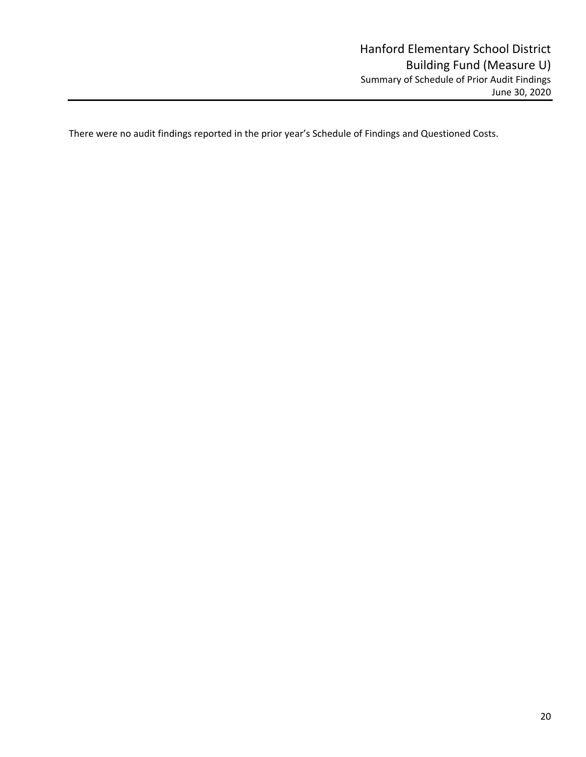There were no audit findings reported in the prior year's Schedule of Findings and Questioned Costs.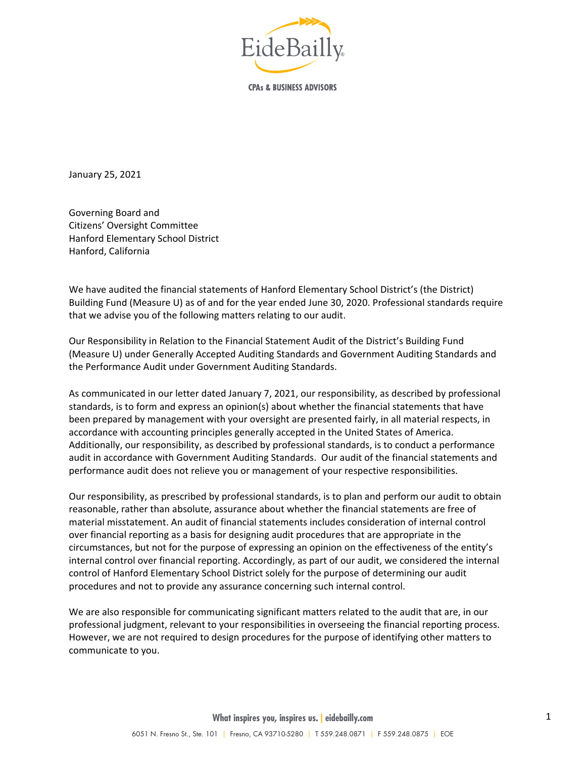

**CPAs & BUSINESS ADVISORS** 

January 25, 2021

Governing Board and Citizens' Oversight Committee Hanford Elementary School District Hanford, California

We have audited the financial statements of Hanford Elementary School District's (the District) Building Fund (Measure U) as of and for the year ended June 30, 2020. Professional standards require that we advise you of the following matters relating to our audit.

Our Responsibility in Relation to the Financial Statement Audit of the District's Building Fund (Measure U) under Generally Accepted Auditing Standards and Government Auditing Standards and the Performance Audit under Government Auditing Standards.

As communicated in our letter dated January 7, 2021, our responsibility, as described by professional standards, is to form and express an opinion(s) about whether the financial statements that have been prepared by management with your oversight are presented fairly, in all material respects, in accordance with accounting principles generally accepted in the United States of America. Additionally, our responsibility, as described by professional standards, is to conduct a performance audit in accordance with Government Auditing Standards. Our audit of the financial statements and performance audit does not relieve you or management of your respective responsibilities.

Our responsibility, as prescribed by professional standards, is to plan and perform our audit to obtain reasonable, rather than absolute, assurance about whether the financial statements are free of material misstatement. An audit of financial statements includes consideration of internal control over financial reporting as a basis for designing audit procedures that are appropriate in the circumstances, but not for the purpose of expressing an opinion on the effectiveness of the entity's internal control over financial reporting. Accordingly, as part of our audit, we considered the internal control of Hanford Elementary School District solely for the purpose of determining our audit procedures and not to provide any assurance concerning such internal control.

We are also responsible for communicating significant matters related to the audit that are, in our professional judgment, relevant to your responsibilities in overseeing the financial reporting process. However, we are not required to design procedures for the purpose of identifying other matters to communicate to you.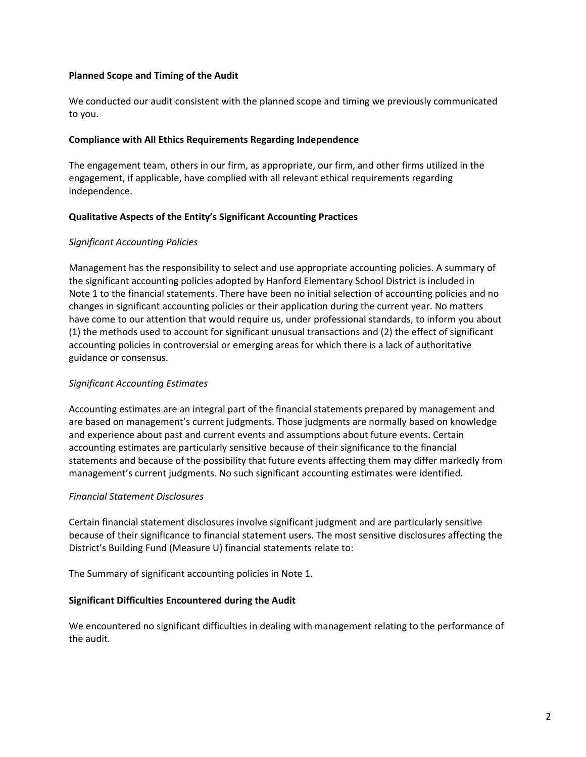#### **Planned Scope and Timing of the Audit**

We conducted our audit consistent with the planned scope and timing we previously communicated to you.

#### **Compliance with All Ethics Requirements Regarding Independence**

The engagement team, others in our firm, as appropriate, our firm, and other firms utilized in the engagement, if applicable, have complied with all relevant ethical requirements regarding independence.

#### **Qualitative Aspects of the Entity's Significant Accounting Practices**

#### *Significant Accounting Policies*

Management has the responsibility to select and use appropriate accounting policies. A summary of the significant accounting policies adopted by Hanford Elementary School District is included in Note 1 to the financial statements. There have been no initial selection of accounting policies and no changes in significant accounting policies or their application during the current year. No matters have come to our attention that would require us, under professional standards, to inform you about (1) the methods used to account for significant unusual transactions and (2) the effect of significant accounting policies in controversial or emerging areas for which there is a lack of authoritative guidance or consensus.

#### *Significant Accounting Estimates*

Accounting estimates are an integral part of the financial statements prepared by management and are based on management's current judgments. Those judgments are normally based on knowledge and experience about past and current events and assumptions about future events. Certain accounting estimates are particularly sensitive because of their significance to the financial statements and because of the possibility that future events affecting them may differ markedly from management's current judgments. No such significant accounting estimates were identified.

#### *Financial Statement Disclosures*

Certain financial statement disclosures involve significant judgment and are particularly sensitive because of their significance to financial statement users. The most sensitive disclosures affecting the District's Building Fund (Measure U) financial statements relate to:

The Summary of significant accounting policies in Note 1.

#### **Significant Difficulties Encountered during the Audit**

We encountered no significant difficulties in dealing with management relating to the performance of the audit.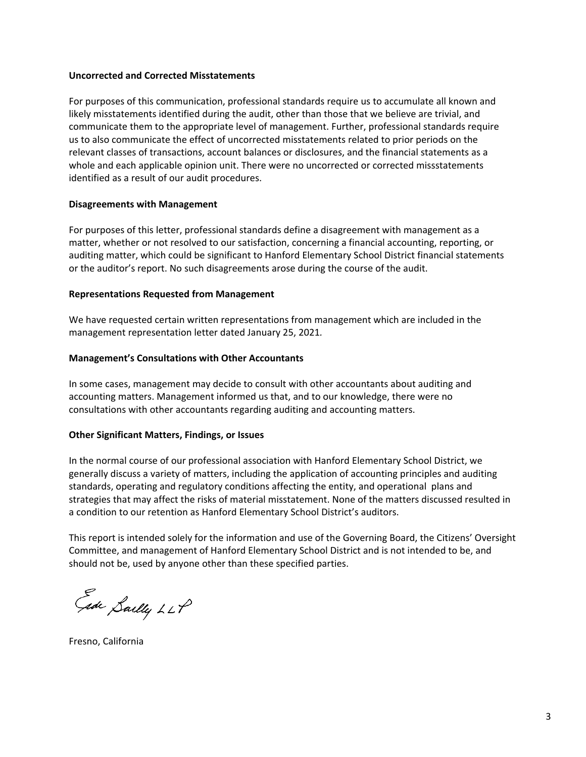#### **Uncorrected and Corrected Misstatements**

For purposes of this communication, professional standards require us to accumulate all known and likely misstatements identified during the audit, other than those that we believe are trivial, and communicate them to the appropriate level of management. Further, professional standards require us to also communicate the effect of uncorrected misstatements related to prior periods on the relevant classes of transactions, account balances or disclosures, and the financial statements as a whole and each applicable opinion unit. There were no uncorrected or corrected missstatements identified as a result of our audit procedures.

#### **Disagreements with Management**

For purposes of this letter, professional standards define a disagreement with management as a matter, whether or not resolved to our satisfaction, concerning a financial accounting, reporting, or auditing matter, which could be significant to Hanford Elementary School District financial statements or the auditor's report. No such disagreements arose during the course of the audit.

#### **Representations Requested from Management**

We have requested certain written representations from management which are included in the management representation letter dated January 25, 2021*.* 

#### **Management's Consultations with Other Accountants**

In some cases, management may decide to consult with other accountants about auditing and accounting matters. Management informed us that, and to our knowledge, there were no consultations with other accountants regarding auditing and accounting matters.

#### **Other Significant Matters, Findings, or Issues**

In the normal course of our professional association with Hanford Elementary School District, we generally discuss a variety of matters, including the application of accounting principles and auditing standards, operating and regulatory conditions affecting the entity, and operational plans and strategies that may affect the risks of material misstatement. None of the matters discussed resulted in a condition to our retention as Hanford Elementary School District's auditors.

This report is intended solely for the information and use of the Governing Board, the Citizens' Oversight Committee, and management of Hanford Elementary School District and is not intended to be, and should not be, used by anyone other than these specified parties.

Ede Sailly LLP

Fresno, California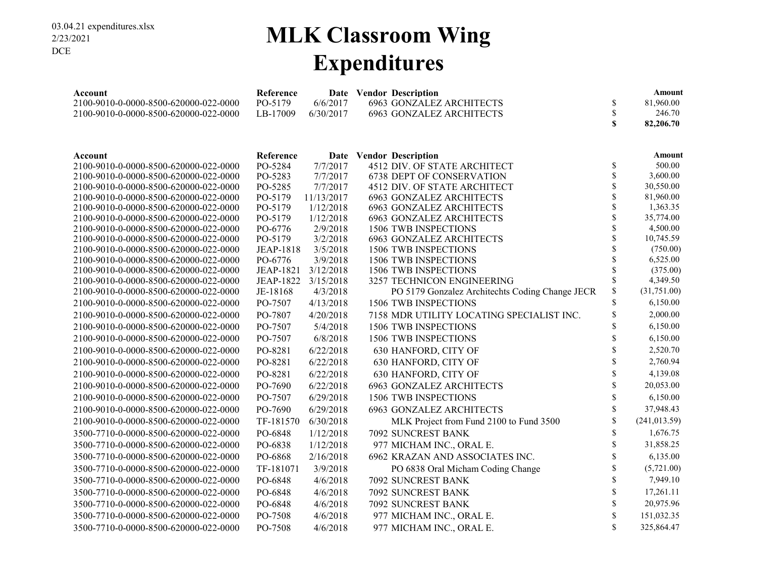### **MLK Classroom Wing Expenditures**

| Account                               | Reference        |            | Date Vendor Description                         |               | Amount        |
|---------------------------------------|------------------|------------|-------------------------------------------------|---------------|---------------|
| 2100-9010-0-0000-8500-620000-022-0000 | PO-5179          | 6/6/2017   | <b>6963 GONZALEZ ARCHITECTS</b>                 | \$            | 81,960.00     |
| 2100-9010-0-0000-8500-620000-022-0000 | LB-17009         | 6/30/2017  | <b>6963 GONZALEZ ARCHITECTS</b>                 | \$            | 246.70        |
|                                       |                  |            |                                                 | $\mathbf{s}$  | 82,206.70     |
|                                       |                  |            |                                                 |               |               |
| Account                               | Reference        |            | Date Vendor Description                         |               | Amount        |
| 2100-9010-0-0000-8500-620000-022-0000 | PO-5284          | 7/7/2017   | 4512 DIV. OF STATE ARCHITECT                    | \$            | 500.00        |
| 2100-9010-0-0000-8500-620000-022-0000 | PO-5283          | 7/7/2017   | <b>6738 DEPT OF CONSERVATION</b>                | $\mathbb{S}$  | 3,600.00      |
| 2100-9010-0-0000-8500-620000-022-0000 | PO-5285          | 7/7/2017   | 4512 DIV. OF STATE ARCHITECT                    | \$            | 30,550.00     |
| 2100-9010-0-0000-8500-620000-022-0000 | PO-5179          | 11/13/2017 | <b>6963 GONZALEZ ARCHITECTS</b>                 | \$            | 81,960.00     |
| 2100-9010-0-0000-8500-620000-022-0000 | PO-5179          | 1/12/2018  | <b>6963 GONZALEZ ARCHITECTS</b>                 | \$            | 1,363.35      |
| 2100-9010-0-0000-8500-620000-022-0000 | PO-5179          | 1/12/2018  | <b>6963 GONZALEZ ARCHITECTS</b>                 | \$            | 35,774.00     |
| 2100-9010-0-0000-8500-620000-022-0000 | PO-6776          | 2/9/2018   | 1506 TWB INSPECTIONS                            | \$            | 4,500.00      |
| 2100-9010-0-0000-8500-620000-022-0000 | PO-5179          | 3/2/2018   | <b>6963 GONZALEZ ARCHITECTS</b>                 | \$            | 10,745.59     |
| 2100-9010-0-0000-8500-620000-022-0000 | <b>JEAP-1818</b> | 3/5/2018   | 1506 TWB INSPECTIONS                            | \$            | (750.00)      |
| 2100-9010-0-0000-8500-620000-022-0000 | PO-6776          | 3/9/2018   | 1506 TWB INSPECTIONS                            | \$            | 6,525.00      |
| 2100-9010-0-0000-8500-620000-022-0000 | <b>JEAP-1821</b> | 3/12/2018  | 1506 TWB INSPECTIONS                            | \$            | (375.00)      |
| 2100-9010-0-0000-8500-620000-022-0000 | <b>JEAP-1822</b> | 3/15/2018  | 3257 TECHNICON ENGINEERING                      | \$            | 4,349.50      |
| 2100-9010-0-0000-8500-620000-022-0000 | JE-18168         | 4/3/2018   | PO 5179 Gonzalez Architechts Coding Change JECR | $\mathbb S$   | (31,751.00)   |
| 2100-9010-0-0000-8500-620000-022-0000 | PO-7507          | 4/13/2018  | 1506 TWB INSPECTIONS                            | $\mathbb S$   | 6,150.00      |
| 2100-9010-0-0000-8500-620000-022-0000 | PO-7807          | 4/20/2018  | 7158 MDR UTILITY LOCATING SPECIALIST INC.       | \$            | 2,000.00      |
| 2100-9010-0-0000-8500-620000-022-0000 | PO-7507          | 5/4/2018   | 1506 TWB INSPECTIONS                            | $\mathsf{\$}$ | 6,150.00      |
| 2100-9010-0-0000-8500-620000-022-0000 | PO-7507          | 6/8/2018   | 1506 TWB INSPECTIONS                            | $\mathsf{\$}$ | 6,150.00      |
| 2100-9010-0-0000-8500-620000-022-0000 | PO-8281          | 6/22/2018  | 630 HANFORD, CITY OF                            | $\mathsf{\$}$ | 2,520.70      |
| 2100-9010-0-0000-8500-620000-022-0000 | PO-8281          | 6/22/2018  | 630 HANFORD, CITY OF                            | $\mathbb S$   | 2,760.94      |
| 2100-9010-0-0000-8500-620000-022-0000 | PO-8281          | 6/22/2018  | 630 HANFORD, CITY OF                            | $\mathbb S$   | 4,139.08      |
| 2100-9010-0-0000-8500-620000-022-0000 | PO-7690          | 6/22/2018  | <b>6963 GONZALEZ ARCHITECTS</b>                 | $\mathsf{\$}$ | 20,053.00     |
| 2100-9010-0-0000-8500-620000-022-0000 | PO-7507          | 6/29/2018  | 1506 TWB INSPECTIONS                            | \$            | 6,150.00      |
| 2100-9010-0-0000-8500-620000-022-0000 | PO-7690          | 6/29/2018  | <b>6963 GONZALEZ ARCHITECTS</b>                 | $\mathbb S$   | 37,948.43     |
| 2100-9010-0-0000-8500-620000-022-0000 | TF-181570        | 6/30/2018  | MLK Project from Fund 2100 to Fund 3500         | \$            | (241, 013.59) |
| 3500-7710-0-0000-8500-620000-022-0000 | PO-6848          | 1/12/2018  | 7092 SUNCREST BANK                              | \$            | 1,676.75      |
| 3500-7710-0-0000-8500-620000-022-0000 | PO-6838          | 1/12/2018  | 977 MICHAM INC., ORAL E.                        | \$            | 31,858.25     |
| 3500-7710-0-0000-8500-620000-022-0000 | PO-6868          | 2/16/2018  | 6962 KRAZAN AND ASSOCIATES INC.                 | \$            | 6,135.00      |
| 3500-7710-0-0000-8500-620000-022-0000 | TF-181071        | 3/9/2018   | PO 6838 Oral Micham Coding Change               | $\mathbb S$   | (5,721.00)    |
| 3500-7710-0-0000-8500-620000-022-0000 | PO-6848          | 4/6/2018   | 7092 SUNCREST BANK                              | $\mathbb S$   | 7,949.10      |
| 3500-7710-0-0000-8500-620000-022-0000 | PO-6848          | 4/6/2018   | 7092 SUNCREST BANK                              | $\mathbb S$   | 17,261.11     |
| 3500-7710-0-0000-8500-620000-022-0000 | PO-6848          | 4/6/2018   | 7092 SUNCREST BANK                              | $\mathbb S$   | 20,975.96     |
| 3500-7710-0-0000-8500-620000-022-0000 | PO-7508          | 4/6/2018   | 977 MICHAM INC., ORAL E.                        | $\mathsf{\$}$ | 151,032.35    |
| 3500-7710-0-0000-8500-620000-022-0000 | PO-7508          | 4/6/2018   | 977 MICHAM INC., ORAL E.                        | \$            | 325,864.47    |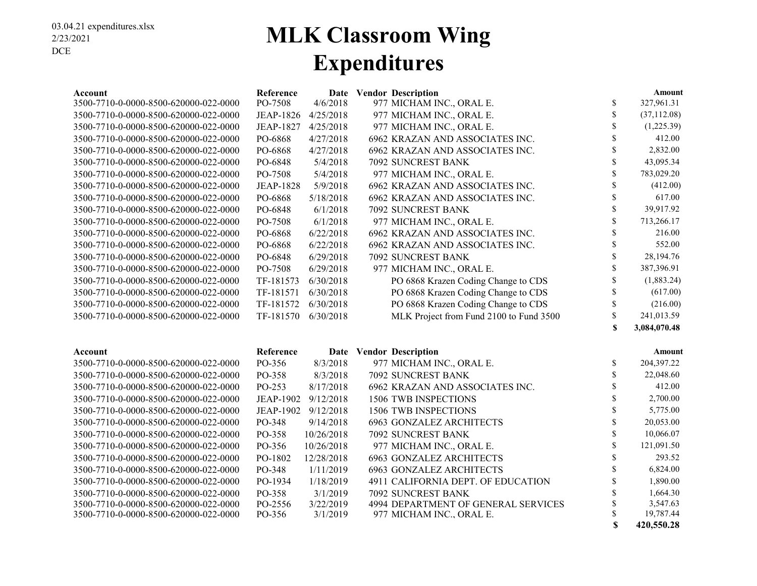### **MLK Classroom Wing Expenditures**

| Account                               | Reference           |            | Date Vendor Description                 |               | <b>Amount</b> |
|---------------------------------------|---------------------|------------|-----------------------------------------|---------------|---------------|
| 3500-7710-0-0000-8500-620000-022-0000 | PO-7508             | 4/6/2018   | 977 MICHAM INC., ORAL E.                | $\mathbb{S}$  | 327,961.31    |
| 3500-7710-0-0000-8500-620000-022-0000 | <b>JEAP-1826</b>    | 4/25/2018  | 977 MICHAM INC., ORAL E.                | $\mathbb{S}$  | (37, 112.08)  |
| 3500-7710-0-0000-8500-620000-022-0000 | <b>JEAP-1827</b>    | 4/25/2018  | 977 MICHAM INC., ORAL E.                | \$            | (1,225.39)    |
| 3500-7710-0-0000-8500-620000-022-0000 | PO-6868             | 4/27/2018  | 6962 KRAZAN AND ASSOCIATES INC.         | \$            | 412.00        |
| 3500-7710-0-0000-8500-620000-022-0000 | PO-6868             | 4/27/2018  | 6962 KRAZAN AND ASSOCIATES INC.         | \$            | 2,832.00      |
| 3500-7710-0-0000-8500-620000-022-0000 | PO-6848             | 5/4/2018   | 7092 SUNCREST BANK                      | $\mathbb S$   | 43,095.34     |
| 3500-7710-0-0000-8500-620000-022-0000 | PO-7508             | 5/4/2018   | 977 MICHAM INC., ORAL E.                | $\mathbb{S}$  | 783,029.20    |
| 3500-7710-0-0000-8500-620000-022-0000 | <b>JEAP-1828</b>    | 5/9/2018   | 6962 KRAZAN AND ASSOCIATES INC.         | \$            | (412.00)      |
| 3500-7710-0-0000-8500-620000-022-0000 | PO-6868             | 5/18/2018  | 6962 KRAZAN AND ASSOCIATES INC.         | \$            | 617.00        |
| 3500-7710-0-0000-8500-620000-022-0000 | PO-6848             | 6/1/2018   | 7092 SUNCREST BANK                      | $\mathbb{S}$  | 39,917.92     |
| 3500-7710-0-0000-8500-620000-022-0000 | PO-7508             | 6/1/2018   | 977 MICHAM INC., ORAL E.                | $\mathbb{S}$  | 713,266.17    |
| 3500-7710-0-0000-8500-620000-022-0000 | PO-6868             | 6/22/2018  | 6962 KRAZAN AND ASSOCIATES INC.         | $\mathcal{S}$ | 216.00        |
| 3500-7710-0-0000-8500-620000-022-0000 | PO-6868             | 6/22/2018  | 6962 KRAZAN AND ASSOCIATES INC.         | \$            | 552.00        |
| 3500-7710-0-0000-8500-620000-022-0000 | PO-6848             | 6/29/2018  | 7092 SUNCREST BANK                      | \$            | 28,194.76     |
| 3500-7710-0-0000-8500-620000-022-0000 | PO-7508             | 6/29/2018  | 977 MICHAM INC., ORAL E.                | \$            | 387,396.91    |
| 3500-7710-0-0000-8500-620000-022-0000 | TF-181573           | 6/30/2018  | PO 6868 Krazen Coding Change to CDS     | \$            | (1,883.24)    |
| 3500-7710-0-0000-8500-620000-022-0000 | TF-181571           | 6/30/2018  | PO 6868 Krazen Coding Change to CDS     | \$            | (617.00)      |
| 3500-7710-0-0000-8500-620000-022-0000 | TF-181572           | 6/30/2018  | PO 6868 Krazen Coding Change to CDS     | $\mathbb{S}$  | (216.00)      |
| 3500-7710-0-0000-8500-620000-022-0000 | TF-181570           | 6/30/2018  | MLK Project from Fund 2100 to Fund 3500 | \$            | 241,013.59    |
|                                       |                     |            |                                         | $\mathbf S$   | 3,084,070.48  |
| Account                               | Reference           | Date       | <b>Vendor Description</b>               |               | <b>Amount</b> |
| 3500-7710-0-0000-8500-620000-022-0000 | PO-356              | 8/3/2018   | 977 MICHAM INC., ORAL E.                | $\mathbb{S}$  | 204,397.22    |
| 3500-7710-0-0000-8500-620000-022-0000 | PO-358              | 8/3/2018   | 7092 SUNCREST BANK                      | \$            | 22,048.60     |
| 3500-7710-0-0000-8500-620000-022-0000 | PO-253              | 8/17/2018  | 6962 KRAZAN AND ASSOCIATES INC.         | \$            | 412.00        |
| 3500-7710-0-0000-8500-620000-022-0000 | <b>JEAP-1902</b>    | 9/12/2018  | 1506 TWB INSPECTIONS                    | \$            | 2,700.00      |
| 3500-7710-0-0000-8500-620000-022-0000 | JEAP-1902 9/12/2018 |            | 1506 TWB INSPECTIONS                    | \$            | 5,775.00      |
| 3500-7710-0-0000-8500-620000-022-0000 | PO-348              | 9/14/2018  | <b>6963 GONZALEZ ARCHITECTS</b>         | \$            | 20,053.00     |
| 3500-7710-0-0000-8500-620000-022-0000 | PO-358              | 10/26/2018 | 7092 SUNCREST BANK                      | \$            | 10,066.07     |
| 3500-7710-0-0000-8500-620000-022-0000 | PO-356              | 10/26/2018 | 977 MICHAM INC., ORAL E.                | \$            | 121,091.50    |
| 3500-7710-0-0000-8500-620000-022-0000 | PO-1802             | 12/28/2018 | <b>6963 GONZALEZ ARCHITECTS</b>         | \$            | 293.52        |
| 3500-7710-0-0000-8500-620000-022-0000 | PO-348              | 1/11/2019  | <b>6963 GONZALEZ ARCHITECTS</b>         | \$            | 6,824.00      |
| 3500-7710-0-0000-8500-620000-022-0000 | PO-1934             | 1/18/2019  | 4911 CALIFORNIA DEPT. OF EDUCATION      | \$            | 1,890.00      |
| 3500-7710-0-0000-8500-620000-022-0000 | PO-358              | 3/1/2019   | 7092 SUNCREST BANK                      | $\mathbf S$   | 1,664.30      |
| 3500-7710-0-0000-8500-620000-022-0000 | PO-2556             | 3/22/2019  | 4994 DEPARTMENT OF GENERAL SERVICES     | $\mathbf S$   | 3,547.63      |
| 3500-7710-0-0000-8500-620000-022-0000 | PO-356              | 3/1/2019   | 977 MICHAM INC., ORAL E.                | \$            | 19,787.44     |
|                                       |                     |            |                                         | \$            | 420,550.28    |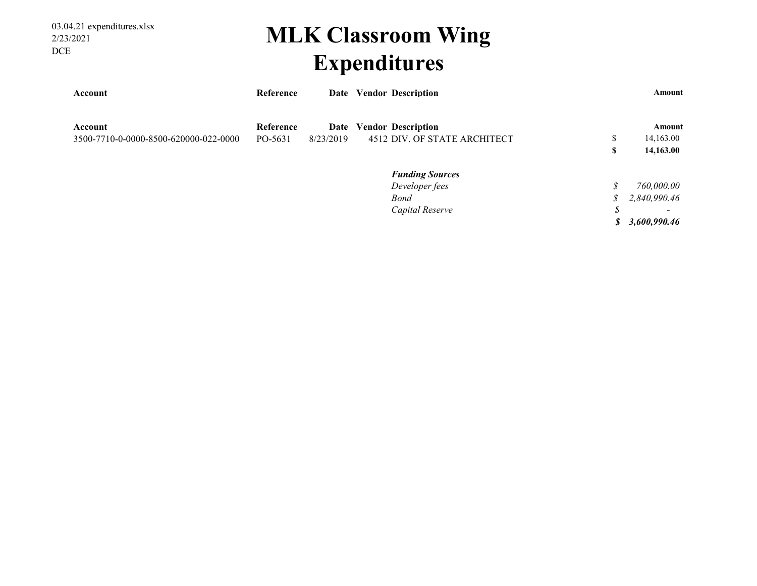03.04.21 expenditures.xlsx 2/23/2021 DCE

### **MLK Classroom Wing Expenditures**

| Account                               | Reference | Date      | <b>Vendor Description</b>    |               | Amount       |
|---------------------------------------|-----------|-----------|------------------------------|---------------|--------------|
| Account                               | Reference | Date      | <b>Vendor Description</b>    |               | Amount       |
| 3500-7710-0-0000-8500-620000-022-0000 | PO-5631   | 8/23/2019 | 4512 DIV. OF STATE ARCHITECT | \$            | 14,163.00    |
|                                       |           |           |                              | S             | 14,163.00    |
|                                       |           |           | <b>Funding Sources</b>       |               |              |
|                                       |           |           | Developer fees               | \$            | 760,000.00   |
|                                       |           |           | <b>Bond</b>                  | $\mathcal{S}$ | 2,840,990.46 |
|                                       |           |           | Capital Reserve              | \$            |              |
|                                       |           |           |                              | S             | 3,600,990.46 |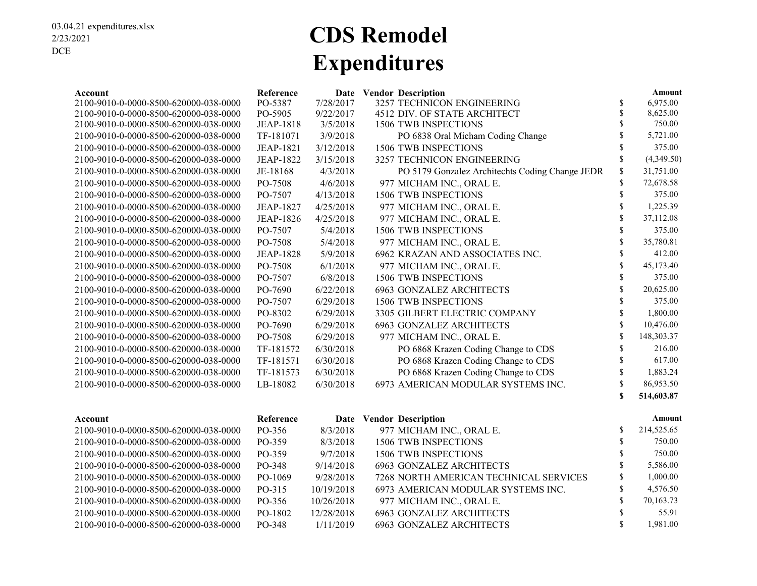### **CDS Remodel Expenditures**

| Account                               | Reference        |            | Date Vendor Description                         |                    | Amount     |
|---------------------------------------|------------------|------------|-------------------------------------------------|--------------------|------------|
| 2100-9010-0-0000-8500-620000-038-0000 | PO-5387          | 7/28/2017  | 3257 TECHNICON ENGINEERING                      | \$                 | 6.975.00   |
| 2100-9010-0-0000-8500-620000-038-0000 | PO-5905          | 9/22/2017  | 4512 DIV. OF STATE ARCHITECT                    | $\mathbb S$        | 8,625.00   |
| 2100-9010-0-0000-8500-620000-038-0000 | <b>JEAP-1818</b> | 3/5/2018   | 1506 TWB INSPECTIONS                            | $\mathbf{\hat{S}}$ | 750.00     |
| 2100-9010-0-0000-8500-620000-038-0000 | TF-181071        | 3/9/2018   | PO 6838 Oral Micham Coding Change               | \$                 | 5,721.00   |
| 2100-9010-0-0000-8500-620000-038-0000 | <b>JEAP-1821</b> | 3/12/2018  | 1506 TWB INSPECTIONS                            | \$                 | 375.00     |
| 2100-9010-0-0000-8500-620000-038-0000 | <b>JEAP-1822</b> | 3/15/2018  | 3257 TECHNICON ENGINEERING                      | \$                 | (4,349.50) |
| 2100-9010-0-0000-8500-620000-038-0000 | JE-18168         | 4/3/2018   | PO 5179 Gonzalez Architechts Coding Change JEDR | \$                 | 31,751.00  |
| 2100-9010-0-0000-8500-620000-038-0000 | PO-7508          | 4/6/2018   | 977 MICHAM INC., ORAL E.                        | \$                 | 72,678.58  |
| 2100-9010-0-0000-8500-620000-038-0000 | PO-7507          | 4/13/2018  | 1506 TWB INSPECTIONS                            | \$                 | 375.00     |
| 2100-9010-0-0000-8500-620000-038-0000 | <b>JEAP-1827</b> | 4/25/2018  | 977 MICHAM INC., ORAL E.                        | \$                 | 1,225.39   |
| 2100-9010-0-0000-8500-620000-038-0000 | <b>JEAP-1826</b> | 4/25/2018  | 977 MICHAM INC., ORAL E.                        | \$                 | 37,112.08  |
| 2100-9010-0-0000-8500-620000-038-0000 | PO-7507          | 5/4/2018   | 1506 TWB INSPECTIONS                            | \$                 | 375.00     |
| 2100-9010-0-0000-8500-620000-038-0000 | PO-7508          | 5/4/2018   | 977 MICHAM INC., ORAL E.                        | \$                 | 35,780.81  |
| 2100-9010-0-0000-8500-620000-038-0000 | <b>JEAP-1828</b> | 5/9/2018   | 6962 KRAZAN AND ASSOCIATES INC.                 | $\mathbf S$        | 412.00     |
| 2100-9010-0-0000-8500-620000-038-0000 | PO-7508          | 6/1/2018   | 977 MICHAM INC., ORAL E.                        | $\mathbb{S}$       | 45,173.40  |
| 2100-9010-0-0000-8500-620000-038-0000 | PO-7507          | 6/8/2018   | 1506 TWB INSPECTIONS                            | \$                 | 375.00     |
| 2100-9010-0-0000-8500-620000-038-0000 | PO-7690          | 6/22/2018  | <b>6963 GONZALEZ ARCHITECTS</b>                 | \$                 | 20,625.00  |
| 2100-9010-0-0000-8500-620000-038-0000 | PO-7507          | 6/29/2018  | 1506 TWB INSPECTIONS                            | \$                 | 375.00     |
| 2100-9010-0-0000-8500-620000-038-0000 | PO-8302          | 6/29/2018  | 3305 GILBERT ELECTRIC COMPANY                   | $\mathbf{\hat{S}}$ | 1,800.00   |
| 2100-9010-0-0000-8500-620000-038-0000 | PO-7690          | 6/29/2018  | <b>6963 GONZALEZ ARCHITECTS</b>                 | \$                 | 10,476.00  |
| 2100-9010-0-0000-8500-620000-038-0000 | PO-7508          | 6/29/2018  | 977 MICHAM INC., ORAL E.                        | \$                 | 148,303.37 |
| 2100-9010-0-0000-8500-620000-038-0000 | TF-181572        | 6/30/2018  | PO 6868 Krazen Coding Change to CDS             | $\$$               | 216.00     |
| 2100-9010-0-0000-8500-620000-038-0000 | TF-181571        | 6/30/2018  | PO 6868 Krazen Coding Change to CDS             | \$                 | 617.00     |
| 2100-9010-0-0000-8500-620000-038-0000 | TF-181573        | 6/30/2018  | PO 6868 Krazen Coding Change to CDS             | \$                 | 1,883.24   |
| 2100-9010-0-0000-8500-620000-038-0000 | LB-18082         | 6/30/2018  | 6973 AMERICAN MODULAR SYSTEMS INC.              | $\mathbf S$        | 86,953.50  |
|                                       |                  |            |                                                 | S                  | 514,603.87 |
| Account                               | Reference        |            | Date Vendor Description                         |                    | Amount     |
| 2100-9010-0-0000-8500-620000-038-0000 | PO-356           | 8/3/2018   | 977 MICHAM INC., ORAL E.                        | \$                 | 214,525.65 |
| 2100-9010-0-0000-8500-620000-038-0000 | PO-359           | 8/3/2018   | 1506 TWB INSPECTIONS                            | \$                 | 750.00     |
| 2100-9010-0-0000-8500-620000-038-0000 | PO-359           | 9/7/2018   | 1506 TWB INSPECTIONS                            | \$                 | 750.00     |
| 2100-9010-0-0000-8500-620000-038-0000 | PO-348           | 9/14/2018  | <b>6963 GONZALEZ ARCHITECTS</b>                 | \$                 | 5,586.00   |
| 2100-9010-0-0000-8500-620000-038-0000 | PO-1069          | 9/28/2018  | 7268 NORTH AMERICAN TECHNICAL SERVICES          | \$                 | 1,000.00   |
| 2100-9010-0-0000-8500-620000-038-0000 | PO-315           | 10/19/2018 | 6973 AMERICAN MODULAR SYSTEMS INC.              | \$                 | 4,576.50   |
| 2100-9010-0-0000-8500-620000-038-0000 | PO-356           | 10/26/2018 | 977 MICHAM INC., ORAL E.                        | $\mathbf{\hat{S}}$ | 70,163.73  |

2100-9010-0-0000-8500-620000-038-0000 PO-1802 12/28/2018 6963 GONZALEZ ARCHITECTS \$ 55.91 2100-9010-0-0000-8500-620000-038-0000 PO-348 1/11/2019 6963 GONZALEZ ARCHITECTS \$ 1,981.00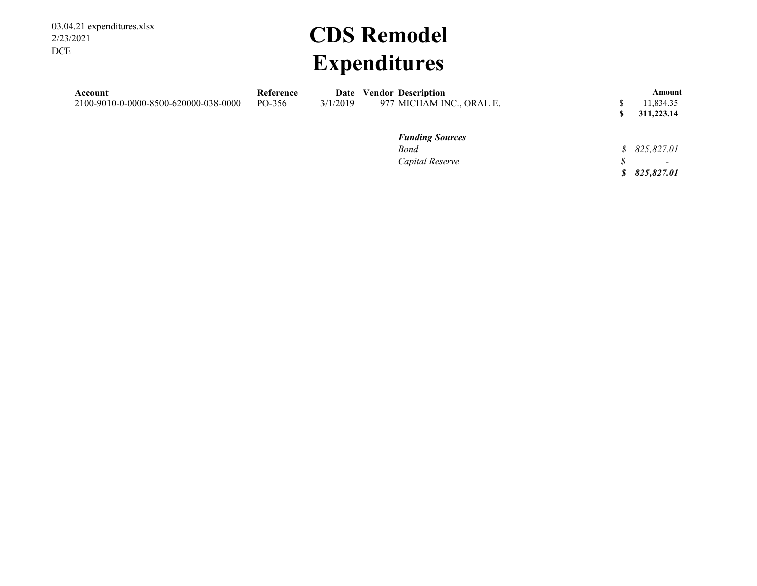03.04.21 expenditures.xlsx 2/23/2021 DCE

# **CDS Remodel Expenditures**

| Account<br>2100-9010-0-0000-8500-620000-038-0000 | Reference<br>PO-356 | Date<br>3/1/2019 | <b>Vendor Description</b><br>977 MICHAM INC., ORAL E. | Amount<br>11,834.35<br>311,223.14 |
|--------------------------------------------------|---------------------|------------------|-------------------------------------------------------|-----------------------------------|
|                                                  |                     |                  | <b>Funding Sources</b>                                |                                   |
|                                                  |                     |                  | Bond                                                  | \$825,827.01                      |
|                                                  |                     |                  | Capital Reserve                                       | $\overline{\phantom{0}}$          |

*\$ 825,827.01*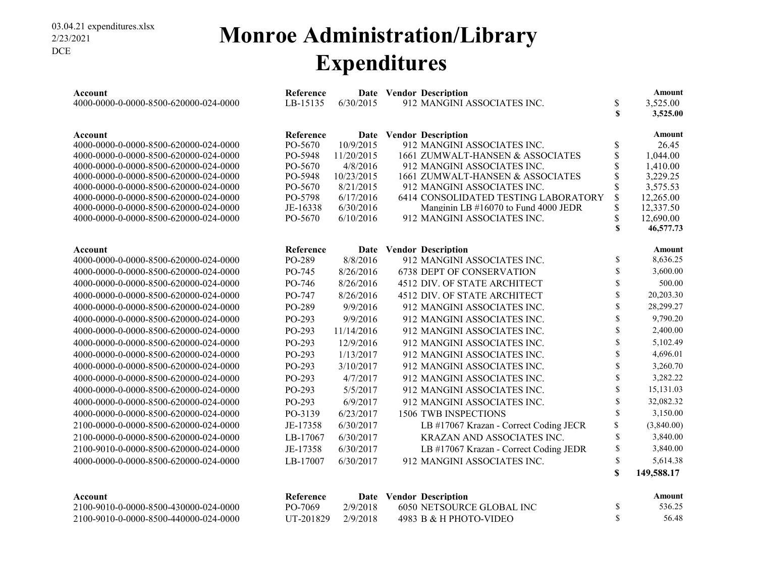### **Monroe Administration/Library Expenditures**

| Account<br>4000-0000-0-0000-8500-620000-024-0000 | Reference<br>LB-15135 | 6/30/2015  | Date Vendor Description<br>912 MANGINI ASSOCIATES INC. | \$<br>$\mathbf S$ | <b>Amount</b><br>3,525.00<br>3,525.00 |
|--------------------------------------------------|-----------------------|------------|--------------------------------------------------------|-------------------|---------------------------------------|
|                                                  |                       |            |                                                        |                   |                                       |
| Account                                          | Reference             |            | Date Vendor Description                                |                   | <b>Amount</b>                         |
| 4000-0000-0-0000-8500-620000-024-0000            | PO-5670               | 10/9/2015  | 912 MANGINI ASSOCIATES INC.                            | \$                | 26.45                                 |
| 4000-0000-0-0000-8500-620000-024-0000            | PO-5948               | 11/20/2015 | 1661 ZUMWALT-HANSEN & ASSOCIATES                       | \$                | 1,044.00                              |
| 4000-0000-0-0000-8500-620000-024-0000            | PO-5670               | 4/8/2016   | 912 MANGINI ASSOCIATES INC.                            | \$                | 1,410.00                              |
| 4000-0000-0-0000-8500-620000-024-0000            | PO-5948               | 10/23/2015 | 1661 ZUMWALT-HANSEN & ASSOCIATES                       | \$                | 3,229.25                              |
| 4000-0000-0-0000-8500-620000-024-0000            | PO-5670               | 8/21/2015  | 912 MANGINI ASSOCIATES INC.                            | \$                | 3,575.53                              |
| 4000-0000-0-0000-8500-620000-024-0000            | PO-5798               | 6/17/2016  | 6414 CONSOLIDATED TESTING LABORATORY                   | \$                | 12,265.00                             |
| 4000-0000-0-0000-8500-620000-024-0000            | JE-16338              | 6/30/2016  | Manginin LB #16070 to Fund 4000 JEDR                   | \$                | 12,337.50                             |
| 4000-0000-0-0000-8500-620000-024-0000            | PO-5670               | 6/10/2016  | 912 MANGINI ASSOCIATES INC.                            | \$                | 12,690.00                             |
|                                                  |                       |            |                                                        | $\mathbf S$       | 46,577.73                             |
| Account                                          | Reference             |            | Date Vendor Description                                |                   | <b>Amount</b>                         |
| 4000-0000-0-0000-8500-620000-024-0000            | PO-289                | 8/8/2016   | 912 MANGINI ASSOCIATES INC.                            | \$                | 8,636.25                              |
| 4000-0000-0-0000-8500-620000-024-0000            | PO-745                | 8/26/2016  | <b>6738 DEPT OF CONSERVATION</b>                       | \$                | 3,600.00                              |
| 4000-0000-0-0000-8500-620000-024-0000            | PO-746                | 8/26/2016  | 4512 DIV. OF STATE ARCHITECT                           | \$                | 500.00                                |
| 4000-0000-0-0000-8500-620000-024-0000            | PO-747                | 8/26/2016  | 4512 DIV. OF STATE ARCHITECT                           | \$                | 20,203.30                             |
| 4000-0000-0-0000-8500-620000-024-0000            | PO-289                | 9/9/2016   | 912 MANGINI ASSOCIATES INC.                            | \$                | 28,299.27                             |
| 4000-0000-0-0000-8500-620000-024-0000            | PO-293                | 9/9/2016   | 912 MANGINI ASSOCIATES INC.                            | \$                | 9,790.20                              |
| 4000-0000-0-0000-8500-620000-024-0000            | PO-293                | 11/14/2016 | 912 MANGINI ASSOCIATES INC.                            | \$                | 2,400.00                              |
| 4000-0000-0-0000-8500-620000-024-0000            | PO-293                | 12/9/2016  | 912 MANGINI ASSOCIATES INC.                            | \$                | 5,102.49                              |
| 4000-0000-0-0000-8500-620000-024-0000            | PO-293                | 1/13/2017  | 912 MANGINI ASSOCIATES INC.                            | \$                | 4,696.01                              |
| 4000-0000-0-0000-8500-620000-024-0000            | PO-293                | 3/10/2017  | 912 MANGINI ASSOCIATES INC.                            | \$                | 3,260.70                              |
| 4000-0000-0-0000-8500-620000-024-0000            | PO-293                | 4/7/2017   | 912 MANGINI ASSOCIATES INC.                            | \$                | 3,282.22                              |
| 4000-0000-0-0000-8500-620000-024-0000            | PO-293                | 5/5/2017   | 912 MANGINI ASSOCIATES INC.                            | \$                | 15,131.03                             |
| 4000-0000-0-0000-8500-620000-024-0000            | PO-293                | 6/9/2017   | 912 MANGINI ASSOCIATES INC.                            | \$                | 32,082.32                             |
| 4000-0000-0-0000-8500-620000-024-0000            | PO-3139               | 6/23/2017  | 1506 TWB INSPECTIONS                                   | \$                | 3,150.00                              |
| 2100-0000-0-0000-8500-620000-024-0000            | JE-17358              | 6/30/2017  | LB #17067 Krazan - Correct Coding JECR                 | \$                | (3,840.00)                            |
| 2100-0000-0-0000-8500-620000-024-0000            | LB-17067              | 6/30/2017  | KRAZAN AND ASSOCIATES INC.                             | \$                | 3,840.00                              |
| 2100-9010-0-0000-8500-620000-024-0000            | JE-17358              | 6/30/2017  | LB #17067 Krazan - Correct Coding JEDR                 | \$                | 3,840.00                              |
| 4000-0000-0-0000-8500-620000-024-0000            | LB-17007              | 6/30/2017  | 912 MANGINI ASSOCIATES INC.                            | \$                | 5,614.38                              |
|                                                  |                       |            |                                                        | \$                | 149,588.17                            |
|                                                  |                       |            |                                                        |                   |                                       |
| Account                                          | Reference             | Date       | <b>Vendor Description</b>                              |                   | Amount                                |
| 2100-9010-0-0000-8500-430000-024-0000            | PO-7069               | 2/9/2018   | 6050 NETSOURCE GLOBAL INC                              | \$                | 536.25                                |

2100-9010-0-0000-8500-440000-024-0000 UT-201829 2/9/2018 4983 B & H PHOTO-VIDEO \$ 56.48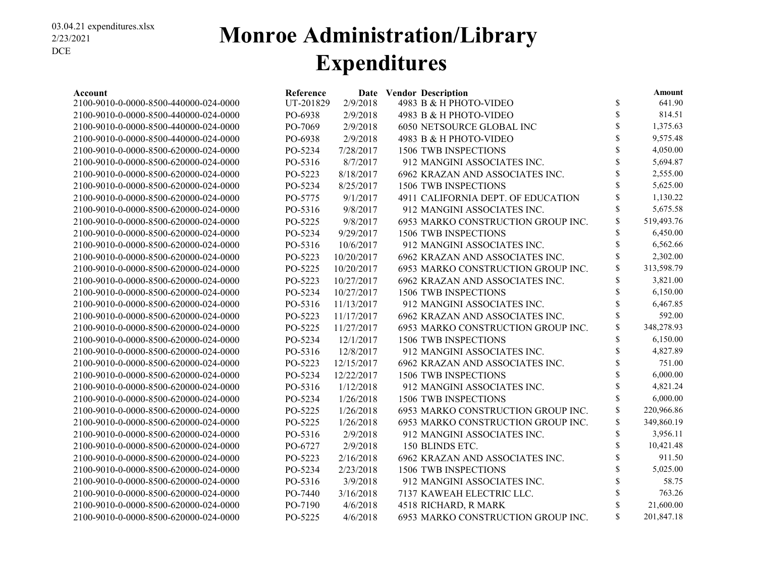### **Monroe Administration/Library Expenditures**

| Account                               | Reference |            | Date Vendor Description            | Amount           |
|---------------------------------------|-----------|------------|------------------------------------|------------------|
| 2100-9010-0-0000-8500-440000-024-0000 | UT-201829 | 2/9/2018   | 4983 B & H PHOTO-VIDEO             | \$<br>641.90     |
| 2100-9010-0-0000-8500-440000-024-0000 | PO-6938   | 2/9/2018   | 4983 B & H PHOTO-VIDEO             | \$<br>814.51     |
| 2100-9010-0-0000-8500-440000-024-0000 | PO-7069   | 2/9/2018   | 6050 NETSOURCE GLOBAL INC          | \$<br>1,375.63   |
| 2100-9010-0-0000-8500-440000-024-0000 | PO-6938   | 2/9/2018   | 4983 B & H PHOTO-VIDEO             | \$<br>9,575.48   |
| 2100-9010-0-0000-8500-620000-024-0000 | PO-5234   | 7/28/2017  | 1506 TWB INSPECTIONS               | \$<br>4,050.00   |
| 2100-9010-0-0000-8500-620000-024-0000 | PO-5316   | 8/7/2017   | 912 MANGINI ASSOCIATES INC.        | \$<br>5,694.87   |
| 2100-9010-0-0000-8500-620000-024-0000 | PO-5223   | 8/18/2017  | 6962 KRAZAN AND ASSOCIATES INC.    | \$<br>2,555.00   |
| 2100-9010-0-0000-8500-620000-024-0000 | PO-5234   | 8/25/2017  | 1506 TWB INSPECTIONS               | \$<br>5,625.00   |
| 2100-9010-0-0000-8500-620000-024-0000 | PO-5775   | 9/1/2017   | 4911 CALIFORNIA DEPT. OF EDUCATION | \$<br>1,130.22   |
| 2100-9010-0-0000-8500-620000-024-0000 | PO-5316   | 9/8/2017   | 912 MANGINI ASSOCIATES INC.        | \$<br>5,675.58   |
| 2100-9010-0-0000-8500-620000-024-0000 | PO-5225   | 9/8/2017   | 6953 MARKO CONSTRUCTION GROUP INC. | \$<br>519,493.76 |
| 2100-9010-0-0000-8500-620000-024-0000 | PO-5234   | 9/29/2017  | 1506 TWB INSPECTIONS               | \$<br>6,450.00   |
| 2100-9010-0-0000-8500-620000-024-0000 | PO-5316   | 10/6/2017  | 912 MANGINI ASSOCIATES INC.        | \$<br>6,562.66   |
| 2100-9010-0-0000-8500-620000-024-0000 | PO-5223   | 10/20/2017 | 6962 KRAZAN AND ASSOCIATES INC.    | \$<br>2,302.00   |
| 2100-9010-0-0000-8500-620000-024-0000 | PO-5225   | 10/20/2017 | 6953 MARKO CONSTRUCTION GROUP INC. | \$<br>313,598.79 |
| 2100-9010-0-0000-8500-620000-024-0000 | PO-5223   | 10/27/2017 | 6962 KRAZAN AND ASSOCIATES INC.    | \$<br>3,821.00   |
| 2100-9010-0-0000-8500-620000-024-0000 | PO-5234   | 10/27/2017 | 1506 TWB INSPECTIONS               | \$<br>6,150.00   |
| 2100-9010-0-0000-8500-620000-024-0000 | PO-5316   | 11/13/2017 | 912 MANGINI ASSOCIATES INC.        | \$<br>6,467.85   |
| 2100-9010-0-0000-8500-620000-024-0000 | PO-5223   | 11/17/2017 | 6962 KRAZAN AND ASSOCIATES INC.    | \$<br>592.00     |
| 2100-9010-0-0000-8500-620000-024-0000 | PO-5225   | 11/27/2017 | 6953 MARKO CONSTRUCTION GROUP INC. | \$<br>348,278.93 |
| 2100-9010-0-0000-8500-620000-024-0000 | PO-5234   | 12/1/2017  | 1506 TWB INSPECTIONS               | \$<br>6,150.00   |
| 2100-9010-0-0000-8500-620000-024-0000 | PO-5316   | 12/8/2017  | 912 MANGINI ASSOCIATES INC.        | \$<br>4,827.89   |
| 2100-9010-0-0000-8500-620000-024-0000 | PO-5223   | 12/15/2017 | 6962 KRAZAN AND ASSOCIATES INC.    | \$<br>751.00     |
| 2100-9010-0-0000-8500-620000-024-0000 | PO-5234   | 12/22/2017 | 1506 TWB INSPECTIONS               | \$<br>6,000.00   |
| 2100-9010-0-0000-8500-620000-024-0000 | PO-5316   | 1/12/2018  | 912 MANGINI ASSOCIATES INC.        | \$<br>4,821.24   |
| 2100-9010-0-0000-8500-620000-024-0000 | PO-5234   | 1/26/2018  | 1506 TWB INSPECTIONS               | \$<br>6,000.00   |
| 2100-9010-0-0000-8500-620000-024-0000 | PO-5225   | 1/26/2018  | 6953 MARKO CONSTRUCTION GROUP INC. | \$<br>220,966.86 |
| 2100-9010-0-0000-8500-620000-024-0000 | PO-5225   | 1/26/2018  | 6953 MARKO CONSTRUCTION GROUP INC. | \$<br>349,860.19 |
| 2100-9010-0-0000-8500-620000-024-0000 | PO-5316   | 2/9/2018   | 912 MANGINI ASSOCIATES INC.        | \$<br>3,956.11   |
| 2100-9010-0-0000-8500-620000-024-0000 | PO-6727   | 2/9/2018   | 150 BLINDS ETC.                    | \$<br>10,421.48  |
| 2100-9010-0-0000-8500-620000-024-0000 | PO-5223   | 2/16/2018  | 6962 KRAZAN AND ASSOCIATES INC.    | 911.50           |
| 2100-9010-0-0000-8500-620000-024-0000 | PO-5234   | 2/23/2018  | 1506 TWB INSPECTIONS               | 5,025.00         |
| 2100-9010-0-0000-8500-620000-024-0000 | PO-5316   | 3/9/2018   | 912 MANGINI ASSOCIATES INC.        | \$<br>58.75      |
| 2100-9010-0-0000-8500-620000-024-0000 | PO-7440   | 3/16/2018  | 7137 KAWEAH ELECTRIC LLC.          | \$<br>763.26     |
| 2100-9010-0-0000-8500-620000-024-0000 | PO-7190   | 4/6/2018   | 4518 RICHARD, R MARK               | \$<br>21,600.00  |
| 2100-9010-0-0000-8500-620000-024-0000 | PO-5225   | 4/6/2018   | 6953 MARKO CONSTRUCTION GROUP INC. | \$<br>201.847.18 |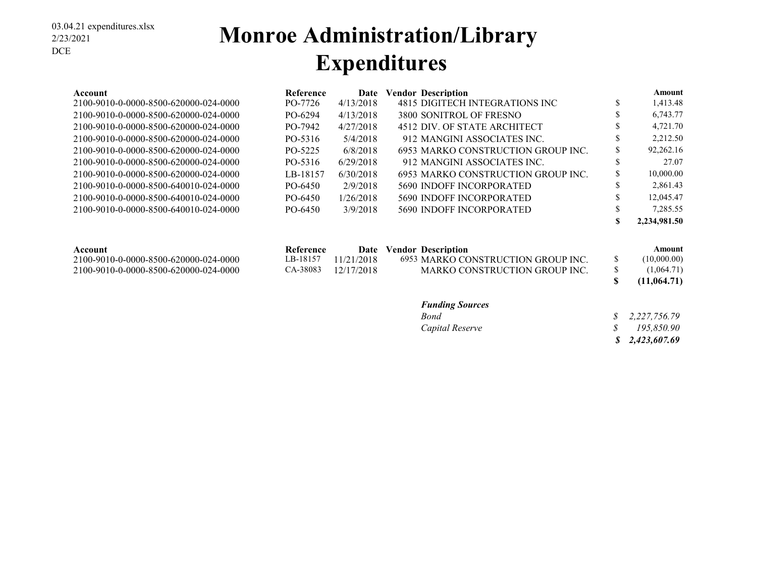#### 03.04.21 expenditures.xlsx 2/23/2021 DCE

### **Monroe Administration/Library Expenditures**

| Account                               | <b>Reference</b> | Date       | <b>Vendor Description</b>          |    | Amount       |
|---------------------------------------|------------------|------------|------------------------------------|----|--------------|
| 2100-9010-0-0000-8500-620000-024-0000 | PO-7726          | 4/13/2018  | 4815 DIGITECH INTEGRATIONS INC     | \$ | 1,413.48     |
| 2100-9010-0-0000-8500-620000-024-0000 | PO-6294          | 4/13/2018  | 3800 SONITROL OF FRESNO            | ъ  | 6,743.77     |
| 2100-9010-0-0000-8500-620000-024-0000 | PO-7942          | 4/27/2018  | 4512 DIV. OF STATE ARCHITECT       | D  | 4,721.70     |
| 2100-9010-0-0000-8500-620000-024-0000 | PO-5316          | 5/4/2018   | 912 MANGINI ASSOCIATES INC.        | D  | 2,212.50     |
| 2100-9010-0-0000-8500-620000-024-0000 | PO-5225          | 6/8/2018   | 6953 MARKO CONSTRUCTION GROUP INC. | S  | 92,262.16    |
| 2100-9010-0-0000-8500-620000-024-0000 | PO-5316          | 6/29/2018  | 912 MANGINI ASSOCIATES INC.        | J. | 27.07        |
| 2100-9010-0-0000-8500-620000-024-0000 | LB-18157         | 6/30/2018  | 6953 MARKO CONSTRUCTION GROUP INC. | ъ  | 10,000.00    |
| 2100-9010-0-0000-8500-640010-024-0000 | PO-6450          | 2/9/2018   | 5690 INDOFF INCORPORATED           | D  | 2,861.43     |
| 2100-9010-0-0000-8500-640010-024-0000 | PO-6450          | 1/26/2018  | 5690 INDOFF INCORPORATED           | S  | 12,045.47    |
| 2100-9010-0-0000-8500-640010-024-0000 | PO-6450          | 3/9/2018   | <b>5690 INDOFF INCORPORATED</b>    | ъ  | 7,285.55     |
|                                       |                  |            |                                    | S  | 2,234,981.50 |
| Account                               | Reference        | Date       | <b>Vendor Description</b>          |    | Amount       |
| 2100-9010-0-0000-8500-620000-024-0000 | LB-18157         | 11/21/2018 | 6953 MARKO CONSTRUCTION GROUP INC. | \$ | (10,000.00)  |
| 2100-9010-0-0000-8500-620000-024-0000 | CA-38083         | 12/17/2018 | MARKO CONSTRUCTION GROUP INC.      | \$ | (1,064.71)   |
|                                       |                  |            |                                    | S  | (11,064.71)  |

#### *Funding Sources*

| Bond            | $\frac{1}{2}$ , 2, 227, 756.79 |
|-----------------|--------------------------------|
| Capital Reserve | 195.850.90                     |
|                 | \$2,423,607.69                 |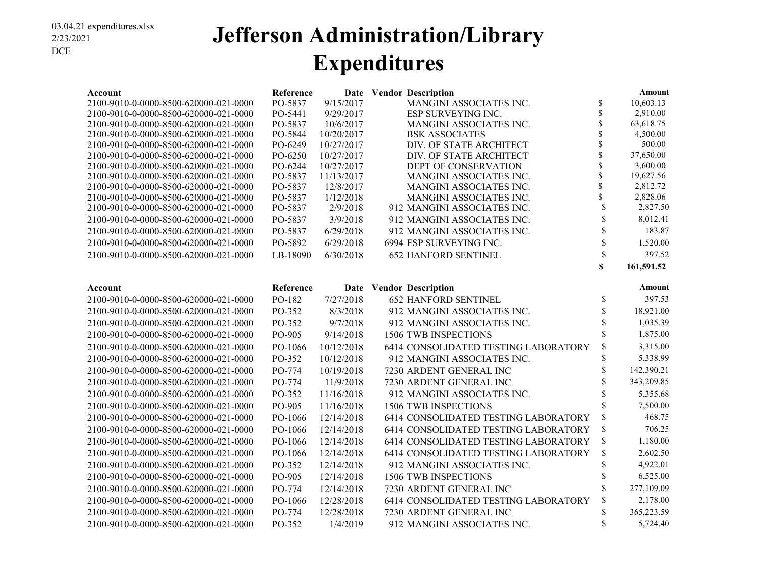### **Jefferson Administration/Library Expenditures**

| Account                                                                        | Reference          |                          | Date Vendor Description                         |             | Amount                |
|--------------------------------------------------------------------------------|--------------------|--------------------------|-------------------------------------------------|-------------|-----------------------|
| 2100-9010-0-0000-8500-620000-021-0000                                          | PO-5837            | 9/15/2017                | MANGINI ASSOCIATES INC.                         | \$          | 10,603.13             |
| 2100-9010-0-0000-8500-620000-021-0000                                          | PO-5441            | 9/29/2017                | ESP SURVEYING INC.                              | \$          | 2,910.00              |
| 2100-9010-0-0000-8500-620000-021-0000                                          | PO-5837            | 10/6/2017                | MANGINI ASSOCIATES INC.                         | \$          | 63,618.75             |
| 2100-9010-0-0000-8500-620000-021-0000                                          | PO-5844            | 10/20/2017               | <b>BSK ASSOCIATES</b>                           | \$          | 4,500.00              |
| 2100-9010-0-0000-8500-620000-021-0000                                          | PO-6249            | 10/27/2017               | DIV. OF STATE ARCHITECT                         | \$          | 500.00                |
| 2100-9010-0-0000-8500-620000-021-0000                                          | PO-6250            | 10/27/2017               | DIV. OF STATE ARCHITECT                         | \$<br>\$    | 37,650.00<br>3,600.00 |
| 2100-9010-0-0000-8500-620000-021-0000<br>2100-9010-0-0000-8500-620000-021-0000 | PO-6244<br>PO-5837 | 10/27/2017<br>11/13/2017 | DEPT OF CONSERVATION<br>MANGINI ASSOCIATES INC. | \$          | 19,627.56             |
| 2100-9010-0-0000-8500-620000-021-0000                                          | PO-5837            | 12/8/2017                | MANGINI ASSOCIATES INC.                         | \$          | 2,812.72              |
| 2100-9010-0-0000-8500-620000-021-0000                                          | PO-5837            | 1/12/2018                | MANGINI ASSOCIATES INC.                         | \$          | 2,828.06              |
| 2100-9010-0-0000-8500-620000-021-0000                                          | PO-5837            | 2/9/2018                 | 912 MANGINI ASSOCIATES INC.                     | \$          | 2,827.50              |
| 2100-9010-0-0000-8500-620000-021-0000                                          | PO-5837            | 3/9/2018                 | 912 MANGINI ASSOCIATES INC.                     | \$          | 8,012.41              |
| 2100-9010-0-0000-8500-620000-021-0000                                          | PO-5837            | 6/29/2018                | 912 MANGINI ASSOCIATES INC.                     | \$          | 183.87                |
| 2100-9010-0-0000-8500-620000-021-0000                                          | PO-5892            | 6/29/2018                | 6994 ESP SURVEYING INC.                         | \$          | 1,520.00              |
| 2100-9010-0-0000-8500-620000-021-0000                                          | LB-18090           | 6/30/2018                | <b>652 HANFORD SENTINEL</b>                     | \$          | 397.52                |
|                                                                                |                    |                          |                                                 | $\mathbf S$ | 161,591.52            |
| Account                                                                        | Reference          |                          | Date Vendor Description                         |             | <b>Amount</b>         |
| 2100-9010-0-0000-8500-620000-021-0000                                          | PO-182             | 7/27/2018                | <b>652 HANFORD SENTINEL</b>                     | \$          | 397.53                |
| 2100-9010-0-0000-8500-620000-021-0000                                          | PO-352             | 8/3/2018                 | 912 MANGINI ASSOCIATES INC.                     | \$          | 18,921.00             |
| 2100-9010-0-0000-8500-620000-021-0000                                          | PO-352             | 9/7/2018                 | 912 MANGINI ASSOCIATES INC.                     | \$          | 1,035.39              |
| 2100-9010-0-0000-8500-620000-021-0000                                          | PO-905             | 9/14/2018                | <b>1506 TWB INSPECTIONS</b>                     | \$          | 1,875.00              |
| 2100-9010-0-0000-8500-620000-021-0000                                          | PO-1066            | 10/12/2018               | 6414 CONSOLIDATED TESTING LABORATORY            | \$          | 3,315.00              |
| 2100-9010-0-0000-8500-620000-021-0000                                          | PO-352             | 10/12/2018               | 912 MANGINI ASSOCIATES INC.                     | \$          | 5,338.99              |
| 2100-9010-0-0000-8500-620000-021-0000                                          | PO-774             | 10/19/2018               | 7230 ARDENT GENERAL INC                         | \$          | 142,390.21            |
| 2100-9010-0-0000-8500-620000-021-0000                                          | PO-774             | 11/9/2018                | 7230 ARDENT GENERAL INC                         | \$          | 343,209.85            |
| 2100-9010-0-0000-8500-620000-021-0000                                          | PO-352             | 11/16/2018               | 912 MANGINI ASSOCIATES INC.                     | \$          | 5,355.68              |
| 2100-9010-0-0000-8500-620000-021-0000                                          | PO-905             | 11/16/2018               | <b>1506 TWB INSPECTIONS</b>                     | \$          | 7,500.00              |
| 2100-9010-0-0000-8500-620000-021-0000                                          | PO-1066            | 12/14/2018               | 6414 CONSOLIDATED TESTING LABORATORY            | \$          | 468.75                |
| 2100-9010-0-0000-8500-620000-021-0000                                          | PO-1066            | 12/14/2018               | 6414 CONSOLIDATED TESTING LABORATORY            | \$          | 706.25                |
| 2100-9010-0-0000-8500-620000-021-0000                                          | PO-1066            | 12/14/2018               | 6414 CONSOLIDATED TESTING LABORATORY            | \$          | 1,180.00              |
| 2100-9010-0-0000-8500-620000-021-0000                                          | PO-1066            | 12/14/2018               | 6414 CONSOLIDATED TESTING LABORATORY            | \$          | 2,602.50              |
| 2100-9010-0-0000-8500-620000-021-0000                                          | PO-352             | 12/14/2018               | 912 MANGINI ASSOCIATES INC.                     | \$          | 4,922.01              |
| 2100-9010-0-0000-8500-620000-021-0000                                          | PO-905             | 12/14/2018               | 1506 TWB INSPECTIONS                            | \$          | 6,525.00              |
| 2100-9010-0-0000-8500-620000-021-0000                                          | PO-774             | 12/14/2018               | 7230 ARDENT GENERAL INC                         | \$          | 277,109.09            |
| 2100-9010-0-0000-8500-620000-021-0000                                          | PO-1066            | 12/28/2018               | 6414 CONSOLIDATED TESTING LABORATORY            | \$          | 2,178.00              |
| 2100-9010-0-0000-8500-620000-021-0000                                          | PO-774             | 12/28/2018               | 7230 ARDENT GENERAL INC                         | \$          | 365,223.59            |
| 2100-9010-0-0000-8500-620000-021-0000                                          | PO-352             | 1/4/2019                 | 912 MANGINI ASSOCIATES INC.                     | \$          | 5,724.40              |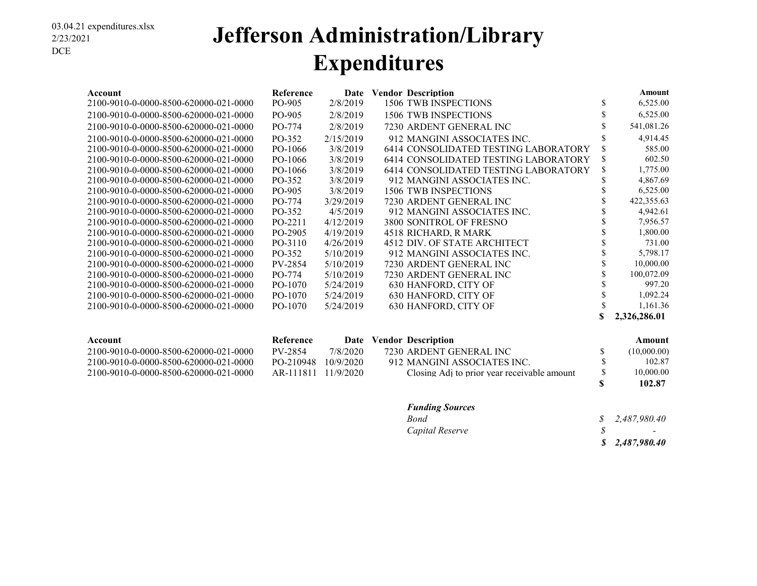### **Jefferson Administration/Library Expenditures**

| Account                               | Reference | Date      | <b>Vendor Description</b>            |    | <b>Amount</b> |
|---------------------------------------|-----------|-----------|--------------------------------------|----|---------------|
| 2100-9010-0-0000-8500-620000-021-0000 | PO-905    | 2/8/2019  | 1506 TWB INSPECTIONS                 | \$ | 6,525.00      |
| 2100-9010-0-0000-8500-620000-021-0000 | PO-905    | 2/8/2019  | 1506 TWB INSPECTIONS                 |    | 6,525.00      |
| 2100-9010-0-0000-8500-620000-021-0000 | PO-774    | 2/8/2019  | 7230 ARDENT GENERAL INC              |    | 541,081.26    |
| 2100-9010-0-0000-8500-620000-021-0000 | PO-352    | 2/15/2019 | 912 MANGINI ASSOCIATES INC.          | ъ  | 4,914.45      |
| 2100-9010-0-0000-8500-620000-021-0000 | PO-1066   | 3/8/2019  | 6414 CONSOLIDATED TESTING LABORATORY | \$ | 585.00        |
| 2100-9010-0-0000-8500-620000-021-0000 | PO-1066   | 3/8/2019  | 6414 CONSOLIDATED TESTING LABORATORY | \$ | 602.50        |
| 2100-9010-0-0000-8500-620000-021-0000 | PO-1066   | 3/8/2019  | 6414 CONSOLIDATED TESTING LABORATORY | \$ | 1,775.00      |
| 2100-9010-0-0000-8500-620000-021-0000 | PO-352    | 3/8/2019  | 912 MANGINI ASSOCIATES INC.          |    | 4,867.69      |
| 2100-9010-0-0000-8500-620000-021-0000 | PO-905    | 3/8/2019  | 1506 TWB INSPECTIONS                 |    | 6,525.00      |
| 2100-9010-0-0000-8500-620000-021-0000 | PO-774    | 3/29/2019 | 7230 ARDENT GENERAL INC              |    | 422,355.63    |
| 2100-9010-0-0000-8500-620000-021-0000 | PO-352    | 4/5/2019  | 912 MANGINI ASSOCIATES INC.          |    | 4,942.61      |
| 2100-9010-0-0000-8500-620000-021-0000 | PO-2211   | 4/12/2019 | 3800 SONITROL OF FRESNO              |    | 7,956.57      |
| 2100-9010-0-0000-8500-620000-021-0000 | PO-2905   | 4/19/2019 | 4518 RICHARD, R MARK                 |    | 1,800.00      |
| 2100-9010-0-0000-8500-620000-021-0000 | PO-3110   | 4/26/2019 | 4512 DIV. OF STATE ARCHITECT         |    | 731.00        |
| 2100-9010-0-0000-8500-620000-021-0000 | PO-352    | 5/10/2019 | 912 MANGINI ASSOCIATES INC.          |    | 5,798.17      |
| 2100-9010-0-0000-8500-620000-021-0000 | PV-2854   | 5/10/2019 | 7230 ARDENT GENERAL INC              |    | 10,000.00     |
| 2100-9010-0-0000-8500-620000-021-0000 | PO-774    | 5/10/2019 | 7230 ARDENT GENERAL INC              |    | 100,072.09    |
| 2100-9010-0-0000-8500-620000-021-0000 | PO-1070   | 5/24/2019 | 630 HANFORD, CITY OF                 |    | 997.20        |
| 2100-9010-0-0000-8500-620000-021-0000 | PO-1070   | 5/24/2019 | 630 HANFORD, CITY OF                 |    | 1,092.24      |
| 2100-9010-0-0000-8500-620000-021-0000 | PO-1070   | 5/24/2019 | 630 HANFORD, CITY OF                 |    | 1,161.36      |
|                                       |           |           |                                      |    | 2,326,286.01  |

| Account                               | Reference           | Date      | <b>Vendor Description</b>                   |    | Amount      |
|---------------------------------------|---------------------|-----------|---------------------------------------------|----|-------------|
| 2100-9010-0-0000-8500-620000-021-0000 | PV-2854             | 7/8/2020  | 7230 ARDENT GENERAL INC                     |    | (10,000.00) |
| 2100-9010-0-0000-8500-620000-021-0000 | PO-210948           | 10/9/2020 | 912 MANGINI ASSOCIATES INC.                 |    | 102.87      |
| 2100-9010-0-0000-8500-620000-021-0000 | AR-111811 11/9/2020 |           | Closing Adi to prior year receivable amount | S. | 10,000.00   |
|                                       |                     |           |                                             |    | 102.87      |

#### *Funding Sources*

| Bond            | \$2,487,980.40           |
|-----------------|--------------------------|
| Capital Reserve | <b>Contract Contract</b> |
|                 | \$2,487,980.40           |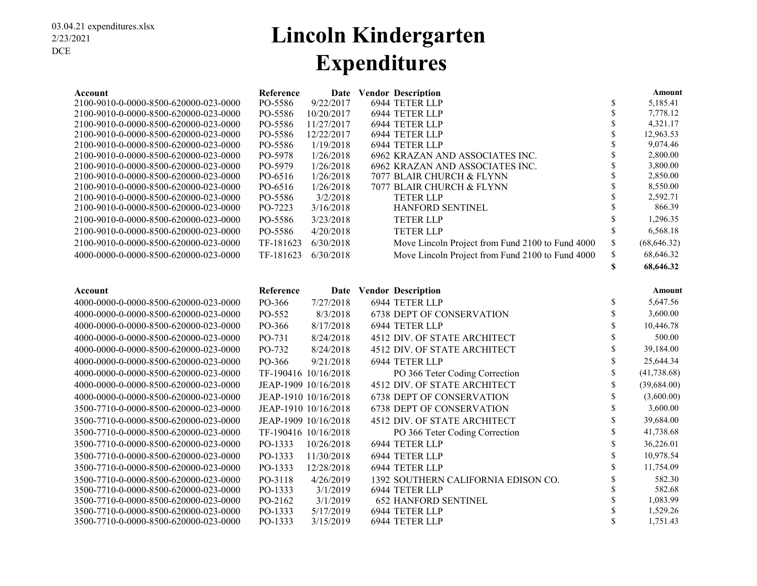### **Lincoln Kindergarten Expenditures**

| Account                                                                        | Reference          |                          | Date Vendor Description                          |             | Amount                |
|--------------------------------------------------------------------------------|--------------------|--------------------------|--------------------------------------------------|-------------|-----------------------|
| 2100-9010-0-0000-8500-620000-023-0000                                          | PO-5586            | 9/22/2017                | 6944 TETER LLP                                   | \$          | 5,185.41              |
| 2100-9010-0-0000-8500-620000-023-0000                                          | PO-5586            | 10/20/2017               | 6944 TETER LLP                                   | \$<br>\$    | 7,778.12              |
| 2100-9010-0-0000-8500-620000-023-0000<br>2100-9010-0-0000-8500-620000-023-0000 | PO-5586<br>PO-5586 | 11/27/2017<br>12/22/2017 | 6944 TETER LLP<br>6944 TETER LLP                 | \$          | 4,321.17<br>12,963.53 |
| 2100-9010-0-0000-8500-620000-023-0000                                          | PO-5586            | 1/19/2018                | 6944 TETER LLP                                   | \$          | 9,074.46              |
| 2100-9010-0-0000-8500-620000-023-0000                                          | PO-5978            | 1/26/2018                | 6962 KRAZAN AND ASSOCIATES INC.                  | \$          | 2,800.00              |
| 2100-9010-0-0000-8500-620000-023-0000                                          | PO-5979            | 1/26/2018                | 6962 KRAZAN AND ASSOCIATES INC.                  | \$          | 3,800.00              |
| 2100-9010-0-0000-8500-620000-023-0000                                          | PO-6516            | 1/26/2018                | 7077 BLAIR CHURCH & FLYNN                        | \$          | 2,850.00              |
| 2100-9010-0-0000-8500-620000-023-0000                                          | PO-6516            | 1/26/2018                | 7077 BLAIR CHURCH & FLYNN                        | \$          | 8,550.00              |
| 2100-9010-0-0000-8500-620000-023-0000                                          | PO-5586            | 3/2/2018                 | <b>TETER LLP</b>                                 | \$          | 2,592.71              |
| 2100-9010-0-0000-8500-620000-023-0000                                          | PO-7223            | 3/16/2018                | HANFORD SENTINEL                                 | \$          | 866.39                |
| 2100-9010-0-0000-8500-620000-023-0000                                          | PO-5586            | 3/23/2018                | <b>TETER LLP</b>                                 | \$          | 1,296.35              |
| 2100-9010-0-0000-8500-620000-023-0000                                          | PO-5586            | 4/20/2018                | <b>TETER LLP</b>                                 | \$          | 6,568.18              |
| 2100-9010-0-0000-8500-620000-023-0000                                          | TF-181623          | 6/30/2018                | Move Lincoln Project from Fund 2100 to Fund 4000 | \$          | (68, 646.32)          |
| 4000-0000-0-0000-8500-620000-023-0000                                          | TF-181623          | 6/30/2018                | Move Lincoln Project from Fund 2100 to Fund 4000 | \$          | 68,646.32             |
|                                                                                |                    |                          |                                                  | \$          | 68,646.32             |
| Account                                                                        | Reference          |                          | Date Vendor Description                          |             | <b>Amount</b>         |
| 4000-0000-0-0000-8500-620000-023-0000                                          | PO-366             | 7/27/2018                | 6944 TETER LLP                                   | \$          | 5,647.56              |
| 4000-0000-0-0000-8500-620000-023-0000                                          | PO-552             | 8/3/2018                 | 6738 DEPT OF CONSERVATION                        | \$          | 3,600.00              |
| 4000-0000-0-0000-8500-620000-023-0000                                          | PO-366             | 8/17/2018                | 6944 TETER LLP                                   | \$          | 10,446.78             |
| 4000-0000-0-0000-8500-620000-023-0000                                          | PO-731             | 8/24/2018                | 4512 DIV. OF STATE ARCHITECT                     | \$          | 500.00                |
| 4000-0000-0-0000-8500-620000-023-0000                                          | PO-732             | 8/24/2018                | 4512 DIV. OF STATE ARCHITECT                     | \$          | 39,184.00             |
| 4000-0000-0-0000-8500-620000-023-0000                                          | PO-366             | 9/21/2018                | 6944 TETER LLP                                   | \$          | 25,644.34             |
| 4000-0000-0-0000-8500-620000-023-0000                                          |                    | TF-190416 10/16/2018     | PO 366 Teter Coding Correction                   | \$          | (41, 738.68)          |
| 4000-0000-0-0000-8500-620000-023-0000                                          |                    | JEAP-1909 10/16/2018     | 4512 DIV. OF STATE ARCHITECT                     | \$          | (39, 684.00)          |
| 4000-0000-0-0000-8500-620000-023-0000                                          |                    | JEAP-1910 10/16/2018     | <b>6738 DEPT OF CONSERVATION</b>                 | \$          | (3,600.00)            |
| 3500-7710-0-0000-8500-620000-023-0000                                          |                    | JEAP-1910 10/16/2018     | <b>6738 DEPT OF CONSERVATION</b>                 | \$          | 3,600.00              |
| 3500-7710-0-0000-8500-620000-023-0000                                          |                    | JEAP-1909 10/16/2018     | 4512 DIV. OF STATE ARCHITECT                     | \$          | 39,684.00             |
| 3500-7710-0-0000-8500-620000-023-0000                                          |                    | TF-190416 10/16/2018     | PO 366 Teter Coding Correction                   | \$          | 41,738.68             |
| 3500-7710-0-0000-8500-620000-023-0000                                          | PO-1333            | 10/26/2018               | 6944 TETER LLP                                   | \$          | 36,226.01             |
| 3500-7710-0-0000-8500-620000-023-0000                                          | PO-1333            | 11/30/2018               | 6944 TETER LLP                                   | \$          | 10,978.54             |
| 3500-7710-0-0000-8500-620000-023-0000                                          | PO-1333            | 12/28/2018               | 6944 TETER LLP                                   | \$          | 11,754.09             |
| 3500-7710-0-0000-8500-620000-023-0000                                          | PO-3118            | 4/26/2019                | 1392 SOUTHERN CALIFORNIA EDISON CO.              | \$          | 582.30                |
| 3500-7710-0-0000-8500-620000-023-0000                                          | PO-1333            | 3/1/2019                 | 6944 TETER LLP                                   | \$          | 582.68                |
| 3500-7710-0-0000-8500-620000-023-0000                                          | PO-2162            | 3/1/2019                 | <b>652 HANFORD SENTINEL</b>                      | \$          | 1,083.99              |
| 3500-7710-0-0000-8500-620000-023-0000                                          | PO-1333            | 5/17/2019                | 6944 TETER LLP                                   | \$          | 1,529.26              |
| 3500-7710-0-0000-8500-620000-023-0000                                          | PO-1333            | 3/15/2019                | 6944 TETER LLP                                   | $\mathbf S$ | 1,751.43              |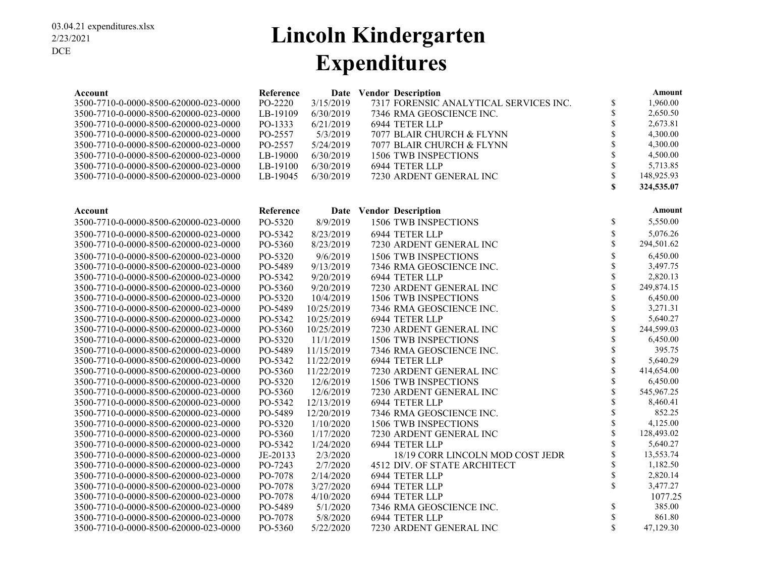### **Lincoln Kindergarten Expenditures**

| Account                               | Reference |            | Date Vendor Description                |                    | Amount     |
|---------------------------------------|-----------|------------|----------------------------------------|--------------------|------------|
| 3500-7710-0-0000-8500-620000-023-0000 | PO-2220   | 3/15/2019  | 7317 FORENSIC ANALYTICAL SERVICES INC. | \$                 | 1,960.00   |
| 3500-7710-0-0000-8500-620000-023-0000 | LB-19109  | 6/30/2019  | 7346 RMA GEOSCIENCE INC.               | \$                 | 2,650.50   |
| 3500-7710-0-0000-8500-620000-023-0000 | PO-1333   | 6/21/2019  | 6944 TETER LLP                         | \$                 | 2,673.81   |
| 3500-7710-0-0000-8500-620000-023-0000 | PO-2557   | 5/3/2019   | 7077 BLAIR CHURCH & FLYNN              | \$                 | 4,300.00   |
| 3500-7710-0-0000-8500-620000-023-0000 | PO-2557   | 5/24/2019  | 7077 BLAIR CHURCH & FLYNN              | \$                 | 4,300.00   |
| 3500-7710-0-0000-8500-620000-023-0000 | LB-19000  | 6/30/2019  | 1506 TWB INSPECTIONS                   | \$                 | 4,500.00   |
| 3500-7710-0-0000-8500-620000-023-0000 | LB-19100  | 6/30/2019  | 6944 TETER LLP                         | \$                 | 5,713.85   |
| 3500-7710-0-0000-8500-620000-023-0000 | LB-19045  | 6/30/2019  | 7230 ARDENT GENERAL INC                | $\mathbb S$        | 148,925.93 |
|                                       |           |            |                                        | $\mathbf S$        | 324,535.07 |
|                                       |           |            |                                        |                    |            |
| Account                               | Reference |            | Date Vendor Description                |                    | Amount     |
| 3500-7710-0-0000-8500-620000-023-0000 | PO-5320   | 8/9/2019   | 1506 TWB INSPECTIONS                   | \$                 | 5,550.00   |
| 3500-7710-0-0000-8500-620000-023-0000 | PO-5342   | 8/23/2019  | 6944 TETER LLP                         | \$                 | 5,076.26   |
| 3500-7710-0-0000-8500-620000-023-0000 | PO-5360   | 8/23/2019  | 7230 ARDENT GENERAL INC                | \$                 | 294,501.62 |
| 3500-7710-0-0000-8500-620000-023-0000 | PO-5320   | 9/6/2019   | 1506 TWB INSPECTIONS                   | \$                 | 6,450.00   |
| 3500-7710-0-0000-8500-620000-023-0000 | PO-5489   | 9/13/2019  | 7346 RMA GEOSCIENCE INC.               | \$                 | 3,497.75   |
| 3500-7710-0-0000-8500-620000-023-0000 | PO-5342   | 9/20/2019  | 6944 TETER LLP                         | \$                 | 2,820.13   |
| 3500-7710-0-0000-8500-620000-023-0000 | PO-5360   | 9/20/2019  | 7230 ARDENT GENERAL INC                | \$                 | 249,874.15 |
| 3500-7710-0-0000-8500-620000-023-0000 | PO-5320   | 10/4/2019  | 1506 TWB INSPECTIONS                   | $\mathbf S$        | 6,450.00   |
| 3500-7710-0-0000-8500-620000-023-0000 | PO-5489   | 10/25/2019 | 7346 RMA GEOSCIENCE INC.               | \$                 | 3,271.31   |
| 3500-7710-0-0000-8500-620000-023-0000 | PO-5342   | 10/25/2019 | 6944 TETER LLP                         | \$                 | 5,640.27   |
| 3500-7710-0-0000-8500-620000-023-0000 | PO-5360   | 10/25/2019 | 7230 ARDENT GENERAL INC                | \$                 | 244,599.03 |
| 3500-7710-0-0000-8500-620000-023-0000 | PO-5320   | 11/1/2019  | 1506 TWB INSPECTIONS                   | \$                 | 6,450.00   |
| 3500-7710-0-0000-8500-620000-023-0000 | PO-5489   | 11/15/2019 | 7346 RMA GEOSCIENCE INC.               | \$                 | 395.75     |
| 3500-7710-0-0000-8500-620000-023-0000 | PO-5342   | 11/22/2019 | 6944 TETER LLP                         | \$                 | 5,640.29   |
| 3500-7710-0-0000-8500-620000-023-0000 | PO-5360   | 11/22/2019 | 7230 ARDENT GENERAL INC                | \$                 | 414,654.00 |
| 3500-7710-0-0000-8500-620000-023-0000 | PO-5320   | 12/6/2019  | 1506 TWB INSPECTIONS                   | \$                 | 6,450.00   |
| 3500-7710-0-0000-8500-620000-023-0000 | PO-5360   | 12/6/2019  | 7230 ARDENT GENERAL INC                | \$                 | 545,967.25 |
| 3500-7710-0-0000-8500-620000-023-0000 | PO-5342   | 12/13/2019 | 6944 TETER LLP                         | \$                 | 8,460.41   |
| 3500-7710-0-0000-8500-620000-023-0000 | PO-5489   | 12/20/2019 | 7346 RMA GEOSCIENCE INC.               | \$                 | 852.25     |
| 3500-7710-0-0000-8500-620000-023-0000 | PO-5320   | 1/10/2020  | 1506 TWB INSPECTIONS                   | \$                 | 4,125.00   |
| 3500-7710-0-0000-8500-620000-023-0000 | PO-5360   | 1/17/2020  | 7230 ARDENT GENERAL INC                | \$                 | 128,493.02 |
| 3500-7710-0-0000-8500-620000-023-0000 | PO-5342   | 1/24/2020  | 6944 TETER LLP                         | \$                 | 5,640.27   |
| 3500-7710-0-0000-8500-620000-023-0000 | JE-20133  | 2/3/2020   | 18/19 CORR LINCOLN MOD COST JEDR       | \$                 | 13,553.74  |
| 3500-7710-0-0000-8500-620000-023-0000 | PO-7243   | 2/7/2020   | 4512 DIV. OF STATE ARCHITECT           | \$                 | 1,182.50   |
| 3500-7710-0-0000-8500-620000-023-0000 | PO-7078   | 2/14/2020  | 6944 TETER LLP                         | \$                 | 2,820.14   |
| 3500-7710-0-0000-8500-620000-023-0000 | PO-7078   | 3/27/2020  | 6944 TETER LLP                         | \$                 | 3,477.27   |
| 3500-7710-0-0000-8500-620000-023-0000 | PO-7078   | 4/10/2020  | 6944 TETER LLP                         |                    | 1077.25    |
| 3500-7710-0-0000-8500-620000-023-0000 | PO-5489   | 5/1/2020   | 7346 RMA GEOSCIENCE INC.               | \$                 | 385.00     |
| 3500-7710-0-0000-8500-620000-023-0000 | PO-7078   | 5/8/2020   | 6944 TETER LLP                         | \$                 | 861.80     |
| 3500-7710-0-0000-8500-620000-023-0000 | PO-5360   | 5/22/2020  | 7230 ARDENT GENERAL INC                | $\hat{\mathbf{S}}$ | 47,129.30  |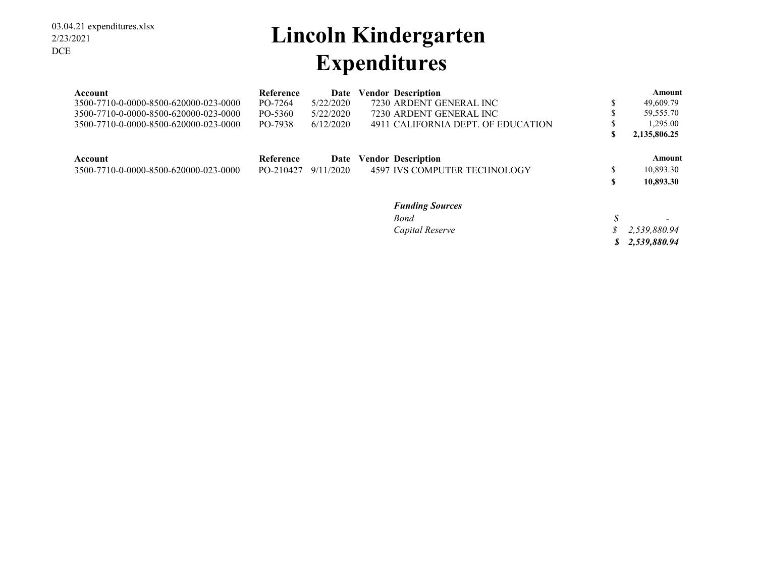## **Lincoln Kindergarten Expenditures**

| Account                               | <b>Reference</b> | Date      | <b>Vendor Description</b>           |    | Amount       |
|---------------------------------------|------------------|-----------|-------------------------------------|----|--------------|
| 3500-7710-0-0000-8500-620000-023-0000 | PO-7264          | 5/22/2020 | 7230 ARDENT GENERAL INC             | D  | 49,609.79    |
| 3500-7710-0-0000-8500-620000-023-0000 | PO-5360          | 5/22/2020 | 7230 ARDENT GENERAL INC             | ۰D | 59,555.70    |
| 3500-7710-0-0000-8500-620000-023-0000 | PO-7938          | 6/12/2020 | 4911 CALIFORNIA DEPT. OF EDUCATION  | D  | 1.295.00     |
|                                       |                  |           |                                     | S  | 2,135,806.25 |
| Account                               | Reference        | Date      | <b>Vendor Description</b>           |    | Amount       |
| 3500-7710-0-0000-8500-620000-023-0000 | PO-210427        | 9/11/2020 | <b>4597 IVS COMPUTER TECHNOLOGY</b> | S  | 10,893.30    |
|                                       |                  |           |                                     | S  | 10,893.30    |
|                                       |                  |           | <b>Funding Sources</b>              |    |              |
|                                       |                  |           | Bond                                |    |              |

*Capital Reserve 2,539,880.94 \$* 

*\$ 2,539,880.94*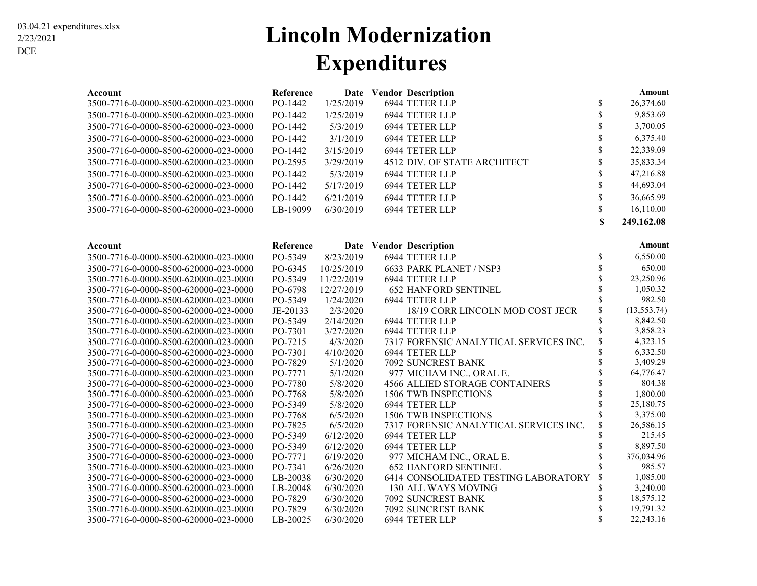### **Lincoln Modernization Expenditures**

| Account                                                                        | Reference          |                      | Date Vendor Description                |                     | Amount                |
|--------------------------------------------------------------------------------|--------------------|----------------------|----------------------------------------|---------------------|-----------------------|
| 3500-7716-0-0000-8500-620000-023-0000                                          | PO-1442            | 1/25/2019            | 6944 TETER LLP                         | \$                  | 26,374.60             |
| 3500-7716-0-0000-8500-620000-023-0000                                          | PO-1442            | 1/25/2019            | 6944 TETER LLP                         | \$                  | 9,853.69              |
| 3500-7716-0-0000-8500-620000-023-0000                                          | PO-1442            | 5/3/2019             | 6944 TETER LLP                         | \$                  | 3,700.05              |
| 3500-7716-0-0000-8500-620000-023-0000                                          | PO-1442            | 3/1/2019             | 6944 TETER LLP                         | \$                  | 6,375.40              |
| 3500-7716-0-0000-8500-620000-023-0000                                          | PO-1442            | 3/15/2019            | 6944 TETER LLP                         | \$                  | 22,339.09             |
| 3500-7716-0-0000-8500-620000-023-0000                                          | PO-2595            | 3/29/2019            | 4512 DIV. OF STATE ARCHITECT           | \$                  | 35,833.34             |
| 3500-7716-0-0000-8500-620000-023-0000                                          | PO-1442            | 5/3/2019             | 6944 TETER LLP                         | \$                  | 47,216.88             |
| 3500-7716-0-0000-8500-620000-023-0000                                          | PO-1442            | 5/17/2019            | 6944 TETER LLP                         | \$                  | 44,693.04             |
| 3500-7716-0-0000-8500-620000-023-0000                                          | PO-1442            | 6/21/2019            | 6944 TETER LLP                         | $\hat{\mathcal{S}}$ | 36,665.99             |
| 3500-7716-0-0000-8500-620000-023-0000                                          | LB-19099           | 6/30/2019            | 6944 TETER LLP                         | $\mathbb{S}$        | 16,110.00             |
|                                                                                |                    |                      |                                        | \$                  | 249,162.08            |
|                                                                                |                    |                      |                                        |                     |                       |
| Account                                                                        | Reference          |                      | Date Vendor Description                |                     | Amount                |
| 3500-7716-0-0000-8500-620000-023-0000                                          | PO-5349            | 8/23/2019            | 6944 TETER LLP                         | \$                  | 6,550.00              |
| 3500-7716-0-0000-8500-620000-023-0000                                          | PO-6345            | 10/25/2019           | 6633 PARK PLANET / NSP3                | \$                  | 650.00                |
| 3500-7716-0-0000-8500-620000-023-0000                                          | PO-5349            | 11/22/2019           | 6944 TETER LLP                         | \$                  | 23,250.96             |
| 3500-7716-0-0000-8500-620000-023-0000                                          | PO-6798            | 12/27/2019           | <b>652 HANFORD SENTINEL</b>            | \$                  | 1,050.32              |
| 3500-7716-0-0000-8500-620000-023-0000                                          | PO-5349            | 1/24/2020            | 6944 TETER LLP                         | \$                  | 982.50                |
| 3500-7716-0-0000-8500-620000-023-0000                                          | JE-20133           | 2/3/2020             | 18/19 CORR LINCOLN MOD COST JECR       | \$                  | (13, 553.74)          |
| 3500-7716-0-0000-8500-620000-023-0000                                          | PO-5349            | 2/14/2020            | 6944 TETER LLP                         | \$                  | 8,842.50              |
| 3500-7716-0-0000-8500-620000-023-0000                                          | PO-7301            | 3/27/2020            | 6944 TETER LLP                         | \$                  | 3,858.23              |
| 3500-7716-0-0000-8500-620000-023-0000                                          | PO-7215            | 4/3/2020             | 7317 FORENSIC ANALYTICAL SERVICES INC. | \$                  | 4,323.15              |
| 3500-7716-0-0000-8500-620000-023-0000                                          | PO-7301            | 4/10/2020            | 6944 TETER LLP                         | \$                  | 6,332.50              |
| 3500-7716-0-0000-8500-620000-023-0000                                          | PO-7829            | 5/1/2020             | 7092 SUNCREST BANK                     | \$                  | 3,409.29              |
| 3500-7716-0-0000-8500-620000-023-0000                                          | PO-7771            | 5/1/2020             | 977 MICHAM INC., ORAL E.               |                     | 64,776.47             |
| 3500-7716-0-0000-8500-620000-023-0000                                          | PO-7780            | 5/8/2020             | 4566 ALLIED STORAGE CONTAINERS         | \$                  | 804.38                |
| 3500-7716-0-0000-8500-620000-023-0000                                          | PO-7768            | 5/8/2020             | 1506 TWB INSPECTIONS                   | \$                  | 1,800.00<br>25,180.75 |
| 3500-7716-0-0000-8500-620000-023-0000                                          | PO-5349<br>PO-7768 | 5/8/2020<br>6/5/2020 | 6944 TETER LLP<br>1506 TWB INSPECTIONS | \$                  | 3,375.00              |
| 3500-7716-0-0000-8500-620000-023-0000<br>3500-7716-0-0000-8500-620000-023-0000 | PO-7825            | 6/5/2020             | 7317 FORENSIC ANALYTICAL SERVICES INC. |                     | 26,586.15             |
| 3500-7716-0-0000-8500-620000-023-0000                                          | PO-5349            | 6/12/2020            | 6944 TETER LLP                         | \$                  | 215.45                |
| 3500-7716-0-0000-8500-620000-023-0000                                          | PO-5349            | 6/12/2020            | 6944 TETER LLP                         | \$                  | 8,897.50              |
| 3500-7716-0-0000-8500-620000-023-0000                                          | PO-7771            | 6/19/2020            | 977 MICHAM INC., ORAL E.               | \$                  | 376,034.96            |
| 3500-7716-0-0000-8500-620000-023-0000                                          | PO-7341            | 6/26/2020            | <b>652 HANFORD SENTINEL</b>            |                     | 985.57                |
| 3500-7716-0-0000-8500-620000-023-0000                                          | LB-20038           | 6/30/2020            | 6414 CONSOLIDATED TESTING LABORATORY   | \$                  | 1,085.00              |
| 3500-7716-0-0000-8500-620000-023-0000                                          | LB-20048           | 6/30/2020            | 130 ALL WAYS MOVING                    | \$                  | 3,240.00              |
| 3500-7716-0-0000-8500-620000-023-0000                                          | PO-7829            | 6/30/2020            | 7092 SUNCREST BANK                     | \$                  | 18,575.12             |
| 3500-7716-0-0000-8500-620000-023-0000                                          | PO-7829            | 6/30/2020            | <b>7092 SUNCREST BANK</b>              |                     | 19,791.32             |
| 3500-7716-0-0000-8500-620000-023-0000                                          | LB-20025           | 6/30/2020            | 6944 TETER LLP                         | \$                  | 22,243.16             |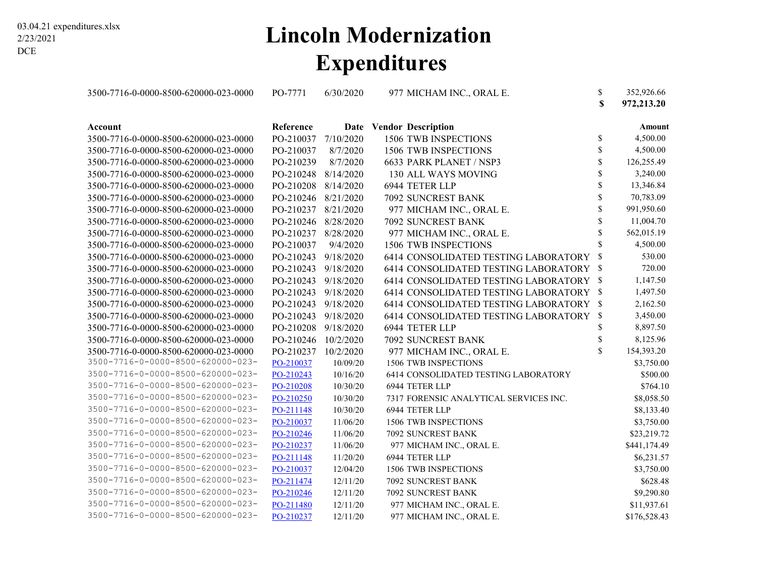### **Lincoln Modernization Expenditures**

| 3500-7716-0-0000-8500-620000-023-0000 | PO-7771             | 6/30/2020 | 977 MICHAM INC., ORAL E.                | \$<br>\$ | 352,926.66<br>972,213.20 |
|---------------------------------------|---------------------|-----------|-----------------------------------------|----------|--------------------------|
| Account                               | Reference           |           | Date Vendor Description                 |          | Amount                   |
| 3500-7716-0-0000-8500-620000-023-0000 | PO-210037           | 7/10/2020 | 1506 TWB INSPECTIONS                    | \$       | 4,500.00                 |
| 3500-7716-0-0000-8500-620000-023-0000 | PO-210037           | 8/7/2020  | 1506 TWB INSPECTIONS                    | \$       | 4,500.00                 |
| 3500-7716-0-0000-8500-620000-023-0000 | PO-210239           | 8/7/2020  | 6633 PARK PLANET / NSP3                 | \$       | 126,255.49               |
| 3500-7716-0-0000-8500-620000-023-0000 | PO-210248 8/14/2020 |           | 130 ALL WAYS MOVING                     | \$       | 3,240.00                 |
| 3500-7716-0-0000-8500-620000-023-0000 | PO-210208           | 8/14/2020 | 6944 TETER LLP                          | \$       | 13,346.84                |
| 3500-7716-0-0000-8500-620000-023-0000 | PO-210246 8/21/2020 |           | 7092 SUNCREST BANK                      | \$       | 70,783.09                |
| 3500-7716-0-0000-8500-620000-023-0000 | PO-210237           | 8/21/2020 | 977 MICHAM INC., ORAL E.                | \$       | 991,950.60               |
| 3500-7716-0-0000-8500-620000-023-0000 | PO-210246 8/28/2020 |           | 7092 SUNCREST BANK                      | \$       | 11,004.70                |
| 3500-7716-0-0000-8500-620000-023-0000 | PO-210237           | 8/28/2020 | 977 MICHAM INC., ORAL E.                | \$       | 562,015.19               |
| 3500-7716-0-0000-8500-620000-023-0000 | PO-210037           | 9/4/2020  | <b>1506 TWB INSPECTIONS</b>             | S        | 4,500.00                 |
| 3500-7716-0-0000-8500-620000-023-0000 | PO-210243 9/18/2020 |           | 6414 CONSOLIDATED TESTING LABORATORY \$ |          | 530.00                   |
| 3500-7716-0-0000-8500-620000-023-0000 | PO-210243 9/18/2020 |           | 6414 CONSOLIDATED TESTING LABORATORY \$ |          | 720.00                   |
| 3500-7716-0-0000-8500-620000-023-0000 | PO-210243           | 9/18/2020 | 6414 CONSOLIDATED TESTING LABORATORY \$ |          | 1,147.50                 |
| 3500-7716-0-0000-8500-620000-023-0000 | PO-210243           | 9/18/2020 | 6414 CONSOLIDATED TESTING LABORATORY \$ |          | 1,497.50                 |
| 3500-7716-0-0000-8500-620000-023-0000 | PO-210243           | 9/18/2020 | 6414 CONSOLIDATED TESTING LABORATORY \$ |          | 2,162.50                 |
| 3500-7716-0-0000-8500-620000-023-0000 | PO-210243 9/18/2020 |           | 6414 CONSOLIDATED TESTING LABORATORY \$ |          | 3,450.00                 |
| 3500-7716-0-0000-8500-620000-023-0000 | PO-210208 9/18/2020 |           | 6944 TETER LLP                          | \$       | 8,897.50                 |
| 3500-7716-0-0000-8500-620000-023-0000 | PO-210246 10/2/2020 |           | 7092 SUNCREST BANK                      | \$       | 8,125.96                 |
| 3500-7716-0-0000-8500-620000-023-0000 | PO-210237           | 10/2/2020 | 977 MICHAM INC., ORAL E.                | \$       | 154,393.20               |
| 3500-7716-0-0000-8500-620000-023-     | PO-210037           | 10/09/20  | 1506 TWB INSPECTIONS                    |          | \$3,750.00               |
| 3500-7716-0-0000-8500-620000-023-     | PO-210243           | 10/16/20  | 6414 CONSOLIDATED TESTING LABORATORY    |          | \$500.00                 |
| 3500-7716-0-0000-8500-620000-023-     | PO-210208           | 10/30/20  | 6944 TETER LLP                          |          | \$764.10                 |
| 3500-7716-0-0000-8500-620000-023-     | PO-210250           | 10/30/20  | 7317 FORENSIC ANALYTICAL SERVICES INC.  |          | \$8,058.50               |
| 3500-7716-0-0000-8500-620000-023-     | PO-211148           | 10/30/20  | 6944 TETER LLP                          |          | \$8,133.40               |
| 3500-7716-0-0000-8500-620000-023-     | PO-210037           | 11/06/20  | 1506 TWB INSPECTIONS                    |          | \$3,750.00               |
| 3500-7716-0-0000-8500-620000-023-     | PO-210246           | 11/06/20  | 7092 SUNCREST BANK                      |          | \$23,219.72              |
| 3500-7716-0-0000-8500-620000-023-     | PO-210237           | 11/06/20  | 977 MICHAM INC., ORAL E.                |          | \$441,174.49             |
| 3500-7716-0-0000-8500-620000-023-     | PO-211148           | 11/20/20  | 6944 TETER LLP                          |          | \$6,231.57               |
| 3500-7716-0-0000-8500-620000-023-     | PO-210037           | 12/04/20  | 1506 TWB INSPECTIONS                    |          | \$3,750.00               |
| 3500-7716-0-0000-8500-620000-023-     | PO-211474           | 12/11/20  | 7092 SUNCREST BANK                      |          | \$628.48                 |
| 3500-7716-0-0000-8500-620000-023-     | PO-210246           | 12/11/20  | 7092 SUNCREST BANK                      |          | \$9,290.80               |
| 3500-7716-0-0000-8500-620000-023-     | PO-211480           | 12/11/20  | 977 MICHAM INC., ORAL E.                |          | \$11,937.61              |
| 3500-7716-0-0000-8500-620000-023-     | PO-210237           | 12/11/20  | 977 MICHAM INC., ORAL E.                |          | \$176,528.43             |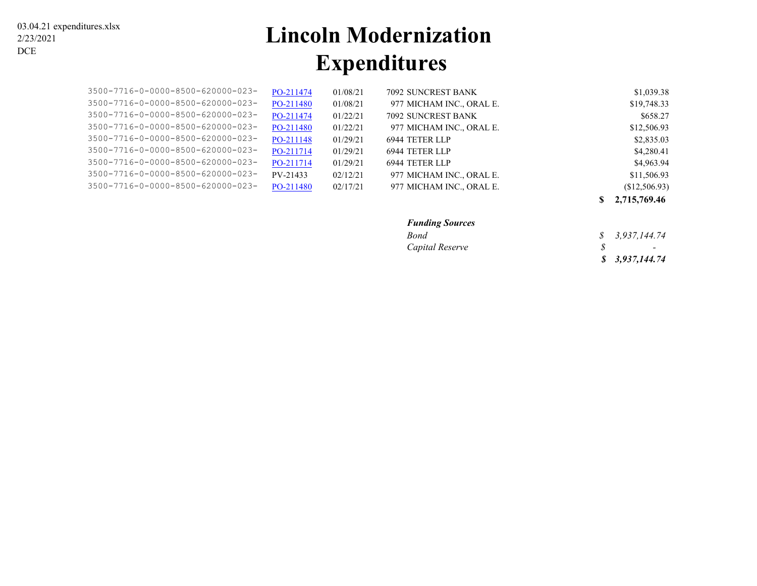# **Lincoln Modernization Expenditures**

| \$1,039.38    | 7092 SUNCREST BANK       | 01/08/21 | PO-211474 | 3500-7716-0-0000-8500-620000-023- |
|---------------|--------------------------|----------|-----------|-----------------------------------|
| \$19,748.33   | 977 MICHAM INC., ORAL E. | 01/08/21 | PO-211480 | 3500-7716-0-0000-8500-620000-023- |
| \$658.27      | 7092 SUNCREST BANK       | 01/22/21 | PO-211474 | 3500-7716-0-0000-8500-620000-023- |
| \$12,506.93   | 977 MICHAM INC., ORAL E. | 01/22/21 | PO-211480 | 3500-7716-0-0000-8500-620000-023- |
| \$2,835.03    | 6944 TETER LLP           | 01/29/21 | PO-211148 | 3500-7716-0-0000-8500-620000-023- |
| \$4,280.41    | 6944 TETER LLP           | 01/29/21 | PO-211714 | 3500-7716-0-0000-8500-620000-023- |
| \$4,963.94    | 6944 TETER LLP           | 01/29/21 | PO-211714 | 3500-7716-0-0000-8500-620000-023- |
| \$11,506.93   | 977 MICHAM INC., ORAL E. | 02/12/21 | PV-21433  | 3500-7716-0-0000-8500-620000-023- |
| (\$12,506.93) | 977 MICHAM INC., ORAL E. | 02/17/21 | PO-211480 | 3500-7716-0-0000-8500-620000-023- |
|               |                          |          |           |                                   |

**\$ 2,715,769.46**

#### *Funding Sources*

| Bond            | $\frac{1}{2}$ 3,937,144.74 |
|-----------------|----------------------------|
| Capital Reserve | $\sim$                     |
|                 | \$3,937,144.74             |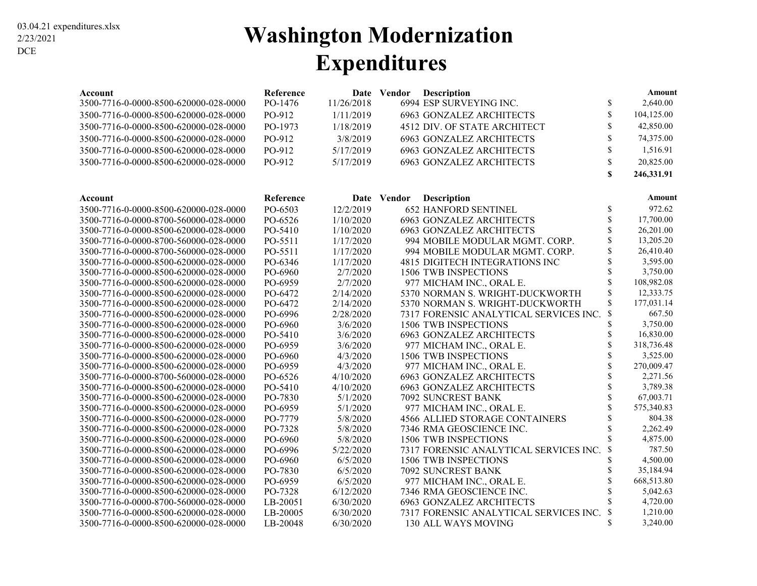### **Washington Modernization Expenditures**

| Account                               | Reference |            | Date Vendor | Description                            |                           | Amount     |
|---------------------------------------|-----------|------------|-------------|----------------------------------------|---------------------------|------------|
| 3500-7716-0-0000-8500-620000-028-0000 | PO-1476   | 11/26/2018 |             | 6994 ESP SURVEYING INC.                | \$                        | 2,640.00   |
| 3500-7716-0-0000-8500-620000-028-0000 | PO-912    | 1/11/2019  |             | <b>6963 GONZALEZ ARCHITECTS</b>        | \$                        | 104,125.00 |
| 3500-7716-0-0000-8500-620000-028-0000 | PO-1973   | 1/18/2019  |             | 4512 DIV. OF STATE ARCHITECT           | \$                        | 42,850.00  |
| 3500-7716-0-0000-8500-620000-028-0000 | PO-912    | 3/8/2019   |             | <b>6963 GONZALEZ ARCHITECTS</b>        | \$                        | 74,375.00  |
| 3500-7716-0-0000-8500-620000-028-0000 | PO-912    | 5/17/2019  |             | <b>6963 GONZALEZ ARCHITECTS</b>        | \$                        | 1,516.91   |
| 3500-7716-0-0000-8500-620000-028-0000 | PO-912    | 5/17/2019  |             | <b>6963 GONZALEZ ARCHITECTS</b>        | \$                        | 20,825.00  |
|                                       |           |            |             |                                        | \$                        | 246,331.91 |
|                                       |           |            |             |                                        |                           |            |
| Account                               | Reference | Date       | Vendor      | <b>Description</b>                     |                           | Amount     |
| 3500-7716-0-0000-8500-620000-028-0000 | PO-6503   | 12/2/2019  |             | <b>652 HANFORD SENTINEL</b>            | \$                        | 972.62     |
| 3500-7716-0-0000-8700-560000-028-0000 | PO-6526   | 1/10/2020  |             | <b>6963 GONZALEZ ARCHITECTS</b>        | \$                        | 17,700.00  |
| 3500-7716-0-0000-8500-620000-028-0000 | PO-5410   | 1/10/2020  |             | <b>6963 GONZALEZ ARCHITECTS</b>        | \$                        | 26,201.00  |
| 3500-7716-0-0000-8700-560000-028-0000 | PO-5511   | 1/17/2020  |             | 994 MOBILE MODULAR MGMT. CORP.         | \$                        | 13,205.20  |
| 3500-7716-0-0000-8700-560000-028-0000 | PO-5511   | 1/17/2020  |             | 994 MOBILE MODULAR MGMT. CORP.         | \$                        | 26,410.40  |
| 3500-7716-0-0000-8500-620000-028-0000 | PO-6346   | 1/17/2020  |             | <b>4815 DIGITECH INTEGRATIONS INC</b>  | \$                        | 3,595.00   |
| 3500-7716-0-0000-8500-620000-028-0000 | PO-6960   | 2/7/2020   |             | 1506 TWB INSPECTIONS                   | \$                        | 3,750.00   |
| 3500-7716-0-0000-8500-620000-028-0000 | PO-6959   | 2/7/2020   |             | 977 MICHAM INC., ORAL E.               | \$                        | 108,982.08 |
| 3500-7716-0-0000-8500-620000-028-0000 | PO-6472   | 2/14/2020  |             | 5370 NORMAN S. WRIGHT-DUCKWORTH        | \$                        | 12,333.75  |
| 3500-7716-0-0000-8500-620000-028-0000 | PO-6472   | 2/14/2020  |             | 5370 NORMAN S. WRIGHT-DUCKWORTH        | \$                        | 177,031.14 |
| 3500-7716-0-0000-8500-620000-028-0000 | PO-6996   | 2/28/2020  |             | 7317 FORENSIC ANALYTICAL SERVICES INC. | \$                        | 667.50     |
| 3500-7716-0-0000-8500-620000-028-0000 | PO-6960   | 3/6/2020   |             | 1506 TWB INSPECTIONS                   | \$                        | 3,750.00   |
| 3500-7716-0-0000-8500-620000-028-0000 | PO-5410   | 3/6/2020   |             | <b>6963 GONZALEZ ARCHITECTS</b>        | \$                        | 16,830.00  |
| 3500-7716-0-0000-8500-620000-028-0000 | PO-6959   | 3/6/2020   |             | 977 MICHAM INC., ORAL E.               | \$                        | 318,736.48 |
| 3500-7716-0-0000-8500-620000-028-0000 | PO-6960   | 4/3/2020   |             | 1506 TWB INSPECTIONS                   | \$                        | 3,525.00   |
| 3500-7716-0-0000-8500-620000-028-0000 | PO-6959   | 4/3/2020   |             | 977 MICHAM INC., ORAL E.               | $\hat{S}$                 | 270,009.47 |
| 3500-7716-0-0000-8700-560000-028-0000 | PO-6526   | 4/10/2020  |             | <b>6963 GONZALEZ ARCHITECTS</b>        | \$                        | 2,271.56   |
| 3500-7716-0-0000-8500-620000-028-0000 | PO-5410   | 4/10/2020  |             | <b>6963 GONZALEZ ARCHITECTS</b>        | \$                        | 3,789.38   |
| 3500-7716-0-0000-8500-620000-028-0000 | PO-7830   | 5/1/2020   |             | 7092 SUNCREST BANK                     | \$                        | 67,003.71  |
| 3500-7716-0-0000-8500-620000-028-0000 | PO-6959   | 5/1/2020   |             | 977 MICHAM INC., ORAL E.               | Ś                         | 575,340.83 |
| 3500-7716-0-0000-8500-620000-028-0000 | PO-7779   | 5/8/2020   |             | <b>4566 ALLIED STORAGE CONTAINERS</b>  | \$                        | 804.38     |
| 3500-7716-0-0000-8500-620000-028-0000 | PO-7328   | 5/8/2020   |             | 7346 RMA GEOSCIENCE INC.               | \$                        | 2,262.49   |
| 3500-7716-0-0000-8500-620000-028-0000 | PO-6960   | 5/8/2020   |             | 1506 TWB INSPECTIONS                   | $\mathbf S$               | 4,875.00   |
| 3500-7716-0-0000-8500-620000-028-0000 | PO-6996   | 5/22/2020  |             | 7317 FORENSIC ANALYTICAL SERVICES INC. | \$                        | 787.50     |
| 3500-7716-0-0000-8500-620000-028-0000 | PO-6960   | 6/5/2020   |             | 1506 TWB INSPECTIONS                   | \$                        | 4,500.00   |
| 3500-7716-0-0000-8500-620000-028-0000 | PO-7830   | 6/5/2020   |             | 7092 SUNCREST BANK                     | \$                        | 35,184.94  |
| 3500-7716-0-0000-8500-620000-028-0000 | PO-6959   | 6/5/2020   |             | 977 MICHAM INC., ORAL E.               | \$                        | 668,513.80 |
| 3500-7716-0-0000-8500-620000-028-0000 | PO-7328   | 6/12/2020  |             | 7346 RMA GEOSCIENCE INC.               | \$                        | 5,042.63   |
| 3500-7716-0-0000-8700-560000-028-0000 | LB-20051  | 6/30/2020  |             | <b>6963 GONZALEZ ARCHITECTS</b>        | \$                        | 4,720.00   |
| 3500-7716-0-0000-8500-620000-028-0000 | LB-20005  | 6/30/2020  |             | 7317 FORENSIC ANALYTICAL SERVICES INC. | $\boldsymbol{\mathsf{S}}$ | 1,210.00   |
| 3500-7716-0-0000-8500-620000-028-0000 | LB-20048  | 6/30/2020  |             | 130 ALL WAYS MOVING                    | \$                        | 3,240.00   |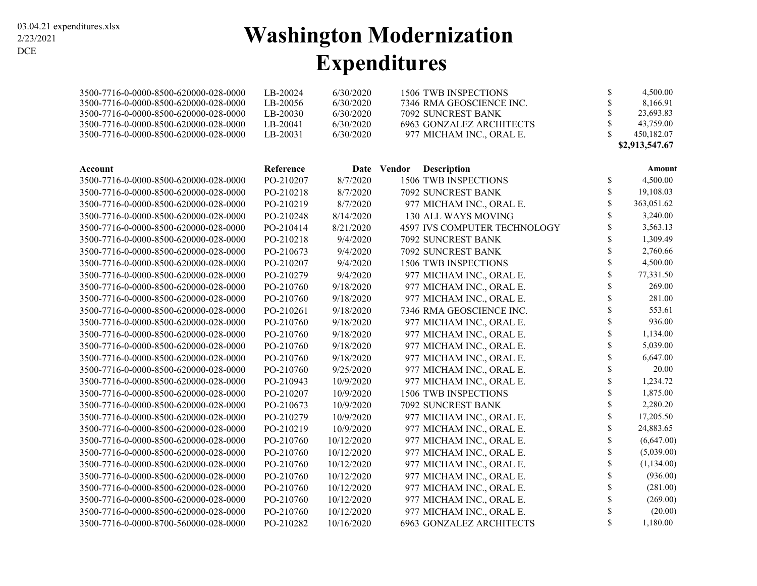# **Washington Modernization Expenditures**

| 3500-7716-0-0000-8500-620000-028-0000 | LB-20024  | 6/30/2020  | 1506 TWB INSPECTIONS                | \$                 | 4,500.00       |
|---------------------------------------|-----------|------------|-------------------------------------|--------------------|----------------|
| 3500-7716-0-0000-8500-620000-028-0000 | LB-20056  | 6/30/2020  | 7346 RMA GEOSCIENCE INC.            | S                  | 8,166.91       |
| 3500-7716-0-0000-8500-620000-028-0000 | LB-20030  | 6/30/2020  | 7092 SUNCREST BANK                  | \$                 | 23,693.83      |
| 3500-7716-0-0000-8500-620000-028-0000 | LB-20041  | 6/30/2020  | <b>6963 GONZALEZ ARCHITECTS</b>     | \$                 | 43,759.00      |
| 3500-7716-0-0000-8500-620000-028-0000 | LB-20031  | 6/30/2020  | 977 MICHAM INC., ORAL E.            | $\mathbf{\hat{S}}$ | 450,182.07     |
|                                       |           |            |                                     |                    | \$2,913,547.67 |
| Account                               | Reference |            | <b>Description</b><br>Date Vendor   |                    | Amount         |
| 3500-7716-0-0000-8500-620000-028-0000 | PO-210207 | 8/7/2020   | 1506 TWB INSPECTIONS                | \$                 | 4,500.00       |
| 3500-7716-0-0000-8500-620000-028-0000 | PO-210218 | 8/7/2020   | 7092 SUNCREST BANK                  | \$                 | 19,108.03      |
| 3500-7716-0-0000-8500-620000-028-0000 | PO-210219 | 8/7/2020   | 977 MICHAM INC., ORAL E.            | \$                 | 363,051.62     |
| 3500-7716-0-0000-8500-620000-028-0000 | PO-210248 | 8/14/2020  | 130 ALL WAYS MOVING                 | \$                 | 3,240.00       |
| 3500-7716-0-0000-8500-620000-028-0000 | PO-210414 | 8/21/2020  | <b>4597 IVS COMPUTER TECHNOLOGY</b> | \$                 | 3,563.13       |
| 3500-7716-0-0000-8500-620000-028-0000 | PO-210218 | 9/4/2020   | 7092 SUNCREST BANK                  | \$                 | 1,309.49       |
| 3500-7716-0-0000-8500-620000-028-0000 | PO-210673 | 9/4/2020   | 7092 SUNCREST BANK                  | \$                 | 2,760.66       |
| 3500-7716-0-0000-8500-620000-028-0000 | PO-210207 | 9/4/2020   | 1506 TWB INSPECTIONS                | \$                 | 4,500.00       |
| 3500-7716-0-0000-8500-620000-028-0000 | PO-210279 | 9/4/2020   | 977 MICHAM INC., ORAL E.            | \$                 | 77,331.50      |
| 3500-7716-0-0000-8500-620000-028-0000 | PO-210760 | 9/18/2020  | 977 MICHAM INC., ORAL E.            | \$                 | 269.00         |
| 3500-7716-0-0000-8500-620000-028-0000 | PO-210760 | 9/18/2020  | 977 MICHAM INC., ORAL E.            | \$                 | 281.00         |
| 3500-7716-0-0000-8500-620000-028-0000 | PO-210261 | 9/18/2020  | 7346 RMA GEOSCIENCE INC.            | \$                 | 553.61         |
| 3500-7716-0-0000-8500-620000-028-0000 | PO-210760 | 9/18/2020  | 977 MICHAM INC., ORAL E.            | \$                 | 936.00         |
| 3500-7716-0-0000-8500-620000-028-0000 | PO-210760 | 9/18/2020  | 977 MICHAM INC., ORAL E.            | \$                 | 1,134.00       |
| 3500-7716-0-0000-8500-620000-028-0000 | PO-210760 | 9/18/2020  | 977 MICHAM INC., ORAL E.            | \$                 | 5,039.00       |
| 3500-7716-0-0000-8500-620000-028-0000 | PO-210760 | 9/18/2020  | 977 MICHAM INC., ORAL E.            | \$                 | 6,647.00       |
| 3500-7716-0-0000-8500-620000-028-0000 | PO-210760 | 9/25/2020  | 977 MICHAM INC., ORAL E.            | \$                 | 20.00          |
| 3500-7716-0-0000-8500-620000-028-0000 | PO-210943 | 10/9/2020  | 977 MICHAM INC., ORAL E.            | \$                 | 1,234.72       |
| 3500-7716-0-0000-8500-620000-028-0000 | PO-210207 | 10/9/2020  | 1506 TWB INSPECTIONS                | \$                 | 1,875.00       |
| 3500-7716-0-0000-8500-620000-028-0000 | PO-210673 | 10/9/2020  | 7092 SUNCREST BANK                  | \$                 | 2,280.20       |
| 3500-7716-0-0000-8500-620000-028-0000 | PO-210279 | 10/9/2020  | 977 MICHAM INC., ORAL E.            | \$                 | 17,205.50      |
| 3500-7716-0-0000-8500-620000-028-0000 | PO-210219 | 10/9/2020  | 977 MICHAM INC., ORAL E.            | \$                 | 24,883.65      |
| 3500-7716-0-0000-8500-620000-028-0000 | PO-210760 | 10/12/2020 | 977 MICHAM INC., ORAL E.            | \$                 | (6,647.00)     |
| 3500-7716-0-0000-8500-620000-028-0000 | PO-210760 | 10/12/2020 | 977 MICHAM INC., ORAL E.            | \$                 | (5,039.00)     |
| 3500-7716-0-0000-8500-620000-028-0000 | PO-210760 | 10/12/2020 | 977 MICHAM INC., ORAL E.            | \$                 | (1,134.00)     |
| 3500-7716-0-0000-8500-620000-028-0000 | PO-210760 | 10/12/2020 | 977 MICHAM INC., ORAL E.            | \$                 | (936.00)       |
| 3500-7716-0-0000-8500-620000-028-0000 | PO-210760 | 10/12/2020 | 977 MICHAM INC., ORAL E.            | \$                 | (281.00)       |
| 3500-7716-0-0000-8500-620000-028-0000 | PO-210760 | 10/12/2020 | 977 MICHAM INC., ORAL E.            | \$                 | (269.00)       |
| 3500-7716-0-0000-8500-620000-028-0000 | PO-210760 | 10/12/2020 | 977 MICHAM INC., ORAL E.            | \$                 | (20.00)        |
| 3500-7716-0-0000-8700-560000-028-0000 | PO-210282 | 10/16/2020 | <b>6963 GONZALEZ ARCHITECTS</b>     | \$                 | 1,180.00       |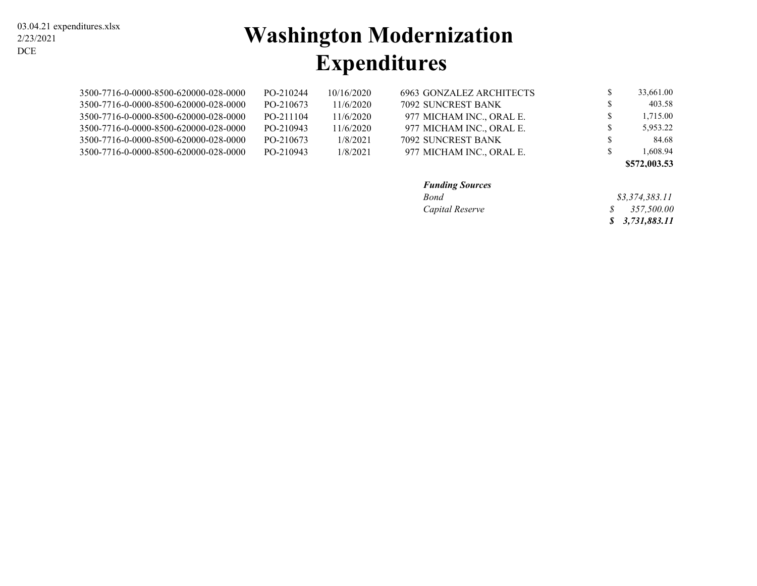#### 03.04.21 expenditures.xlsx 2/23/2021 DCE

# **Washington Modernization Expenditures**

| 3500-7716-0-0000-8500-620000-028-0000 | PO-210244 | 10/16/2020 | 6963 GONZALEZ ARCHITECTS | 33.661.00 |
|---------------------------------------|-----------|------------|--------------------------|-----------|
| 3500-7716-0-0000-8500-620000-028-0000 | PO-210673 | 11/6/2020  | 7092 SUNCREST BANK       | 403.58    |
| 3500-7716-0-0000-8500-620000-028-0000 | PO-211104 | 11/6/2020  | 977 MICHAM INC., ORAL E. | 1.715.00  |
| 3500-7716-0-0000-8500-620000-028-0000 | PO-210943 | 11/6/2020  | 977 MICHAM INC., ORAL E. | 5.953.22  |
| 3500-7716-0-0000-8500-620000-028-0000 | PO-210673 | 1/8/2021   | 7092 SUNCREST BANK       | 84.68     |
| 3500-7716-0-0000-8500-620000-028-0000 | PO-210943 | 1/8/2021   | 977 MICHAM INC., ORAL E. | .608.94   |

| \$572,003.53 |  |
|--------------|--|
|--------------|--|

|  | <b>unding Sources</b> |
|--|-----------------------|
|--|-----------------------|

| <b>Funding Sources</b> |                         |
|------------------------|-------------------------|
| <b>Bond</b>            | \$3.374.383.11          |
| Capital Reserve        | $\frac{\$}{357,500.00}$ |
|                        | \$3,731,883.11          |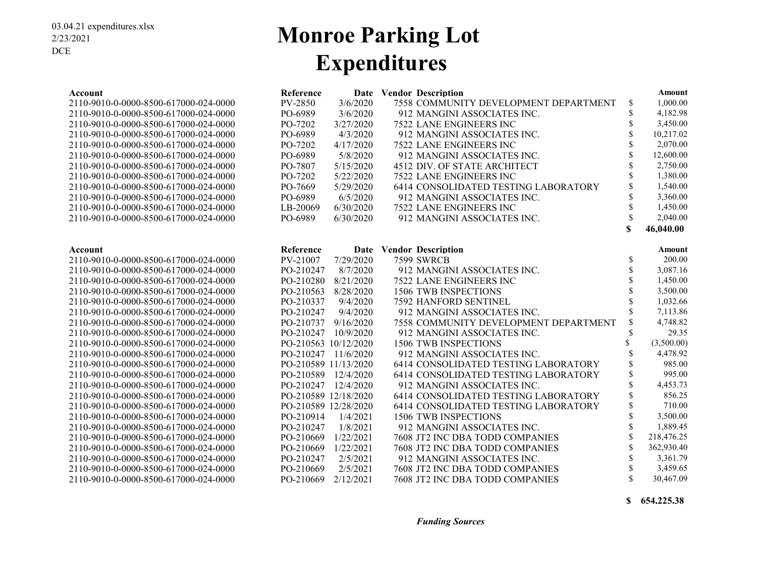### **Monroe Parking Lot Expenditures**

| Account                               | Reference |                      | Date Vendor Description               |                    | Amount     |
|---------------------------------------|-----------|----------------------|---------------------------------------|--------------------|------------|
| 2110-9010-0-0000-8500-617000-024-0000 | PV-2850   | 3/6/2020             | 7558 COMMUNITY DEVELOPMENT DEPARTMENT | \$                 | 1,000.00   |
| 2110-9010-0-0000-8500-617000-024-0000 | PO-6989   | 3/6/2020             | 912 MANGINI ASSOCIATES INC.           | \$                 | 4,182.98   |
| 2110-9010-0-0000-8500-617000-024-0000 | PO-7202   | 3/27/2020            | 7522 LANE ENGINEERS INC               | \$                 | 3,450.00   |
| 2110-9010-0-0000-8500-617000-024-0000 | PO-6989   | 4/3/2020             | 912 MANGINI ASSOCIATES INC.           | $\mathbf{\hat{S}}$ | 10,217.02  |
| 2110-9010-0-0000-8500-617000-024-0000 | PO-7202   | 4/17/2020            | 7522 LANE ENGINEERS INC               |                    | 2,070.00   |
| 2110-9010-0-0000-8500-617000-024-0000 | PO-6989   | 5/8/2020             | 912 MANGINI ASSOCIATES INC.           | $\mathbf{\hat{S}}$ | 12,600.00  |
| 2110-9010-0-0000-8500-617000-024-0000 | PO-7807   | 5/15/2020            | 4512 DIV. OF STATE ARCHITECT          |                    | 2,750.00   |
| 2110-9010-0-0000-8500-617000-024-0000 | PO-7202   | 5/22/2020            | 7522 LANE ENGINEERS INC               | \$                 | 1,380.00   |
| 2110-9010-0-0000-8500-617000-024-0000 | PO-7669   | 5/29/2020            | 6414 CONSOLIDATED TESTING LABORATORY  | \$                 | 1,540.00   |
| 2110-9010-0-0000-8500-617000-024-0000 | PO-6989   | 6/5/2020             | 912 MANGINI ASSOCIATES INC.           | \$                 | 3,360.00   |
| 2110-9010-0-0000-8500-617000-024-0000 | LB-20069  | 6/30/2020            | 7522 LANE ENGINEERS INC               | $\mathbf S$        | 1,450.00   |
| 2110-9010-0-0000-8500-617000-024-0000 | PO-6989   | 6/30/2020            | 912 MANGINI ASSOCIATES INC.           | $\mathcal{S}$      | 2.040.00   |
|                                       |           |                      |                                       | \$                 | 46,040.00  |
| Account                               | Reference |                      | Date Vendor Description               |                    | Amount     |
| 2110-9010-0-0000-8500-617000-024-0000 | PV-21007  | 7/29/2020            | <b>7599 SWRCB</b>                     | \$                 | 200.00     |
| 2110-9010-0-0000-8500-617000-024-0000 | PO-210247 | 8/7/2020             | 912 MANGINI ASSOCIATES INC.           | $\mathbf S$        | 3,087.16   |
| 2110-9010-0-0000-8500-617000-024-0000 | PO-210280 | 8/21/2020            | <b>7522 LANE ENGINEERS INC</b>        | \$                 | 1,450.00   |
| 2110-9010-0-0000-8500-617000-024-0000 | PO-210563 | 8/28/2020            | <b>1506 TWB INSPECTIONS</b>           | $\mathbf S$        | 3,500.00   |
| 2110-9010-0-0000-8500-617000-024-0000 | PO-210337 | 9/4/2020             | 7592 HANFORD SENTINEL                 | \$                 | 1,032.66   |
| 2110-9010-0-0000-8500-617000-024-0000 | PO-210247 | 9/4/2020             | 912 MANGINI ASSOCIATES INC.           | \$                 | 7,113.86   |
| 2110-9010-0-0000-8500-617000-024-0000 | PO-210737 | 9/16/2020            | 7558 COMMUNITY DEVELOPMENT DEPARTMENT | \$                 | 4,748.82   |
| 2110-9010-0-0000-8500-617000-024-0000 | PO-210247 | 10/9/2020            | 912 MANGINI ASSOCIATES INC.           | \$                 | 29.35      |
| 2110-9010-0-0000-8500-617000-024-0000 |           | PO-210563 10/12/2020 | 1506 TWB INSPECTIONS                  | \$                 | (3,500.00) |
| 2110-9010-0-0000-8500-617000-024-0000 | PO-210247 | 11/6/2020            | 912 MANGINI ASSOCIATES INC.           | \$                 | 4,478.92   |
| 2110-9010-0-0000-8500-617000-024-0000 |           | PO-210589 11/13/2020 | 6414 CONSOLIDATED TESTING LABORATORY  | \$                 | 985.00     |
| 2110-9010-0-0000-8500-617000-024-0000 | PO-210589 | 12/4/2020            | 6414 CONSOLIDATED TESTING LABORATORY  | \$                 | 995.00     |
| 2110-9010-0-0000-8500-617000-024-0000 | PO-210247 | 12/4/2020            | 912 MANGINI ASSOCIATES INC.           | <sup>\$</sup>      | 4,453.73   |
| 2110-9010-0-0000-8500-617000-024-0000 |           | PO-210589 12/18/2020 | 6414 CONSOLIDATED TESTING LABORATORY  | \$                 | 856.25     |
| 2110-9010-0-0000-8500-617000-024-0000 |           | PO-210589 12/28/2020 | 6414 CONSOLIDATED TESTING LABORATORY  | \$                 | 710.00     |
| 2110-9010-0-0000-8500-617000-024-0000 | PO-210914 | 1/4/2021             | 1506 TWB INSPECTIONS                  | \$                 | 3,500.00   |
| 2110-9010-0-0000-8500-617000-024-0000 | PO-210247 | 1/8/2021             | 912 MANGINI ASSOCIATES INC.           |                    | 1,889.45   |
| 2110-9010-0-0000-8500-617000-024-0000 | PO-210669 | 1/22/2021            | 7608 JT2 INC DBA TODD COMPANIES       |                    | 218,476.25 |
| 2110-9010-0-0000-8500-617000-024-0000 | PO-210669 | 1/22/2021            | 7608 JT2 INC DBA TODD COMPANIES       | $\mathbf S$        | 362,930.40 |
| 2110-9010-0-0000-8500-617000-024-0000 | PO-210247 | 2/5/2021             | 912 MANGINI ASSOCIATES INC.           | \$                 | 3,361.79   |
| 2110-9010-0-0000-8500-617000-024-0000 | PO-210669 | 2/5/2021             | 7608 JT2 INC DBA TODD COMPANIES       | \$                 | 3,459.65   |
| 2110-9010-0-0000-8500-617000-024-0000 | PO-210669 | 2/12/2021            | 7608 JT2 INC DBA TODD COMPANIES       | $\mathbf{\hat{S}}$ | 30,467.09  |

**\$ 654,225.38**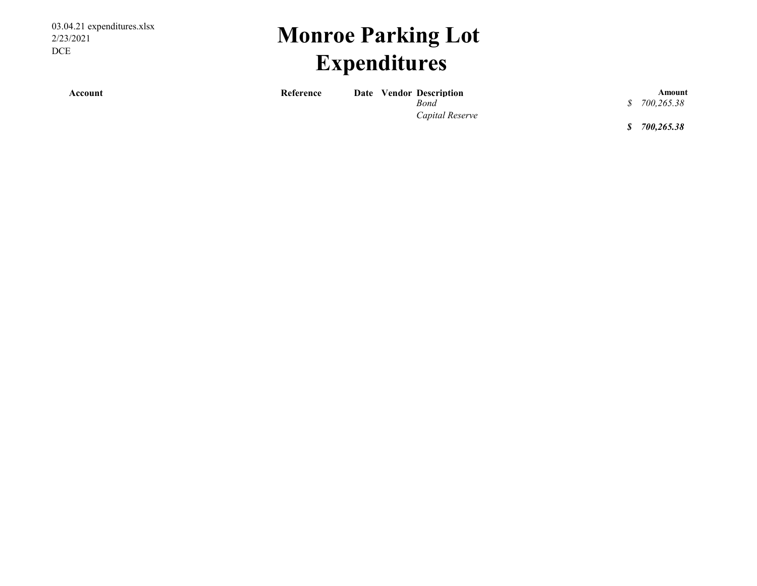03.04.21 expenditures.xlsx 2/23/2021 DCE

# **Monroe Parking Lot Expenditures**

**Account Account Reference Date Vendor Description** *Rond 8* **700.265.38 <b>***8* 700.265.38

*Capital Reserve*

*Bond 700,265.38 \$* 

*\$ 700,265.38*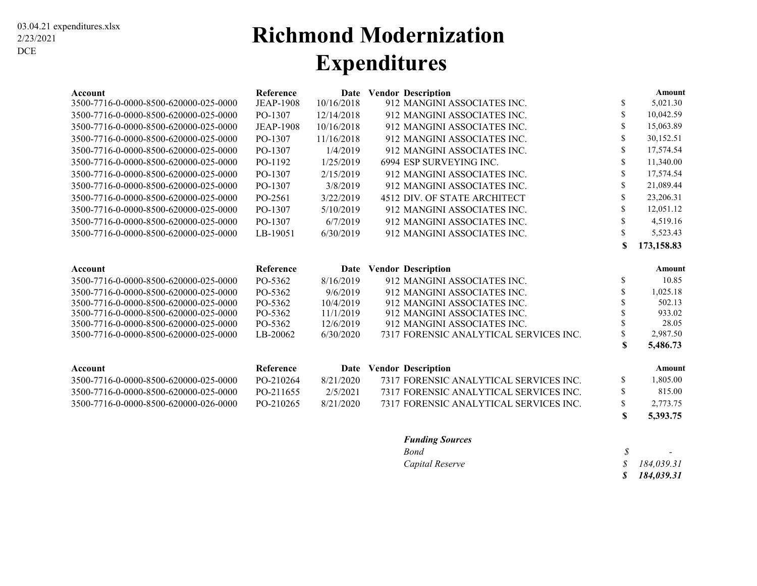### **Richmond Modernization Expenditures**

| Account                               | Reference        |            | Date Vendor Description                |    | Amount     |
|---------------------------------------|------------------|------------|----------------------------------------|----|------------|
| 3500-7716-0-0000-8500-620000-025-0000 | <b>JEAP-1908</b> | 10/16/2018 | 912 MANGINI ASSOCIATES INC.            | \$ | 5,021.30   |
| 3500-7716-0-0000-8500-620000-025-0000 | PO-1307          | 12/14/2018 | 912 MANGINI ASSOCIATES INC.            | \$ | 10,042.59  |
| 3500-7716-0-0000-8500-620000-025-0000 | <b>JEAP-1908</b> | 10/16/2018 | 912 MANGINI ASSOCIATES INC.            | \$ | 15,063.89  |
| 3500-7716-0-0000-8500-620000-025-0000 | PO-1307          | 11/16/2018 | 912 MANGINI ASSOCIATES INC.            | \$ | 30,152.51  |
| 3500-7716-0-0000-8500-620000-025-0000 | PO-1307          | 1/4/2019   | 912 MANGINI ASSOCIATES INC.            | \$ | 17,574.54  |
| 3500-7716-0-0000-8500-620000-025-0000 | PO-1192          | 1/25/2019  | 6994 ESP SURVEYING INC.                | \$ | 11,340.00  |
| 3500-7716-0-0000-8500-620000-025-0000 | PO-1307          | 2/15/2019  | 912 MANGINI ASSOCIATES INC.            | \$ | 17,574.54  |
| 3500-7716-0-0000-8500-620000-025-0000 | PO-1307          | 3/8/2019   | 912 MANGINI ASSOCIATES INC.            | \$ | 21,089.44  |
| 3500-7716-0-0000-8500-620000-025-0000 | PO-2561          | 3/22/2019  | 4512 DIV. OF STATE ARCHITECT           | \$ | 23,206.31  |
| 3500-7716-0-0000-8500-620000-025-0000 | PO-1307          | 5/10/2019  | 912 MANGINI ASSOCIATES INC.            | \$ | 12,051.12  |
| 3500-7716-0-0000-8500-620000-025-0000 | PO-1307          | 6/7/2019   | 912 MANGINI ASSOCIATES INC.            | \$ | 4,519.16   |
| 3500-7716-0-0000-8500-620000-025-0000 | LB-19051         | 6/30/2019  | 912 MANGINI ASSOCIATES INC.            | \$ | 5,523.43   |
|                                       |                  |            |                                        | \$ | 173,158.83 |
|                                       |                  |            |                                        |    |            |
| Account                               | Reference        | Date       | <b>Vendor Description</b>              |    | Amount     |
| 3500-7716-0-0000-8500-620000-025-0000 | PO-5362          | 8/16/2019  | 912 MANGINI ASSOCIATES INC.            | \$ | 10.85      |
| 3500-7716-0-0000-8500-620000-025-0000 | PO-5362          | 9/6/2019   | 912 MANGINI ASSOCIATES INC.            |    | 1,025.18   |
| 3500-7716-0-0000-8500-620000-025-0000 | PO-5362          | 10/4/2019  | 912 MANGINI ASSOCIATES INC.            |    | 502.13     |
| 3500-7716-0-0000-8500-620000-025-0000 | PO-5362          | 11/1/2019  | 912 MANGINI ASSOCIATES INC.            |    | 933.02     |
| 3500-7716-0-0000-8500-620000-025-0000 | PO-5362          | 12/6/2019  | 912 MANGINI ASSOCIATES INC.            |    | 28.05      |
| 3500-7716-0-0000-8500-620000-025-0000 | LB-20062         | 6/30/2020  | 7317 FORENSIC ANALYTICAL SERVICES INC. | \$ | 2,987.50   |
|                                       |                  |            |                                        | S  | 5,486.73   |
| Account                               | Reference        | Date       | <b>Vendor Description</b>              |    | Amount     |
| 3500-7716-0-0000-8500-620000-025-0000 | PO-210264        | 8/21/2020  | 7317 FORENSIC ANALYTICAL SERVICES INC. | \$ | 1,805.00   |
| 3500-7716-0-0000-8500-620000-025-0000 | PO-211655        | 2/5/2021   | 7317 FORENSIC ANALYTICAL SERVICES INC. | \$ | 815.00     |
| 3500-7716-0-0000-8500-620000-026-0000 | PO-210265        | 8/21/2020  | 7317 FORENSIC ANALYTICAL SERVICES INC. | \$ | 2,773.75   |
|                                       |                  |            |                                        | \$ | 5,393.75   |

#### *Funding Sources*

| Bond            | $\overline{\phantom{0}}$ |
|-----------------|--------------------------|
| Capital Reserve | \$184,039.31             |
|                 | \$184,039.31             |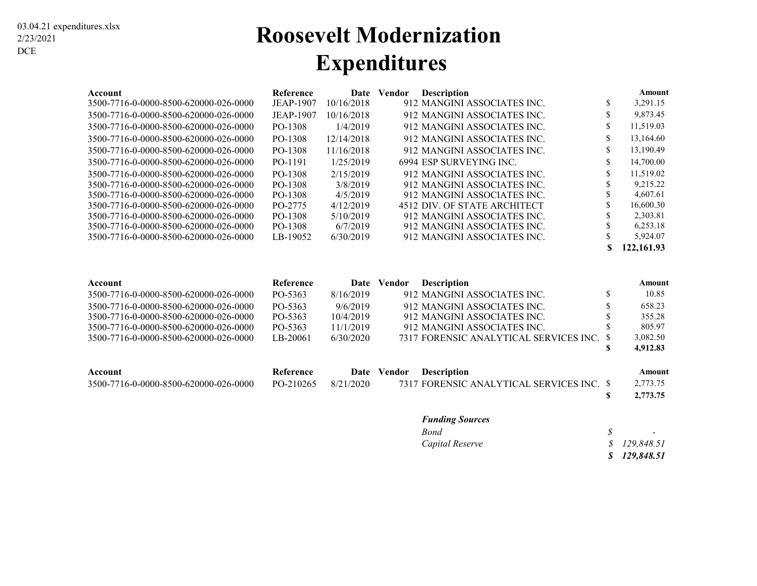### **Roosevelt Modernization Expenditures**

| Account                               | <b>Reference</b> | Date       | <b>Description</b><br>Vendor |                              |     | Amount     |
|---------------------------------------|------------------|------------|------------------------------|------------------------------|-----|------------|
| 3500-7716-0-0000-8500-620000-026-0000 | <b>JEAP-1907</b> | 10/16/2018 |                              | 912 MANGINI ASSOCIATES INC.  | S   | 3,291.15   |
| 3500-7716-0-0000-8500-620000-026-0000 | <b>JEAP-1907</b> | 10/16/2018 |                              | 912 MANGINI ASSOCIATES INC.  | S   | 9,873.45   |
| 3500-7716-0-0000-8500-620000-026-0000 | PO-1308          | 1/4/2019   |                              | 912 MANGINI ASSOCIATES INC.  | \$. | 11,519.03  |
| 3500-7716-0-0000-8500-620000-026-0000 | PO-1308          | 12/14/2018 |                              | 912 MANGINI ASSOCIATES INC.  | \$  | 13,164.60  |
| 3500-7716-0-0000-8500-620000-026-0000 | PO-1308          | 11/16/2018 |                              | 912 MANGINI ASSOCIATES INC.  | \$  | 13,190.49  |
| 3500-7716-0-0000-8500-620000-026-0000 | PO-1191          | 1/25/2019  |                              | 6994 ESP SURVEYING INC.      | \$  | 14,700.00  |
| 3500-7716-0-0000-8500-620000-026-0000 | PO-1308          | 2/15/2019  |                              | 912 MANGINI ASSOCIATES INC.  | ъ   | 11,519.02  |
| 3500-7716-0-0000-8500-620000-026-0000 | PO-1308          | 3/8/2019   |                              | 912 MANGINI ASSOCIATES INC.  |     | 9.215.22   |
| 3500-7716-0-0000-8500-620000-026-0000 | PO-1308          | 4/5/2019   |                              | 912 MANGINI ASSOCIATES INC.  |     | 4,607.61   |
| 3500-7716-0-0000-8500-620000-026-0000 | PO-2775          | 4/12/2019  |                              | 4512 DIV. OF STATE ARCHITECT | ъ   | 16,600.30  |
| 3500-7716-0-0000-8500-620000-026-0000 | PO-1308          | 5/10/2019  |                              | 912 MANGINI ASSOCIATES INC.  |     | 2.303.81   |
| 3500-7716-0-0000-8500-620000-026-0000 | PO-1308          | 6/7/2019   |                              | 912 MANGINI ASSOCIATES INC.  |     | 6,253.18   |
| 3500-7716-0-0000-8500-620000-026-0000 | LB-19052         | 6/30/2019  |                              | 912 MANGINI ASSOCIATES INC.  |     | 5,924.07   |
|                                       |                  |            |                              |                              |     | 122.161.93 |

| Account                               | Reference | Date      | <b>Description</b><br>Vendor              | Amount   |
|---------------------------------------|-----------|-----------|-------------------------------------------|----------|
| 3500-7716-0-0000-8500-620000-026-0000 | PO-5363   | 8/16/2019 | 912 MANGINI ASSOCIATES INC.               | 10.85    |
| 3500-7716-0-0000-8500-620000-026-0000 | PO-5363   | 9/6/2019  | 912 MANGINI ASSOCIATES INC.               | 658.23   |
| 3500-7716-0-0000-8500-620000-026-0000 | PO-5363   | 10/4/2019 | 912 MANGINI ASSOCIATES INC.               | 355.28   |
| 3500-7716-0-0000-8500-620000-026-0000 | PO-5363   | 11/1/2019 | 912 MANGINI ASSOCIATES INC.               | 805.97   |
| 3500-7716-0-0000-8500-620000-026-0000 | LB-20061  | 6/30/2020 | 7317 FORENSIC ANALYTICAL SERVICES INC. \$ | 3,082.50 |
|                                       |           |           |                                           | 4,912.83 |
| Account                               | Reference | Date      | <b>Description</b><br>Vendor              | Amount   |
| 3500-7716-0-0000-8500-620000-026-0000 | PO-210265 | 8/21/2020 | 7317 FORENSIC ANALYTICAL SERVICES INC. \$ | 2,773.75 |
|                                       |           |           |                                           | 2,773.75 |

#### *Funding Sources*

| Bond            | $\overline{\phantom{0}}$ |
|-----------------|--------------------------|
| Capital Reserve | \$129,848.51             |
|                 | \$129,848.51             |